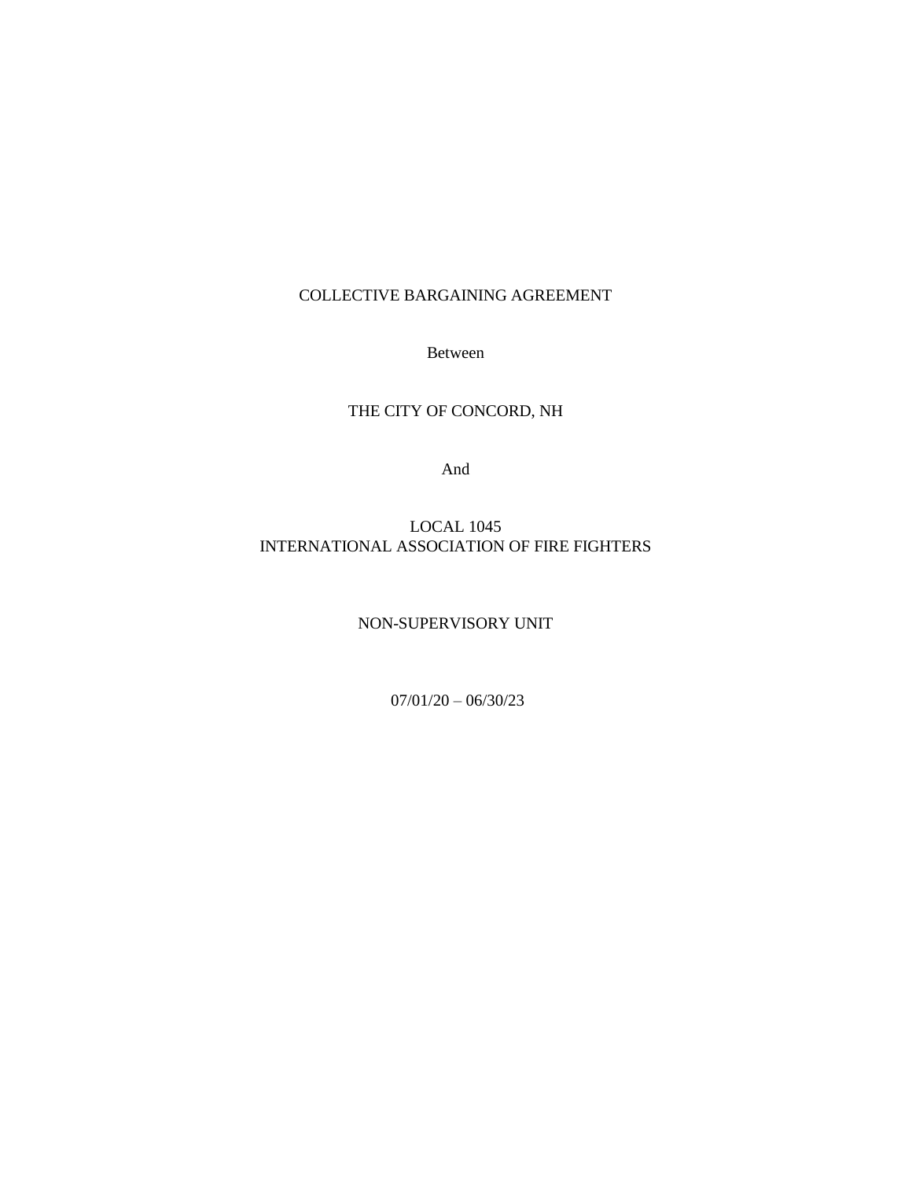## COLLECTIVE BARGAINING AGREEMENT

Between

## THE CITY OF CONCORD, NH

And

## LOCAL 1045 INTERNATIONAL ASSOCIATION OF FIRE FIGHTERS

### NON-SUPERVISORY UNIT

07/01/20 – 06/30/23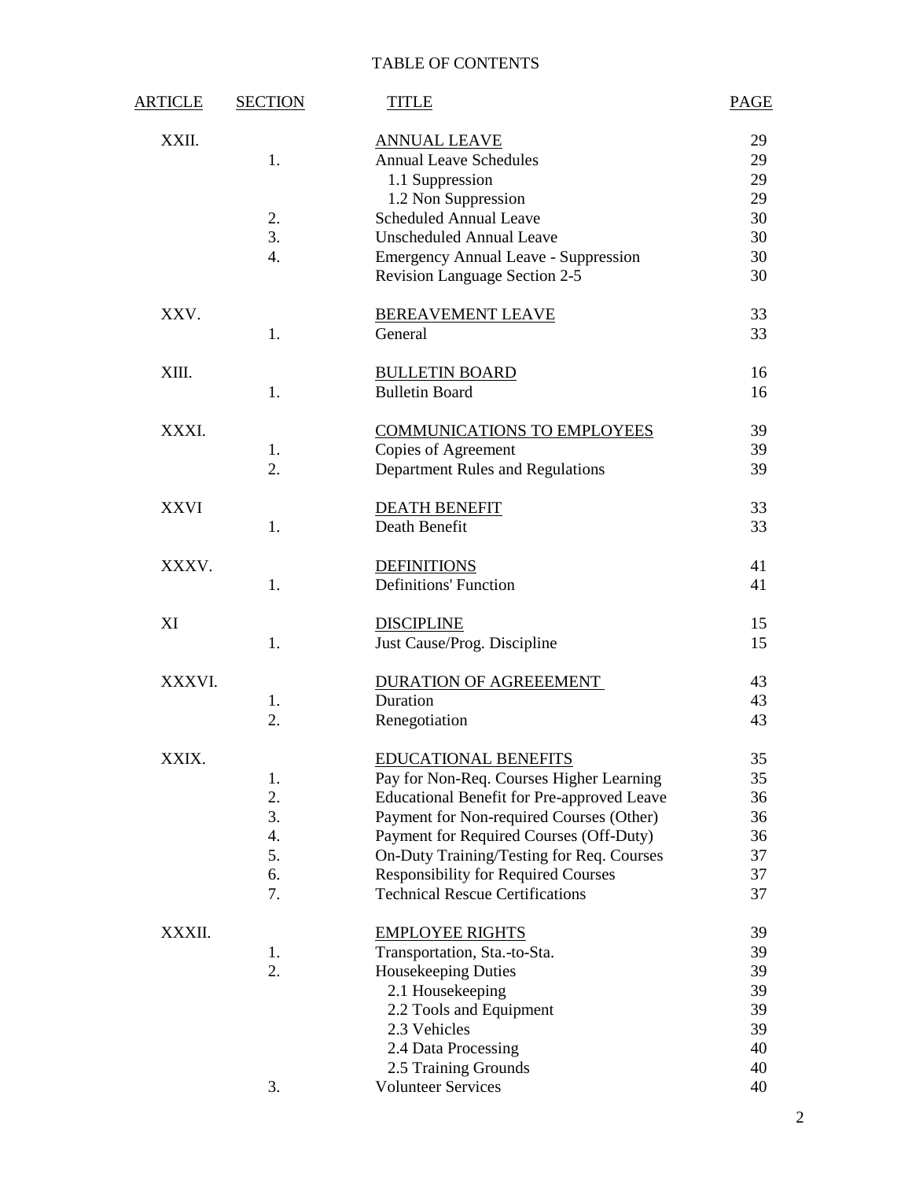# TABLE OF CONTENTS

| <u>ARTICLE</u> | <b>SECTION</b> | <b>TITLE</b>                                                                 | <b>PAGE</b> |
|----------------|----------------|------------------------------------------------------------------------------|-------------|
| XXII.          | 1.             | <b>ANNUAL LEAVE</b><br><b>Annual Leave Schedules</b>                         | 29<br>29    |
|                |                | 1.1 Suppression                                                              | 29          |
|                |                | 1.2 Non Suppression                                                          | 29          |
|                | 2.             | <b>Scheduled Annual Leave</b>                                                | 30          |
|                | 3.             | <b>Unscheduled Annual Leave</b>                                              | 30          |
|                | 4.             | <b>Emergency Annual Leave - Suppression</b><br>Revision Language Section 2-5 | 30<br>30    |
| XXV.           |                | <b>BEREAVEMENT LEAVE</b>                                                     | 33          |
|                | 1.             | General                                                                      | 33          |
| XIII.          | 1.             | <b>BULLETIN BOARD</b><br><b>Bulletin Board</b>                               | 16<br>16    |
|                |                |                                                                              |             |
| XXXI.          |                | <b>COMMUNICATIONS TO EMPLOYEES</b>                                           | 39          |
|                | 1.             | Copies of Agreement                                                          | 39          |
|                | 2.             | Department Rules and Regulations                                             | 39          |
| <b>XXVI</b>    |                | <b>DEATH BENEFIT</b>                                                         | 33          |
|                | 1.             | Death Benefit                                                                | 33          |
| XXXV.          |                | <b>DEFINITIONS</b>                                                           | 41          |
|                | 1.             | <b>Definitions' Function</b>                                                 | 41          |
| XI             |                | <b>DISCIPLINE</b>                                                            | 15          |
|                | 1.             | Just Cause/Prog. Discipline                                                  | 15          |
| XXXVI.         |                | DURATION OF AGREEEMENT                                                       | 43          |
|                | 1.<br>2.       | Duration                                                                     | 43<br>43    |
|                |                | Renegotiation                                                                |             |
| XXIX.          | 1.             | <b>EDUCATIONAL BENEFITS</b><br>Pay for Non-Req. Courses Higher Learning      | 35<br>35    |
|                | 2.             | <b>Educational Benefit for Pre-approved Leave</b>                            | 36          |
|                | 3.             | Payment for Non-required Courses (Other)                                     | 36          |
|                | 4.             | Payment for Required Courses (Off-Duty)                                      | 36          |
|                | 5.             | On-Duty Training/Testing for Req. Courses                                    | 37          |
|                | 6.             | <b>Responsibility for Required Courses</b>                                   | 37          |
|                | 7.             | <b>Technical Rescue Certifications</b>                                       | 37          |
| XXXII.         |                | <b>EMPLOYEE RIGHTS</b>                                                       | 39          |
|                | 1.<br>2.       | Transportation, Sta.-to-Sta.                                                 | 39<br>39    |
|                |                | Housekeeping Duties<br>2.1 Housekeeping                                      | 39          |
|                |                | 2.2 Tools and Equipment                                                      | 39          |
|                |                | 2.3 Vehicles                                                                 | 39          |
|                |                | 2.4 Data Processing                                                          | 40          |
|                |                | 2.5 Training Grounds                                                         | 40          |
|                | 3.             | <b>Volunteer Services</b>                                                    | 40          |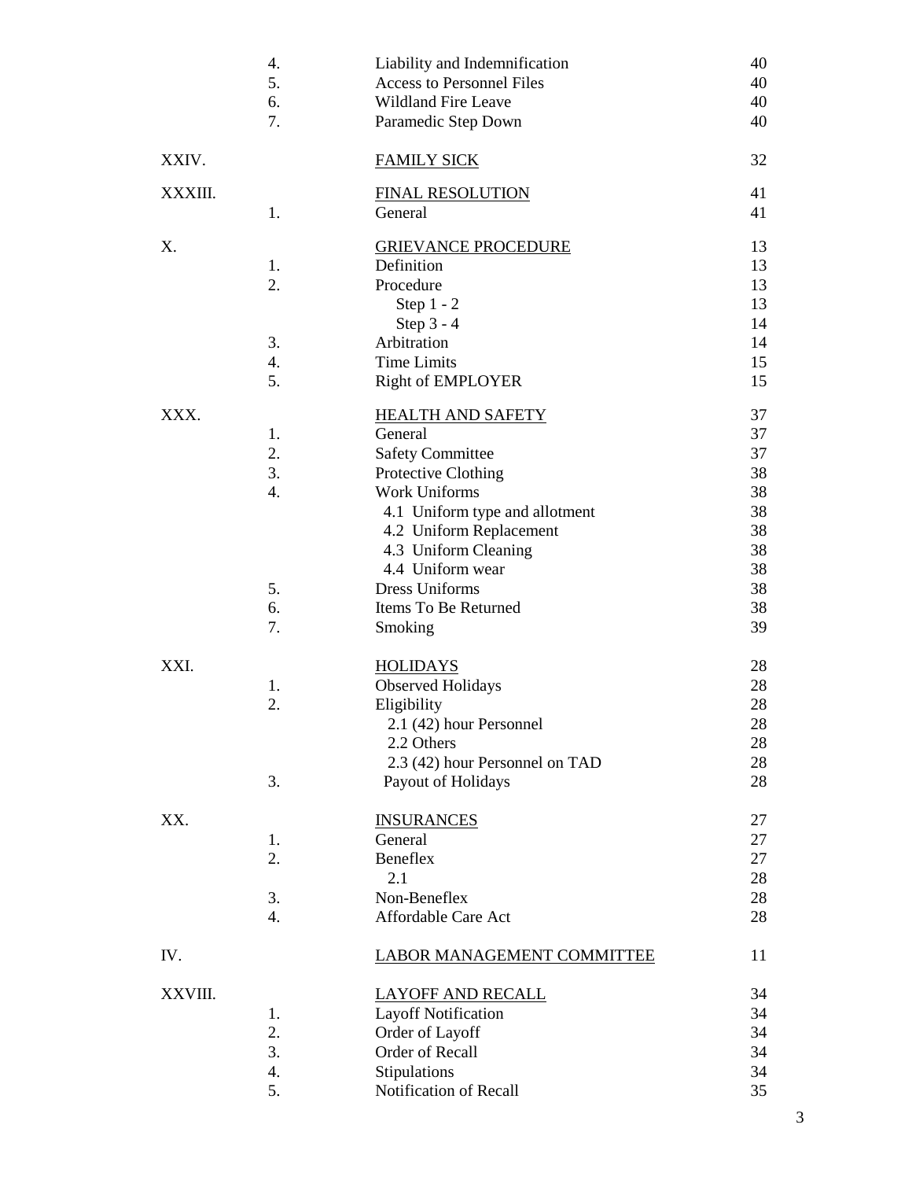|         | 4.<br>5.<br>6.<br>7.               | Liability and Indemnification<br><b>Access to Personnel Files</b><br><b>Wildland Fire Leave</b><br>Paramedic Step Down                                                                                                 | 40<br>40<br>40<br>40                               |
|---------|------------------------------------|------------------------------------------------------------------------------------------------------------------------------------------------------------------------------------------------------------------------|----------------------------------------------------|
| XXIV.   |                                    | <b>FAMILY SICK</b>                                                                                                                                                                                                     | 32                                                 |
| XXXIII. | 1.                                 | <b>FINAL RESOLUTION</b><br>General                                                                                                                                                                                     | 41<br>41                                           |
| Χ.      | 1.<br>2.<br>3.                     | <b>GRIEVANCE PROCEDURE</b><br>Definition<br>Procedure<br>Step $1 - 2$<br>Step $3 - 4$<br>Arbitration                                                                                                                   | 13<br>13<br>13<br>13<br>14<br>14                   |
|         | 4.<br>5.                           | <b>Time Limits</b><br><b>Right of EMPLOYER</b>                                                                                                                                                                         | 15<br>15                                           |
| XXX.    | 1.<br>2.<br>3.<br>4.               | <b>HEALTH AND SAFETY</b><br>General<br><b>Safety Committee</b><br>Protective Clothing<br><b>Work Uniforms</b><br>4.1 Uniform type and allotment<br>4.2 Uniform Replacement<br>4.3 Uniform Cleaning<br>4.4 Uniform wear | 37<br>37<br>37<br>38<br>38<br>38<br>38<br>38<br>38 |
|         | 5.<br>6.<br>7.                     | <b>Dress Uniforms</b><br>Items To Be Returned<br>Smoking                                                                                                                                                               | 38<br>38<br>39                                     |
| XXI.    | 1.<br>2.<br>3.                     | <u>HOLIDAYS</u><br><b>Observed Holidays</b><br>Eligibility<br>2.1 (42) hour Personnel<br>2.2 Others<br>2.3 (42) hour Personnel on TAD<br>Payout of Holidays                                                            | 28<br>28<br>28<br>28<br>28<br>28<br>28             |
| XX.     | 1.<br>2.<br>3.<br>$\overline{4}$ . | <b>INSURANCES</b><br>General<br>Beneflex<br>2.1<br>Non-Beneflex<br>Affordable Care Act                                                                                                                                 | 27<br>27<br>27<br>28<br>28<br>28                   |
| IV.     |                                    | <b>LABOR MANAGEMENT COMMITTEE</b>                                                                                                                                                                                      | 11                                                 |
| XXVIII. | 1.<br>2.<br>3.<br>4.<br>5.         | <b>LAYOFF AND RECALL</b><br><b>Layoff Notification</b><br>Order of Layoff<br>Order of Recall<br>Stipulations<br>Notification of Recall                                                                                 | 34<br>34<br>34<br>34<br>34<br>35                   |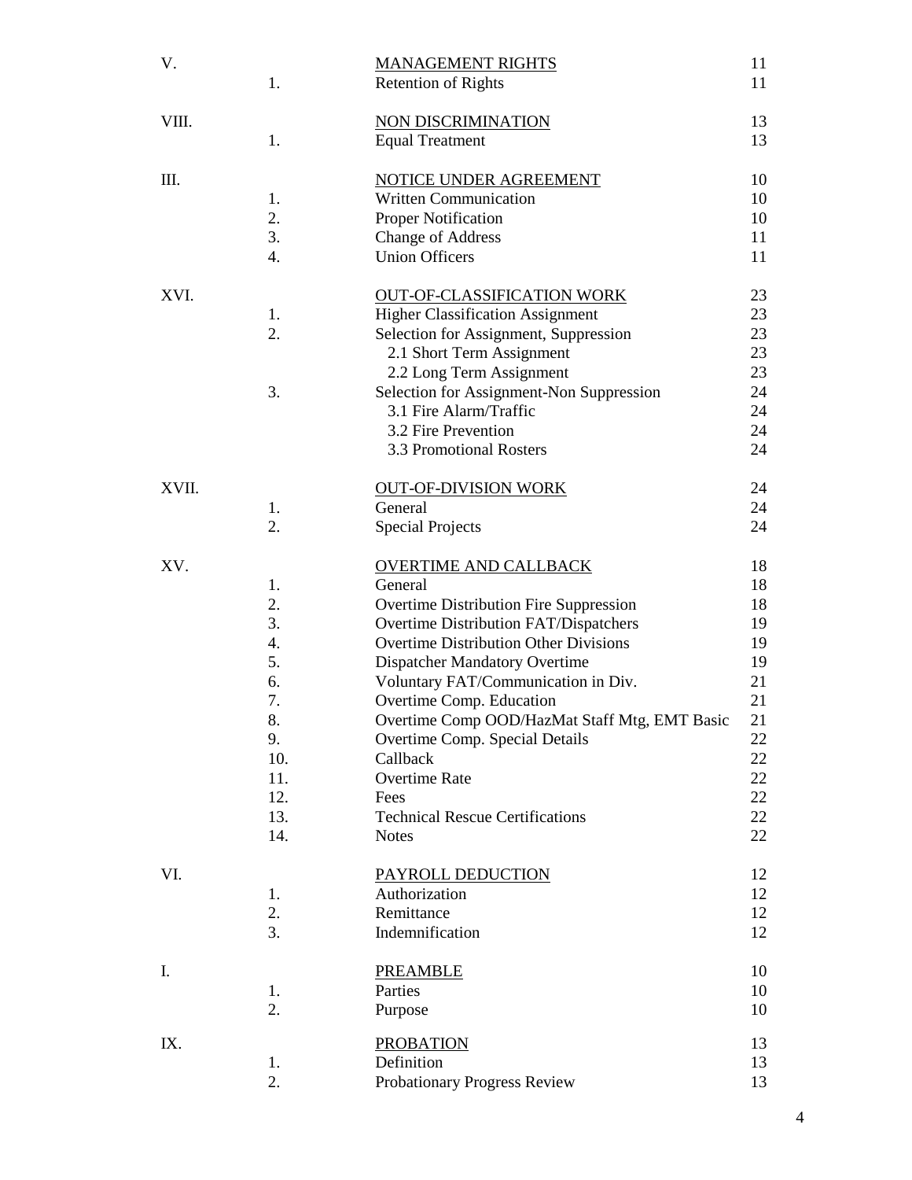| V.    | 1.       | <b>MANAGEMENT RIGHTS</b><br><b>Retention of Rights</b>          | 11<br>11 |
|-------|----------|-----------------------------------------------------------------|----------|
| VIII. | 1.       | NON DISCRIMINATION<br><b>Equal Treatment</b>                    | 13<br>13 |
| Ш.    |          | <b>NOTICE UNDER AGREEMENT</b>                                   | 10       |
|       | 1.       | <b>Written Communication</b>                                    | 10       |
|       | 2.       | <b>Proper Notification</b>                                      | 10       |
|       | 3.       | <b>Change of Address</b>                                        | 11       |
|       | 4.       | <b>Union Officers</b>                                           | 11       |
| XVI.  |          | <b>OUT-OF-CLASSIFICATION WORK</b>                               | 23       |
|       | 1.       | <b>Higher Classification Assignment</b>                         | 23       |
|       | 2.       | Selection for Assignment, Suppression                           | 23       |
|       |          | 2.1 Short Term Assignment                                       | 23       |
|       |          | 2.2 Long Term Assignment                                        | 23       |
|       | 3.       | Selection for Assignment-Non Suppression                        | 24       |
|       |          | 3.1 Fire Alarm/Traffic<br>3.2 Fire Prevention                   | 24<br>24 |
|       |          | 3.3 Promotional Rosters                                         | 24       |
| XVII. |          | <b>OUT-OF-DIVISION WORK</b>                                     | 24       |
|       | 1.       | General                                                         | 24       |
|       | 2.       | <b>Special Projects</b>                                         | 24       |
| XV.   |          | <b>OVERTIME AND CALLBACK</b>                                    | 18       |
|       | 1.       | General                                                         | 18       |
|       | 2.       | Overtime Distribution Fire Suppression                          | 18       |
|       | 3.       | Overtime Distribution FAT/Dispatchers                           | 19       |
|       | 4.       | <b>Overtime Distribution Other Divisions</b>                    | 19       |
|       | 5.       | <b>Dispatcher Mandatory Overtime</b>                            | 19       |
|       | 6.<br>7. | Voluntary FAT/Communication in Div.<br>Overtime Comp. Education | 21<br>21 |
|       | 8.       | Overtime Comp OOD/HazMat Staff Mtg, EMT Basic                   | 21       |
|       | 9.       | Overtime Comp. Special Details                                  | 22       |
|       | 10.      | Callback                                                        | 22       |
|       | 11.      | <b>Overtime Rate</b>                                            | 22       |
|       | 12.      | Fees                                                            | 22       |
|       | 13.      | <b>Technical Rescue Certifications</b>                          | 22       |
|       | 14.      | <b>Notes</b>                                                    | 22       |
| VI.   |          | PAYROLL DEDUCTION                                               | 12       |
|       | 1.       | Authorization                                                   | 12       |
|       | 2.       | Remittance                                                      | 12       |
|       | 3.       | Indemnification                                                 | 12       |
| I.    |          | <b>PREAMBLE</b>                                                 | 10       |
|       | 1.       | Parties                                                         | 10       |
|       | 2.       | Purpose                                                         | 10       |
| IX.   |          | <b>PROBATION</b>                                                | 13       |
|       | 1.       | Definition                                                      | 13       |
|       | 2.       | Probationary Progress Review                                    | 13       |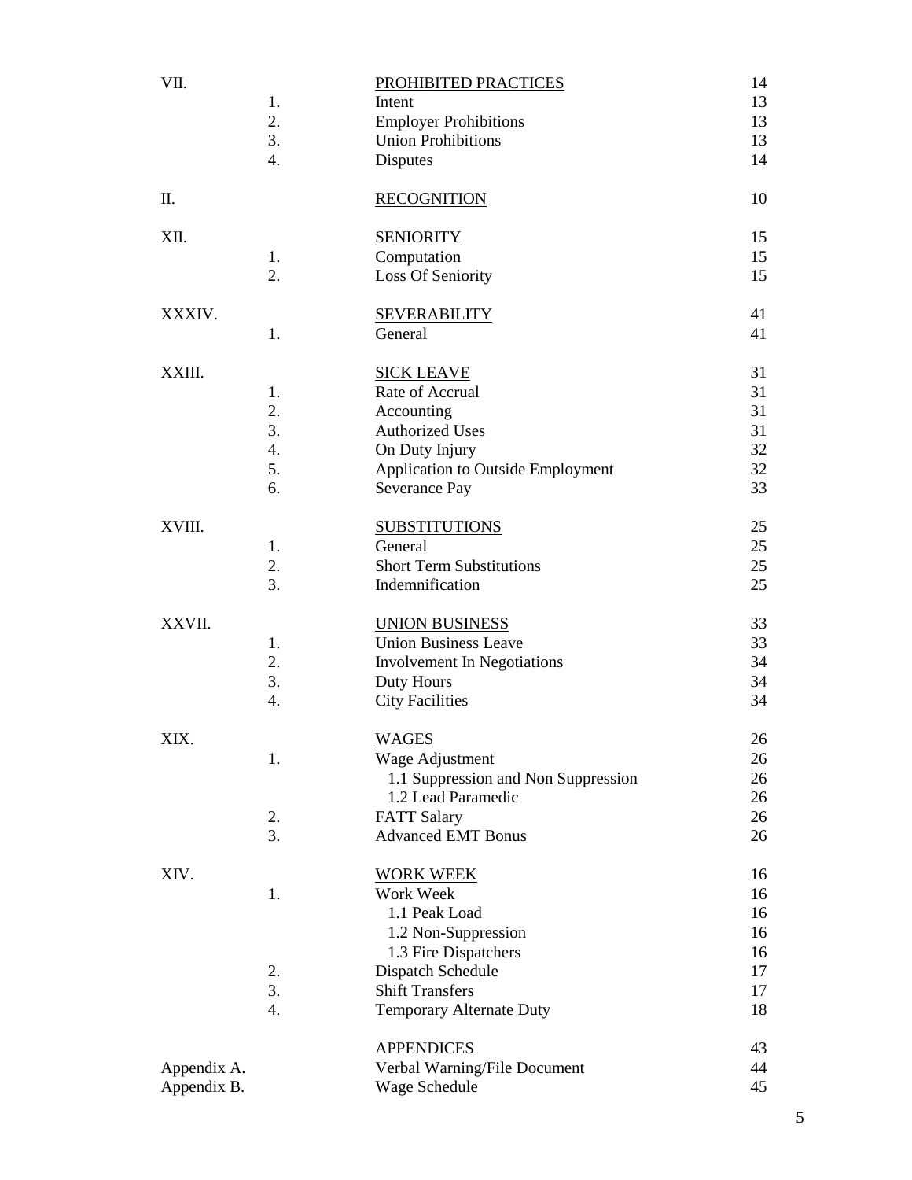| VII.                       | 1.<br>2.<br>3.<br>4.             | PROHIBITED PRACTICES<br>Intent<br><b>Employer Prohibitions</b><br><b>Union Prohibitions</b><br>Disputes                                                                  | 14<br>13<br>13<br>13<br>14                   |
|----------------------------|----------------------------------|--------------------------------------------------------------------------------------------------------------------------------------------------------------------------|----------------------------------------------|
| Π.                         |                                  | <b>RECOGNITION</b>                                                                                                                                                       | 10                                           |
| XII.                       | 1.<br>2.                         | <b>SENIORITY</b><br>Computation<br>Loss Of Seniority                                                                                                                     | 15<br>15<br>15                               |
| XXXIV.                     | 1.                               | <b>SEVERABILITY</b><br>General                                                                                                                                           | 41<br>41                                     |
| XXIII.                     | 1.<br>2.<br>3.<br>4.<br>5.<br>6. | <b>SICK LEAVE</b><br>Rate of Accrual<br>Accounting<br><b>Authorized Uses</b><br>On Duty Injury<br><b>Application to Outside Employment</b><br>Severance Pay              | 31<br>31<br>31<br>31<br>32<br>32<br>33       |
| XVIII.                     | 1.<br>2.<br>3.                   | <b>SUBSTITUTIONS</b><br>General<br><b>Short Term Substitutions</b><br>Indemnification                                                                                    | 25<br>25<br>25<br>25                         |
| XXVII.                     | 1.<br>2.<br>3.<br>4.             | <b>UNION BUSINESS</b><br><b>Union Business Leave</b><br>Involvement In Negotiations<br>Duty Hours<br><b>City Facilities</b>                                              | 33<br>33<br>34<br>34<br>34                   |
| XIX.                       | 1.<br>2.<br>3.                   | <b>WAGES</b><br>Wage Adjustment<br>1.1 Suppression and Non Suppression<br>1.2 Lead Paramedic<br><b>FATT Salary</b><br><b>Advanced EMT Bonus</b>                          | 26<br>26<br>26<br>26<br>26<br>26             |
| XIV.                       | 1.<br>2.<br>3.<br>4.             | <b>WORK WEEK</b><br>Work Week<br>1.1 Peak Load<br>1.2 Non-Suppression<br>1.3 Fire Dispatchers<br>Dispatch Schedule<br><b>Shift Transfers</b><br>Temporary Alternate Duty | 16<br>16<br>16<br>16<br>16<br>17<br>17<br>18 |
| Appendix A.<br>Appendix B. |                                  | <b>APPENDICES</b><br>Verbal Warning/File Document<br>Wage Schedule                                                                                                       | 43<br>44<br>45                               |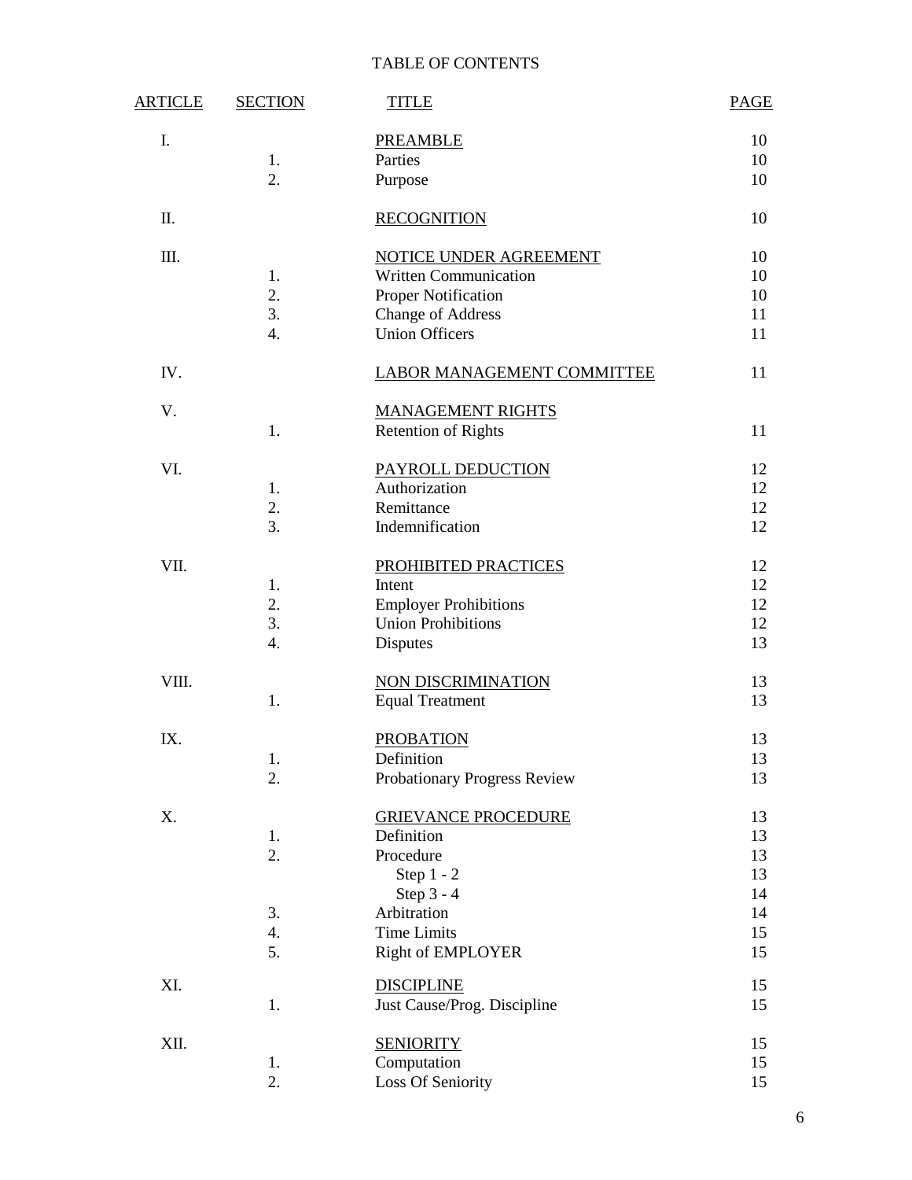# TABLE OF CONTENTS

| <u>ARTICLE</u> | <b>SECTION</b>   | <b>TITLE</b>                                              | <b>PAGE</b> |
|----------------|------------------|-----------------------------------------------------------|-------------|
| I.             |                  | <b>PREAMBLE</b>                                           | 10          |
|                | 1.               | Parties                                                   | 10          |
|                | 2.               | Purpose                                                   | 10          |
| Π.             |                  | <b>RECOGNITION</b>                                        | 10          |
| Ш.             |                  | NOTICE UNDER AGREEMENT                                    | 10          |
|                | 1.               | <b>Written Communication</b>                              | 10          |
|                | 2.               | Proper Notification                                       | 10          |
|                | 3.               | <b>Change of Address</b>                                  | 11          |
|                | $\overline{4}$ . | <b>Union Officers</b>                                     | 11          |
| IV.            |                  | <b>LABOR MANAGEMENT COMMITTEE</b>                         | 11          |
| V.             |                  | <b>MANAGEMENT RIGHTS</b>                                  |             |
|                | 1.               | <b>Retention of Rights</b>                                | 11          |
| VI.            |                  | PAYROLL DEDUCTION                                         | 12          |
|                | 1.               | Authorization                                             | 12          |
|                | 2.               | Remittance                                                | 12          |
|                | 3.               | Indemnification                                           | 12          |
| VII.           |                  | PROHIBITED PRACTICES                                      | 12          |
|                | 1.<br>2.         | Intent                                                    | 12          |
|                | 3.               | <b>Employer Prohibitions</b><br><b>Union Prohibitions</b> | 12<br>12    |
|                | 4.               | Disputes                                                  | 13          |
|                |                  |                                                           |             |
| VIII.          |                  | NON DISCRIMINATION                                        | 13          |
|                | 1.               | <b>Equal Treatment</b>                                    | 13          |
| IX.            |                  | <b>PROBATION</b>                                          | 13          |
|                | 1.               | Definition                                                | 13          |
|                | 2.               | Probationary Progress Review                              | 13          |
| Χ.             |                  | <b>GRIEVANCE PROCEDURE</b>                                | 13          |
|                | 1.               | Definition                                                | 13          |
|                | 2.               | Procedure<br>Step $1 - 2$                                 | 13          |
|                |                  | Step 3 - 4                                                | 13<br>14    |
|                | 3.               | Arbitration                                               | 14          |
|                | 4.               | <b>Time Limits</b>                                        | 15          |
|                | 5.               | <b>Right of EMPLOYER</b>                                  | 15          |
| XI.            |                  | <b>DISCIPLINE</b>                                         | 15          |
|                | 1.               | Just Cause/Prog. Discipline                               | 15          |
| XII.           |                  | <b>SENIORITY</b>                                          | 15          |
|                | 1.               | Computation                                               | 15          |
|                | 2.               | Loss Of Seniority                                         | 15          |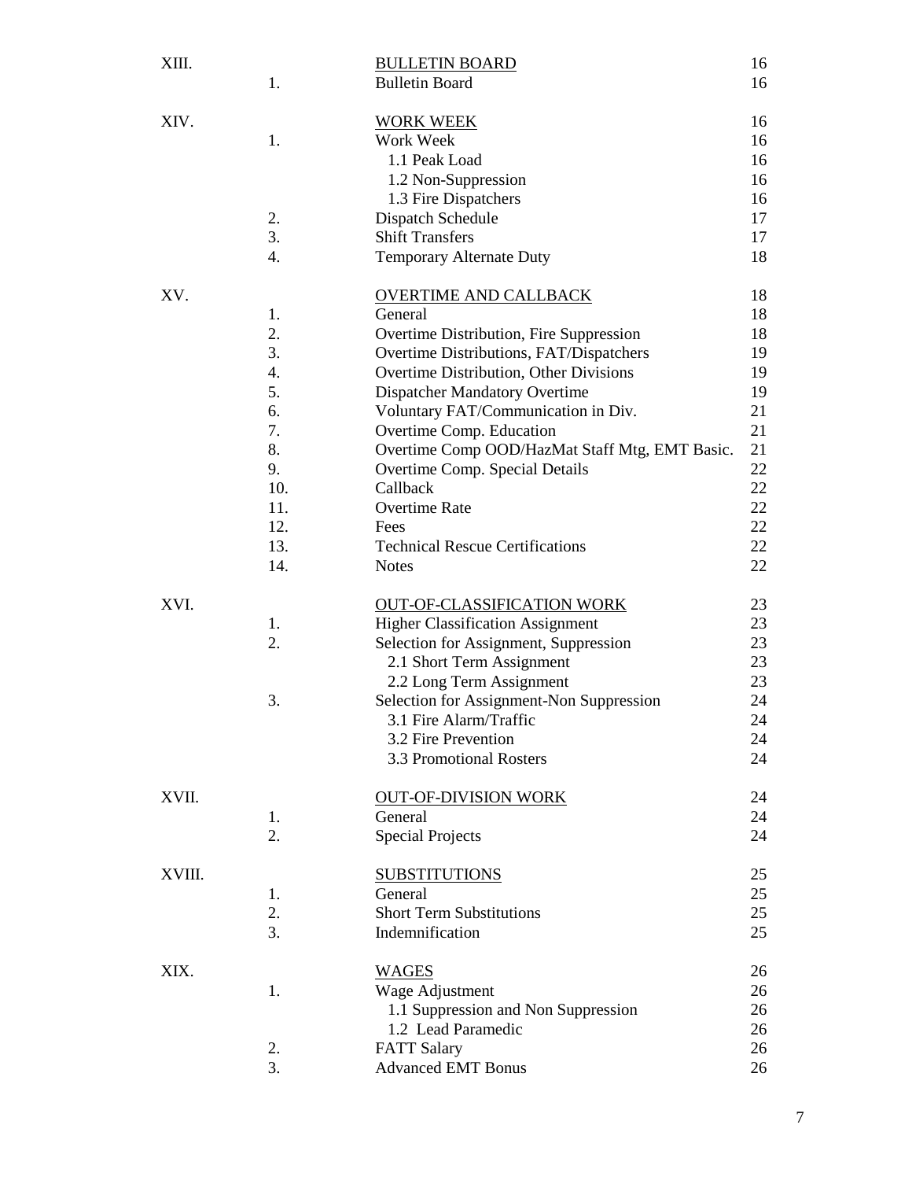| XIII.  |     | <b>BULLETIN BOARD</b>                          | 16 |
|--------|-----|------------------------------------------------|----|
|        | 1.  | <b>Bulletin Board</b>                          | 16 |
| XIV.   |     | <b>WORK WEEK</b>                               | 16 |
|        | 1.  | Work Week                                      | 16 |
|        |     | 1.1 Peak Load                                  | 16 |
|        |     | 1.2 Non-Suppression                            | 16 |
|        |     | 1.3 Fire Dispatchers                           | 16 |
|        | 2.  | Dispatch Schedule                              | 17 |
|        | 3.  | <b>Shift Transfers</b>                         | 17 |
|        | 4.  | <b>Temporary Alternate Duty</b>                | 18 |
| XV.    |     | <b>OVERTIME AND CALLBACK</b>                   | 18 |
|        | 1.  | General                                        | 18 |
|        | 2.  | Overtime Distribution, Fire Suppression        | 18 |
|        | 3.  | Overtime Distributions, FAT/Dispatchers        | 19 |
|        | 4.  | Overtime Distribution, Other Divisions         | 19 |
|        | 5.  | <b>Dispatcher Mandatory Overtime</b>           | 19 |
|        | 6.  | Voluntary FAT/Communication in Div.            | 21 |
|        | 7.  | Overtime Comp. Education                       | 21 |
|        | 8.  | Overtime Comp OOD/HazMat Staff Mtg, EMT Basic. | 21 |
|        | 9.  | Overtime Comp. Special Details                 | 22 |
|        | 10. | Callback                                       | 22 |
|        | 11. | <b>Overtime Rate</b>                           | 22 |
|        | 12. | Fees                                           | 22 |
|        | 13. | <b>Technical Rescue Certifications</b>         | 22 |
|        | 14. | <b>Notes</b>                                   | 22 |
| XVI.   |     | <b>OUT-OF-CLASSIFICATION WORK</b>              | 23 |
|        | 1.  | <b>Higher Classification Assignment</b>        | 23 |
|        | 2.  | Selection for Assignment, Suppression          | 23 |
|        |     | 2.1 Short Term Assignment                      | 23 |
|        |     | 2.2 Long Term Assignment                       | 23 |
|        | 3.  | Selection for Assignment-Non Suppression       | 24 |
|        |     | 3.1 Fire Alarm/Traffic                         | 24 |
|        |     | 3.2 Fire Prevention                            | 24 |
|        |     | 3.3 Promotional Rosters                        | 24 |
| XVII.  |     | <b>OUT-OF-DIVISION WORK</b>                    | 24 |
|        | 1.  | General                                        | 24 |
|        | 2.  | <b>Special Projects</b>                        | 24 |
| XVIII. |     | <b>SUBSTITUTIONS</b>                           | 25 |
|        | 1.  | General                                        | 25 |
|        | 2.  | <b>Short Term Substitutions</b>                | 25 |
|        | 3.  | Indemnification                                | 25 |
| XIX.   |     | <b>WAGES</b>                                   | 26 |
|        | 1.  | Wage Adjustment                                | 26 |
|        |     | 1.1 Suppression and Non Suppression            | 26 |
|        |     | 1.2 Lead Paramedic                             | 26 |
|        | 2.  | <b>FATT Salary</b>                             | 26 |
|        | 3.  | <b>Advanced EMT Bonus</b>                      | 26 |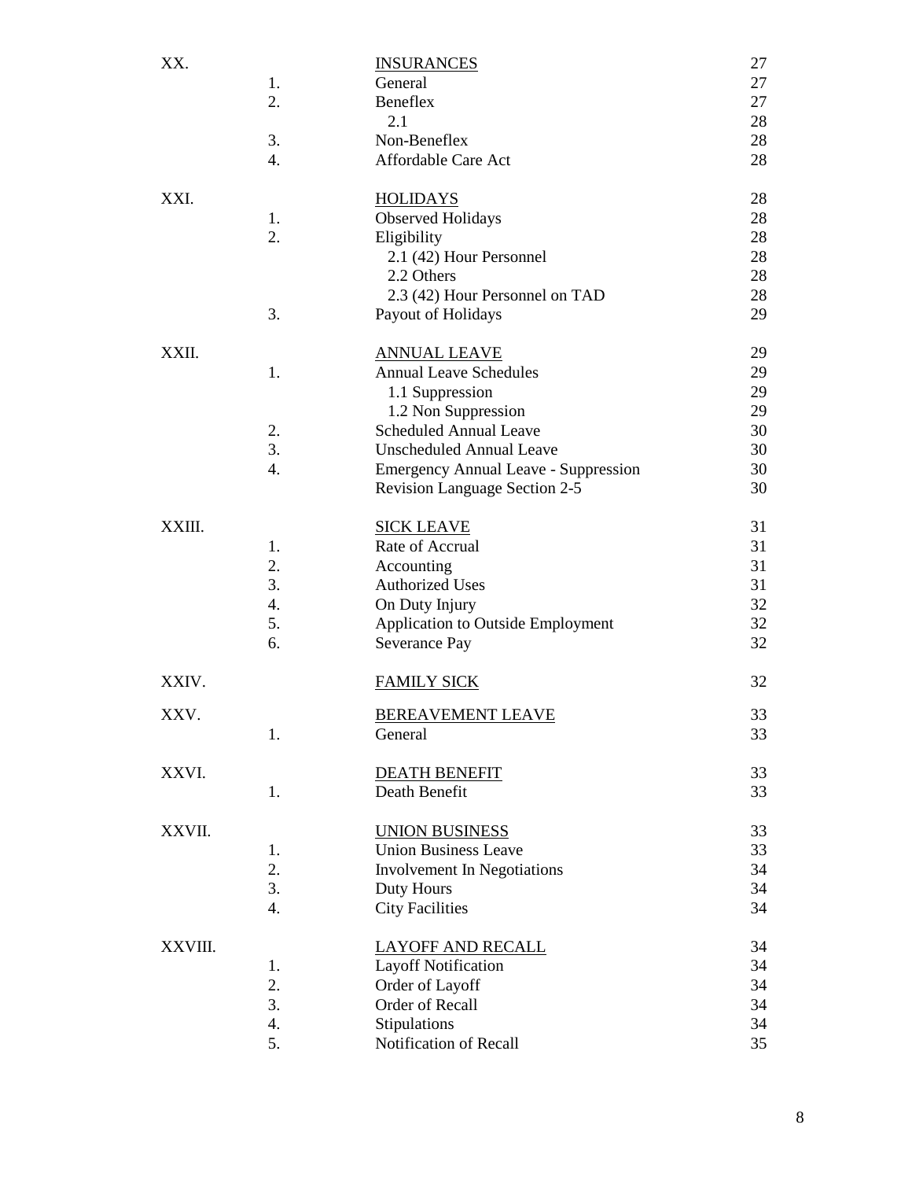| XX.     | 1. | <b>INSURANCES</b><br>General                         | 27<br>27 |
|---------|----|------------------------------------------------------|----------|
|         | 2. | Beneflex                                             | 27       |
|         |    | 2.1                                                  | 28       |
|         | 3. | Non-Beneflex                                         | 28       |
|         | 4. | Affordable Care Act                                  | 28       |
| XXI.    |    | <b>HOLIDAYS</b>                                      | 28       |
|         | 1. | <b>Observed Holidays</b>                             | 28       |
|         | 2. | Eligibility                                          | 28<br>28 |
|         |    | 2.1 (42) Hour Personnel<br>2.2 Others                | 28       |
|         |    | 2.3 (42) Hour Personnel on TAD                       | 28       |
|         | 3. | Payout of Holidays                                   | 29       |
| XXII.   |    |                                                      | 29       |
|         | 1. | <b>ANNUAL LEAVE</b><br><b>Annual Leave Schedules</b> | 29       |
|         |    | 1.1 Suppression                                      | 29       |
|         |    | 1.2 Non Suppression                                  | 29       |
|         | 2. | <b>Scheduled Annual Leave</b>                        | 30       |
|         | 3. | <b>Unscheduled Annual Leave</b>                      | 30       |
|         | 4. | <b>Emergency Annual Leave - Suppression</b>          | 30       |
|         |    | Revision Language Section 2-5                        | 30       |
| XXIII.  |    | <b>SICK LEAVE</b>                                    | 31       |
|         | 1. | Rate of Accrual                                      | 31       |
|         | 2. | Accounting                                           | 31       |
|         | 3. | <b>Authorized Uses</b>                               | 31       |
|         | 4. | On Duty Injury                                       | 32       |
|         | 5. | <b>Application to Outside Employment</b>             | 32       |
|         | 6. | Severance Pay                                        | 32       |
| XXIV.   |    | <b>FAMILY SICK</b>                                   | 32       |
| XXV.    |    | <b>BEREAVEMENT LEAVE</b>                             | 33       |
|         | 1. | General                                              | 33       |
| XXVI.   |    | <b>DEATH BENEFIT</b>                                 | 33       |
|         | 1. | Death Benefit                                        | 33       |
| XXVII.  |    | <b>UNION BUSINESS</b>                                | 33       |
|         | 1. | <b>Union Business Leave</b>                          | 33       |
|         | 2. | Involvement In Negotiations                          | 34       |
|         | 3. | Duty Hours                                           | 34       |
|         | 4. | <b>City Facilities</b>                               | 34       |
| XXVIII. |    | <b>LAYOFF AND RECALL</b>                             | 34       |
|         | 1. | <b>Layoff Notification</b>                           | 34       |
|         | 2. | Order of Layoff                                      | 34       |
|         | 3. | Order of Recall                                      | 34       |
|         | 4. | Stipulations                                         | 34       |
|         | 5. | Notification of Recall                               | 35       |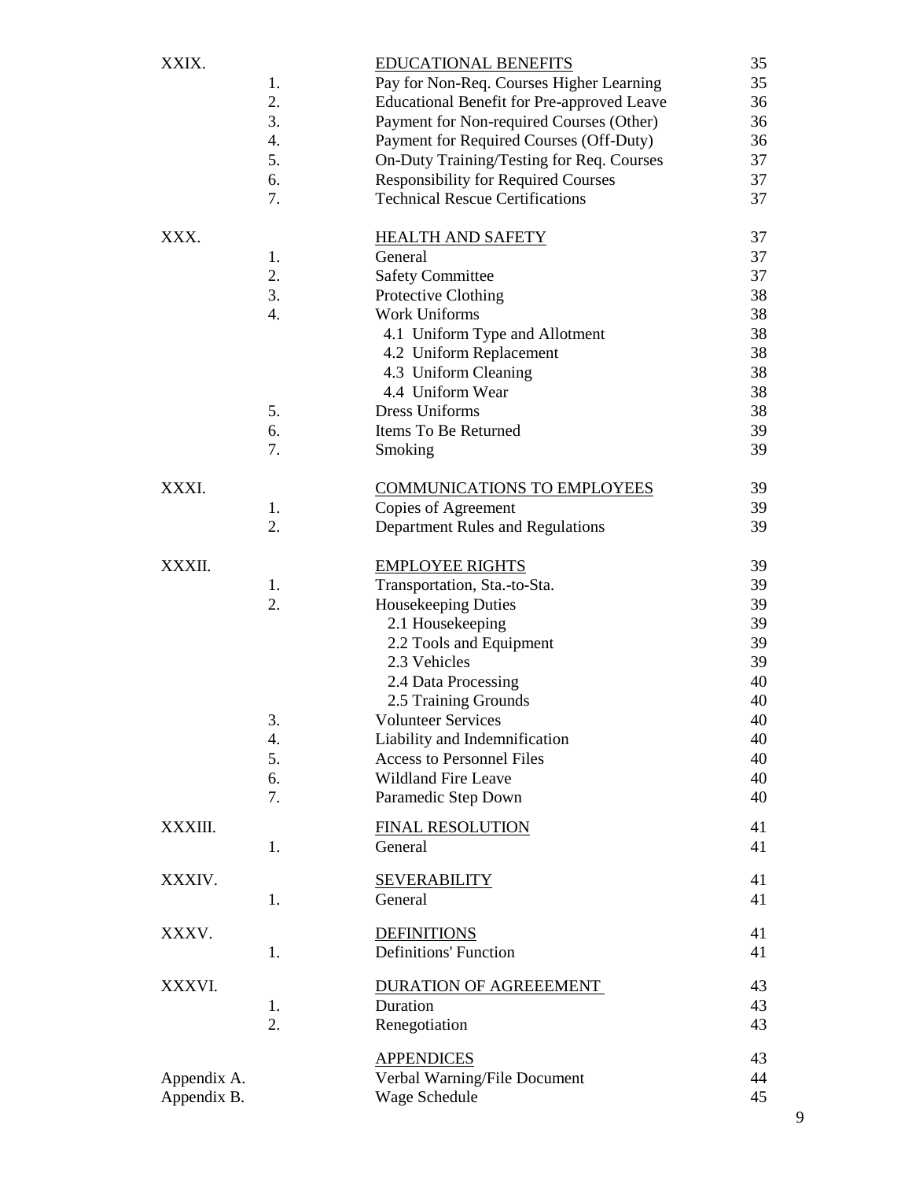| XXIX.                      | 1.<br>2.<br>3.<br>4.<br>5.<br>6.<br>7. | <b>EDUCATIONAL BENEFITS</b><br>Pay for Non-Req. Courses Higher Learning<br><b>Educational Benefit for Pre-approved Leave</b><br>Payment for Non-required Courses (Other)<br>Payment for Required Courses (Off-Duty)<br>On-Duty Training/Testing for Req. Courses<br><b>Responsibility for Required Courses</b><br><b>Technical Rescue Certifications</b> | 35<br>35<br>36<br>36<br>36<br>37<br>37<br>37                               |
|----------------------------|----------------------------------------|----------------------------------------------------------------------------------------------------------------------------------------------------------------------------------------------------------------------------------------------------------------------------------------------------------------------------------------------------------|----------------------------------------------------------------------------|
| XXX.                       | 1.<br>2.<br>3.<br>4.<br>5.<br>6.<br>7. | <b>HEALTH AND SAFETY</b><br>General<br><b>Safety Committee</b><br>Protective Clothing<br><b>Work Uniforms</b><br>4.1 Uniform Type and Allotment<br>4.2 Uniform Replacement<br>4.3 Uniform Cleaning<br>4.4 Uniform Wear<br>Dress Uniforms<br>Items To Be Returned<br>Smoking                                                                              | 37<br>37<br>37<br>38<br>38<br>38<br>38<br>38<br>38<br>38<br>39<br>39       |
| XXXI.                      | 1.<br>2.                               | <b>COMMUNICATIONS TO EMPLOYEES</b><br>Copies of Agreement<br>Department Rules and Regulations                                                                                                                                                                                                                                                            | 39<br>39<br>39                                                             |
| XXXII.                     | 1.<br>2.<br>3.<br>4.<br>5.<br>6.<br>7. | <b>EMPLOYEE RIGHTS</b><br>Transportation, Sta.-to-Sta.<br>Housekeeping Duties<br>2.1 Housekeeping<br>2.2 Tools and Equipment<br>2.3 Vehicles<br>2.4 Data Processing<br>2.5 Training Grounds<br><b>Volunteer Services</b><br>Liability and Indemnification<br><b>Access to Personnel Files</b><br><b>Wildland Fire Leave</b><br>Paramedic Step Down       | 39<br>39<br>39<br>39<br>39<br>39<br>40<br>40<br>40<br>40<br>40<br>40<br>40 |
| XXXIII.                    | 1.                                     | <b>FINAL RESOLUTION</b><br>General                                                                                                                                                                                                                                                                                                                       | 41<br>41                                                                   |
| XXXIV.                     | 1.                                     | <b>SEVERABILITY</b><br>General                                                                                                                                                                                                                                                                                                                           | 41<br>41                                                                   |
| XXXV.                      | 1.                                     | <b>DEFINITIONS</b><br><b>Definitions' Function</b>                                                                                                                                                                                                                                                                                                       | 41<br>41                                                                   |
| XXXVI.                     | 1.<br>2.                               | <b>DURATION OF AGREEEMENT</b><br>Duration<br>Renegotiation                                                                                                                                                                                                                                                                                               | 43<br>43<br>43                                                             |
| Appendix A.<br>Appendix B. |                                        | <b>APPENDICES</b><br>Verbal Warning/File Document<br>Wage Schedule                                                                                                                                                                                                                                                                                       | 43<br>44<br>45                                                             |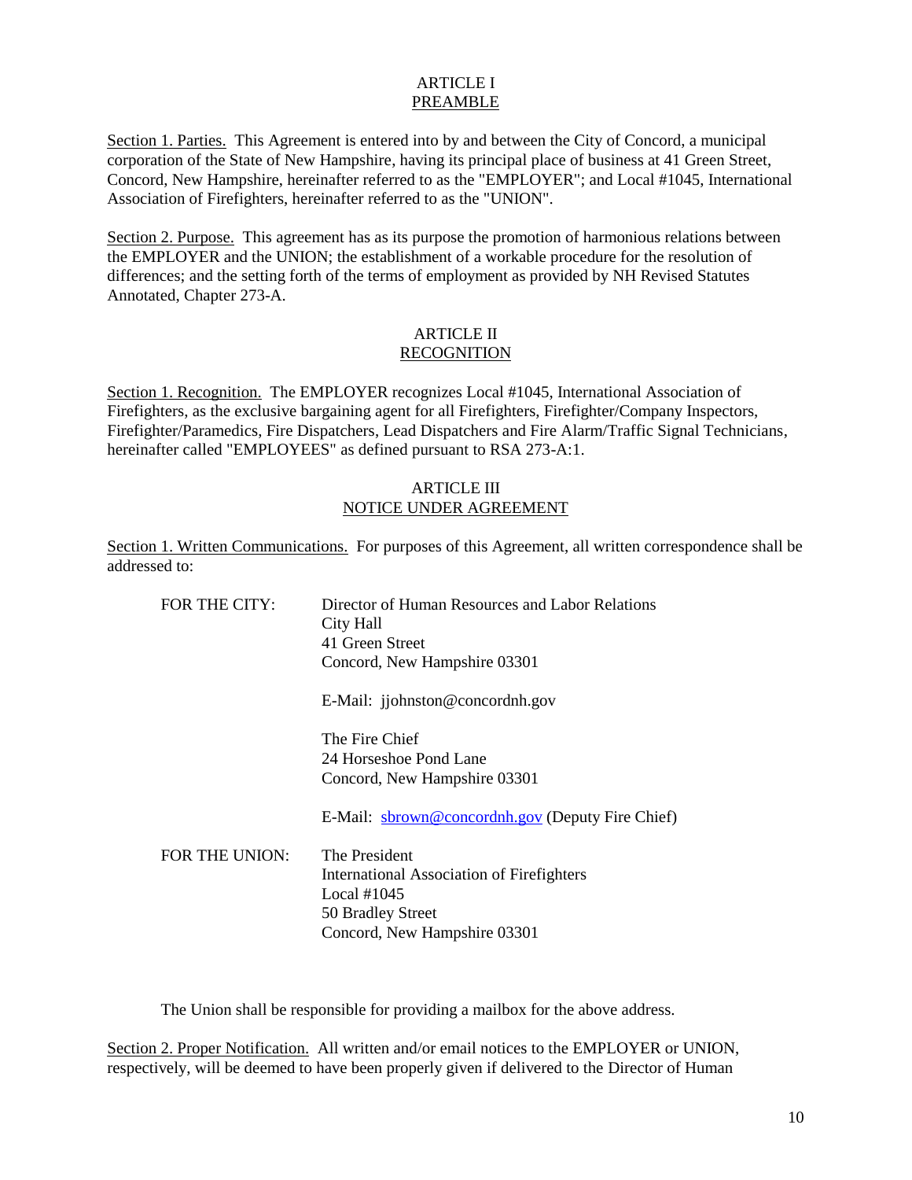### ARTICLE I PREAMBLE

Section 1. Parties. This Agreement is entered into by and between the City of Concord, a municipal corporation of the State of New Hampshire, having its principal place of business at 41 Green Street, Concord, New Hampshire, hereinafter referred to as the "EMPLOYER"; and Local #1045, International Association of Firefighters, hereinafter referred to as the "UNION".

Section 2. Purpose. This agreement has as its purpose the promotion of harmonious relations between the EMPLOYER and the UNION; the establishment of a workable procedure for the resolution of differences; and the setting forth of the terms of employment as provided by NH Revised Statutes Annotated, Chapter 273-A.

## ARTICLE II RECOGNITION

Section 1. Recognition. The EMPLOYER recognizes Local #1045, International Association of Firefighters, as the exclusive bargaining agent for all Firefighters, Firefighter/Company Inspectors, Firefighter/Paramedics, Fire Dispatchers, Lead Dispatchers and Fire Alarm/Traffic Signal Technicians, hereinafter called "EMPLOYEES" as defined pursuant to RSA 273-A:1.

### ARTICLE III NOTICE UNDER AGREEMENT

Section 1. Written Communications. For purposes of this Agreement, all written correspondence shall be addressed to:

| FOR THE CITY:  | Director of Human Resources and Labor Relations<br>City Hall |
|----------------|--------------------------------------------------------------|
|                | 41 Green Street                                              |
|                | Concord, New Hampshire 03301                                 |
|                | E-Mail: jjohnston@concordnh.gov                              |
|                | The Fire Chief                                               |
|                | 24 Horseshoe Pond Lane                                       |
|                | Concord, New Hampshire 03301                                 |
|                | E-Mail: sbrown@concordnh.gov (Deputy Fire Chief)             |
| FOR THE UNION: | The President                                                |
|                | International Association of Firefighters                    |
|                | Local $\#1045$                                               |
|                | 50 Bradley Street                                            |
|                | Concord, New Hampshire 03301                                 |

The Union shall be responsible for providing a mailbox for the above address.

Section 2. Proper Notification. All written and/or email notices to the EMPLOYER or UNION, respectively, will be deemed to have been properly given if delivered to the Director of Human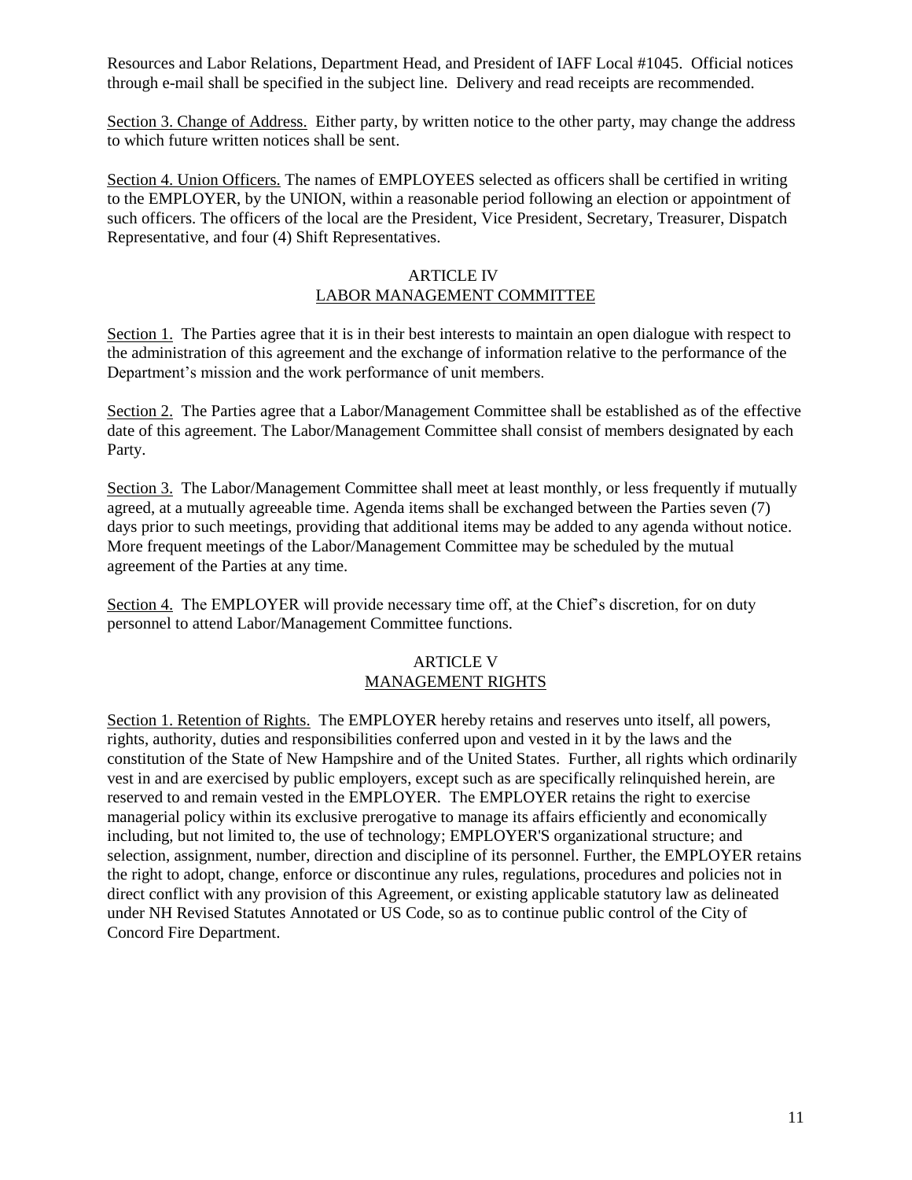Resources and Labor Relations, Department Head, and President of IAFF Local #1045. Official notices through e-mail shall be specified in the subject line. Delivery and read receipts are recommended.

Section 3. Change of Address. Either party, by written notice to the other party, may change the address to which future written notices shall be sent.

Section 4. Union Officers. The names of EMPLOYEES selected as officers shall be certified in writing to the EMPLOYER, by the UNION, within a reasonable period following an election or appointment of such officers. The officers of the local are the President, Vice President, Secretary, Treasurer, Dispatch Representative, and four (4) Shift Representatives.

### ARTICLE IV LABOR MANAGEMENT COMMITTEE

Section 1. The Parties agree that it is in their best interests to maintain an open dialogue with respect to the administration of this agreement and the exchange of information relative to the performance of the Department's mission and the work performance of unit members.

Section 2. The Parties agree that a Labor/Management Committee shall be established as of the effective date of this agreement. The Labor/Management Committee shall consist of members designated by each Party.

Section 3. The Labor/Management Committee shall meet at least monthly, or less frequently if mutually agreed, at a mutually agreeable time. Agenda items shall be exchanged between the Parties seven (7) days prior to such meetings, providing that additional items may be added to any agenda without notice. More frequent meetings of the Labor/Management Committee may be scheduled by the mutual agreement of the Parties at any time.

Section 4. The EMPLOYER will provide necessary time off, at the Chief's discretion, for on duty personnel to attend Labor/Management Committee functions.

### ARTICLE V MANAGEMENT RIGHTS

Section 1. Retention of Rights. The EMPLOYER hereby retains and reserves unto itself, all powers, rights, authority, duties and responsibilities conferred upon and vested in it by the laws and the constitution of the State of New Hampshire and of the United States. Further, all rights which ordinarily vest in and are exercised by public employers, except such as are specifically relinquished herein, are reserved to and remain vested in the EMPLOYER. The EMPLOYER retains the right to exercise managerial policy within its exclusive prerogative to manage its affairs efficiently and economically including, but not limited to, the use of technology; EMPLOYER'S organizational structure; and selection, assignment, number, direction and discipline of its personnel. Further, the EMPLOYER retains the right to adopt, change, enforce or discontinue any rules, regulations, procedures and policies not in direct conflict with any provision of this Agreement, or existing applicable statutory law as delineated under NH Revised Statutes Annotated or US Code, so as to continue public control of the City of Concord Fire Department.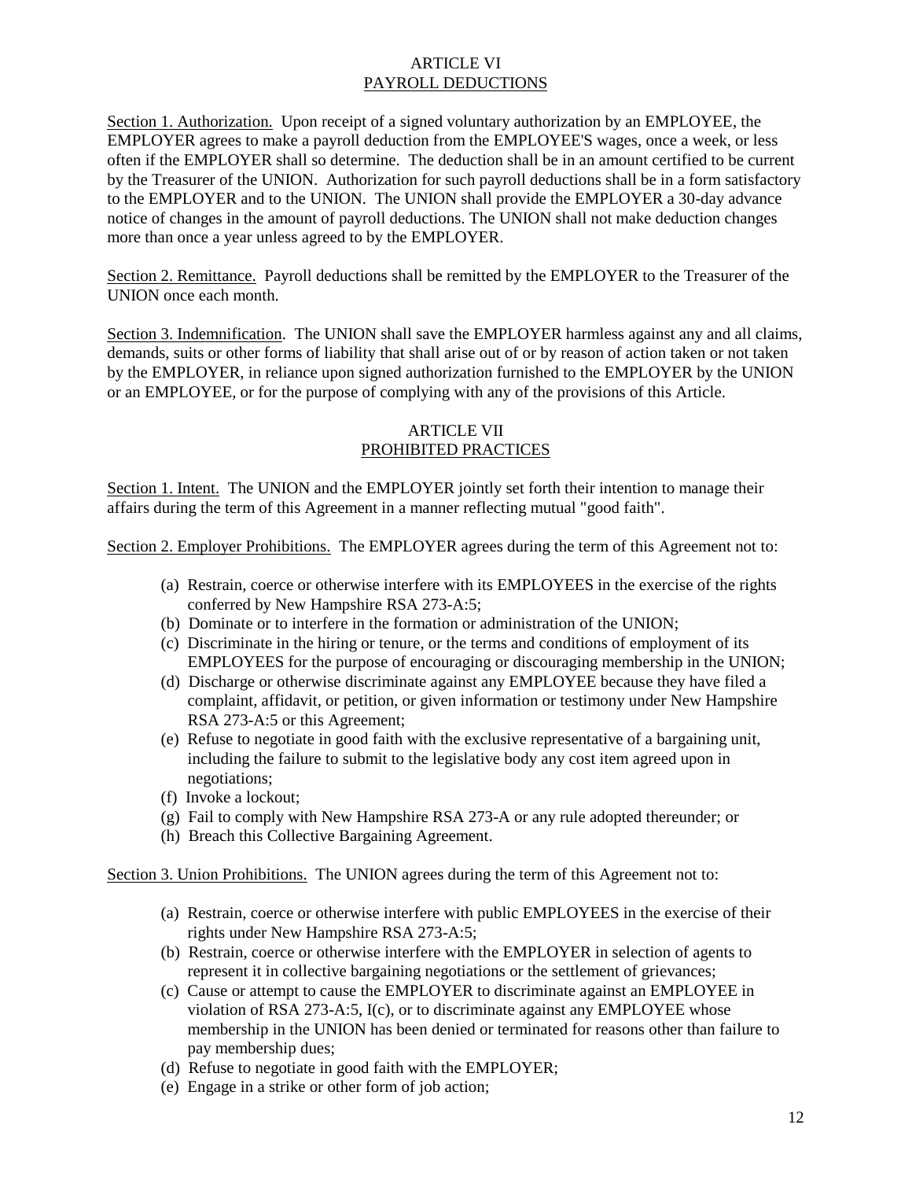### ARTICLE VI PAYROLL DEDUCTIONS

Section 1. Authorization. Upon receipt of a signed voluntary authorization by an EMPLOYEE, the EMPLOYER agrees to make a payroll deduction from the EMPLOYEE'S wages, once a week, or less often if the EMPLOYER shall so determine. The deduction shall be in an amount certified to be current by the Treasurer of the UNION. Authorization for such payroll deductions shall be in a form satisfactory to the EMPLOYER and to the UNION. The UNION shall provide the EMPLOYER a 30-day advance notice of changes in the amount of payroll deductions. The UNION shall not make deduction changes more than once a year unless agreed to by the EMPLOYER.

Section 2. Remittance. Payroll deductions shall be remitted by the EMPLOYER to the Treasurer of the UNION once each month.

Section 3. Indemnification. The UNION shall save the EMPLOYER harmless against any and all claims, demands, suits or other forms of liability that shall arise out of or by reason of action taken or not taken by the EMPLOYER, in reliance upon signed authorization furnished to the EMPLOYER by the UNION or an EMPLOYEE, or for the purpose of complying with any of the provisions of this Article.

## ARTICLE VII PROHIBITED PRACTICES

Section 1. Intent. The UNION and the EMPLOYER jointly set forth their intention to manage their affairs during the term of this Agreement in a manner reflecting mutual "good faith".

Section 2. Employer Prohibitions. The EMPLOYER agrees during the term of this Agreement not to:

- (a) Restrain, coerce or otherwise interfere with its EMPLOYEES in the exercise of the rights conferred by New Hampshire RSA 273-A:5;
- (b) Dominate or to interfere in the formation or administration of the UNION;
- (c) Discriminate in the hiring or tenure, or the terms and conditions of employment of its EMPLOYEES for the purpose of encouraging or discouraging membership in the UNION;
- (d) Discharge or otherwise discriminate against any EMPLOYEE because they have filed a complaint, affidavit, or petition, or given information or testimony under New Hampshire RSA 273-A:5 or this Agreement;
- (e) Refuse to negotiate in good faith with the exclusive representative of a bargaining unit, including the failure to submit to the legislative body any cost item agreed upon in negotiations;
- (f) Invoke a lockout;
- (g) Fail to comply with New Hampshire RSA 273-A or any rule adopted thereunder; or
- (h) Breach this Collective Bargaining Agreement.

Section 3. Union Prohibitions. The UNION agrees during the term of this Agreement not to:

- (a) Restrain, coerce or otherwise interfere with public EMPLOYEES in the exercise of their rights under New Hampshire RSA 273-A:5;
- (b) Restrain, coerce or otherwise interfere with the EMPLOYER in selection of agents to represent it in collective bargaining negotiations or the settlement of grievances;
- (c) Cause or attempt to cause the EMPLOYER to discriminate against an EMPLOYEE in violation of RSA 273-A:5, I(c), or to discriminate against any EMPLOYEE whose membership in the UNION has been denied or terminated for reasons other than failure to pay membership dues;
- (d) Refuse to negotiate in good faith with the EMPLOYER;
- (e) Engage in a strike or other form of job action;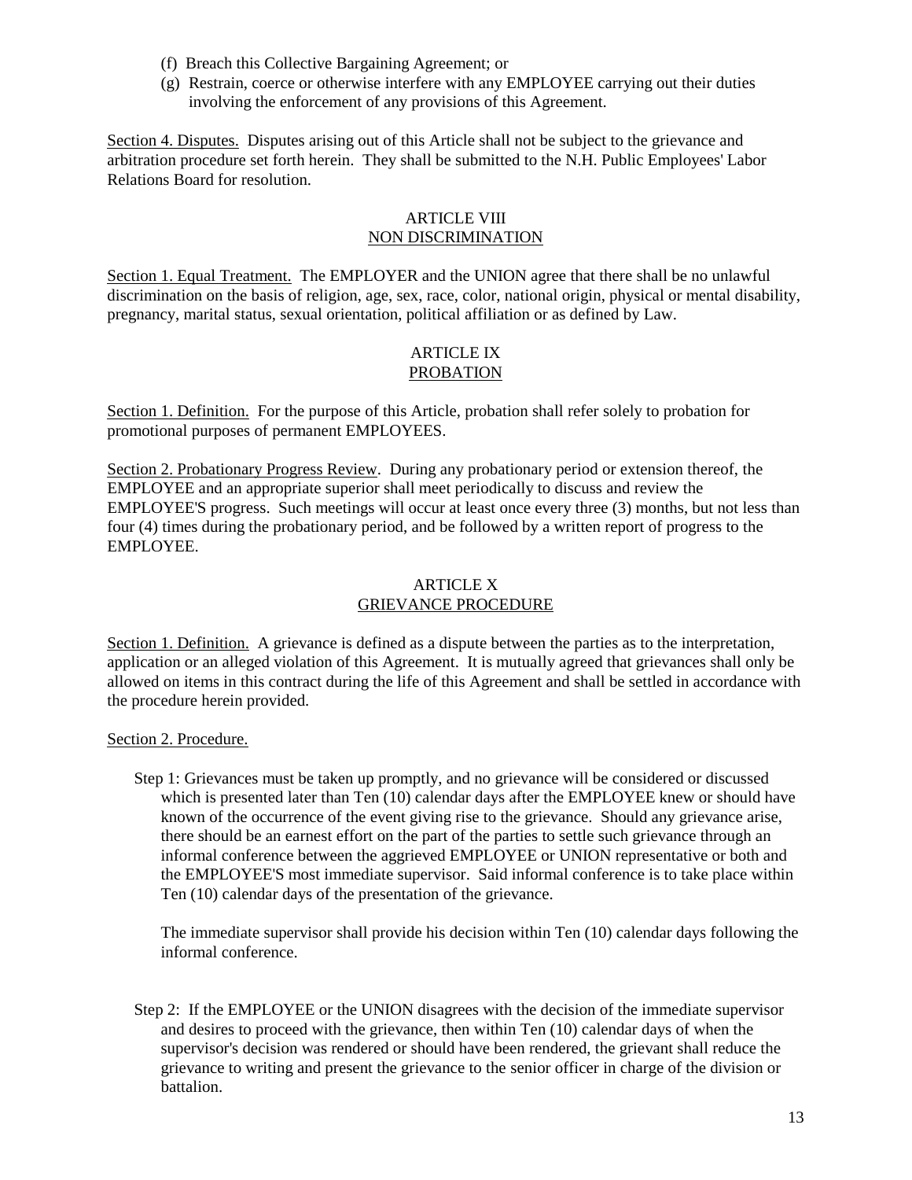- (f) Breach this Collective Bargaining Agreement; or
- (g) Restrain, coerce or otherwise interfere with any EMPLOYEE carrying out their duties involving the enforcement of any provisions of this Agreement.

Section 4. Disputes. Disputes arising out of this Article shall not be subject to the grievance and arbitration procedure set forth herein. They shall be submitted to the N.H. Public Employees' Labor Relations Board for resolution.

### ARTICLE VIII NON DISCRIMINATION

Section 1. Equal Treatment. The EMPLOYER and the UNION agree that there shall be no unlawful discrimination on the basis of religion, age, sex, race, color, national origin, physical or mental disability, pregnancy, marital status, sexual orientation, political affiliation or as defined by Law.

## ARTICLE IX PROBATION

Section 1. Definition. For the purpose of this Article, probation shall refer solely to probation for promotional purposes of permanent EMPLOYEES.

Section 2. Probationary Progress Review. During any probationary period or extension thereof, the EMPLOYEE and an appropriate superior shall meet periodically to discuss and review the EMPLOYEE'S progress. Such meetings will occur at least once every three (3) months, but not less than four (4) times during the probationary period, and be followed by a written report of progress to the EMPLOYEE.

## ARTICLE X GRIEVANCE PROCEDURE

Section 1. Definition. A grievance is defined as a dispute between the parties as to the interpretation, application or an alleged violation of this Agreement. It is mutually agreed that grievances shall only be allowed on items in this contract during the life of this Agreement and shall be settled in accordance with the procedure herein provided.

### Section 2. Procedure.

Step 1: Grievances must be taken up promptly, and no grievance will be considered or discussed which is presented later than Ten (10) calendar days after the EMPLOYEE knew or should have known of the occurrence of the event giving rise to the grievance. Should any grievance arise, there should be an earnest effort on the part of the parties to settle such grievance through an informal conference between the aggrieved EMPLOYEE or UNION representative or both and the EMPLOYEE'S most immediate supervisor. Said informal conference is to take place within Ten (10) calendar days of the presentation of the grievance.

The immediate supervisor shall provide his decision within Ten (10) calendar days following the informal conference.

Step 2: If the EMPLOYEE or the UNION disagrees with the decision of the immediate supervisor and desires to proceed with the grievance, then within Ten (10) calendar days of when the supervisor's decision was rendered or should have been rendered, the grievant shall reduce the grievance to writing and present the grievance to the senior officer in charge of the division or battalion.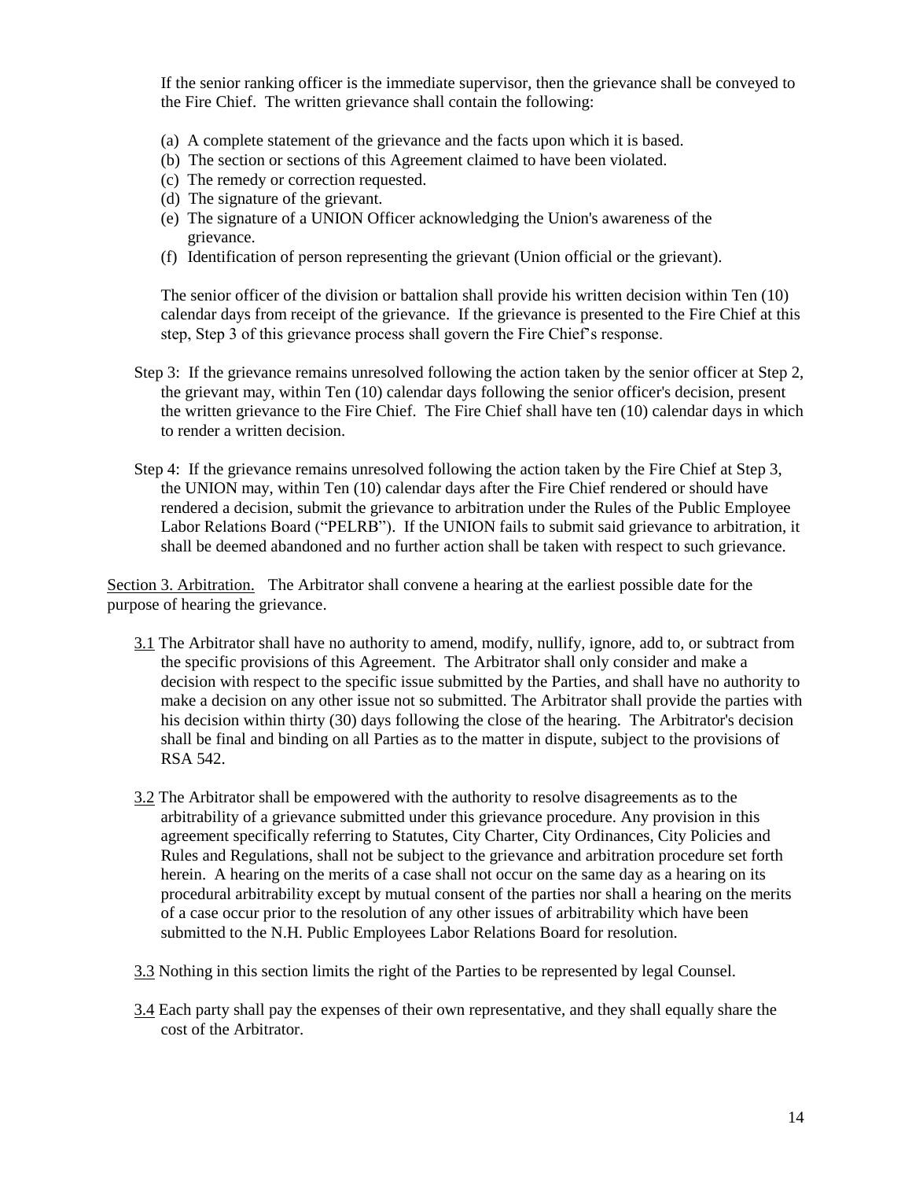If the senior ranking officer is the immediate supervisor, then the grievance shall be conveyed to the Fire Chief. The written grievance shall contain the following:

- (a) A complete statement of the grievance and the facts upon which it is based.
- (b) The section or sections of this Agreement claimed to have been violated.
- (c) The remedy or correction requested.
- (d) The signature of the grievant.
- (e) The signature of a UNION Officer acknowledging the Union's awareness of the grievance.
- (f) Identification of person representing the grievant (Union official or the grievant).

The senior officer of the division or battalion shall provide his written decision within Ten (10) calendar days from receipt of the grievance. If the grievance is presented to the Fire Chief at this step, Step 3 of this grievance process shall govern the Fire Chief's response.

- Step 3: If the grievance remains unresolved following the action taken by the senior officer at Step 2, the grievant may, within Ten (10) calendar days following the senior officer's decision, present the written grievance to the Fire Chief. The Fire Chief shall have ten (10) calendar days in which to render a written decision.
- Step 4: If the grievance remains unresolved following the action taken by the Fire Chief at Step 3, the UNION may, within Ten (10) calendar days after the Fire Chief rendered or should have rendered a decision, submit the grievance to arbitration under the Rules of the Public Employee Labor Relations Board ("PELRB"). If the UNION fails to submit said grievance to arbitration, it shall be deemed abandoned and no further action shall be taken with respect to such grievance.

Section 3. Arbitration. The Arbitrator shall convene a hearing at the earliest possible date for the purpose of hearing the grievance.

- 3.1 The Arbitrator shall have no authority to amend, modify, nullify, ignore, add to, or subtract from the specific provisions of this Agreement. The Arbitrator shall only consider and make a decision with respect to the specific issue submitted by the Parties, and shall have no authority to make a decision on any other issue not so submitted. The Arbitrator shall provide the parties with his decision within thirty (30) days following the close of the hearing. The Arbitrator's decision shall be final and binding on all Parties as to the matter in dispute, subject to the provisions of RSA 542.
- 3.2 The Arbitrator shall be empowered with the authority to resolve disagreements as to the arbitrability of a grievance submitted under this grievance procedure. Any provision in this agreement specifically referring to Statutes, City Charter, City Ordinances, City Policies and Rules and Regulations, shall not be subject to the grievance and arbitration procedure set forth herein. A hearing on the merits of a case shall not occur on the same day as a hearing on its procedural arbitrability except by mutual consent of the parties nor shall a hearing on the merits of a case occur prior to the resolution of any other issues of arbitrability which have been submitted to the N.H. Public Employees Labor Relations Board for resolution.
- 3.3 Nothing in this section limits the right of the Parties to be represented by legal Counsel.
- 3.4 Each party shall pay the expenses of their own representative, and they shall equally share the cost of the Arbitrator.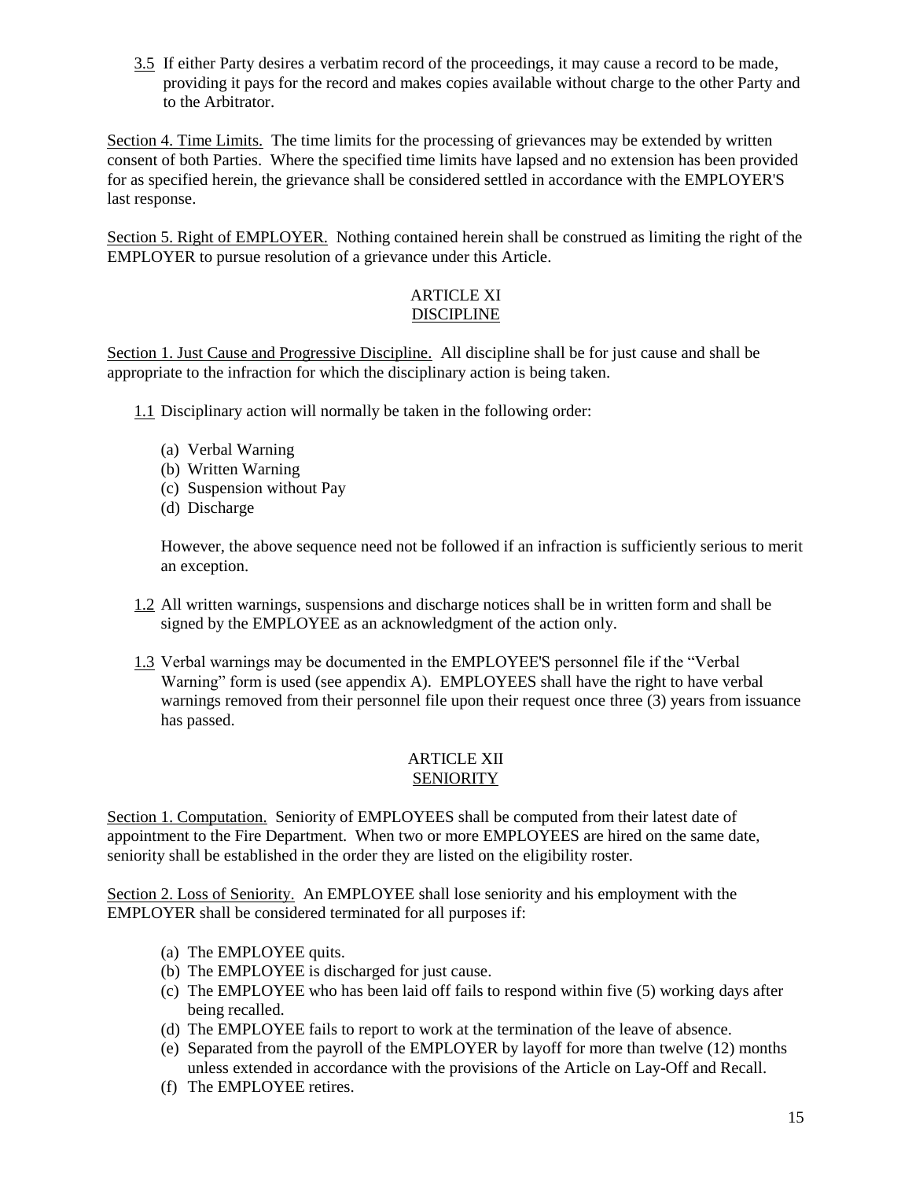3.5 If either Party desires a verbatim record of the proceedings, it may cause a record to be made, providing it pays for the record and makes copies available without charge to the other Party and to the Arbitrator.

Section 4. Time Limits. The time limits for the processing of grievances may be extended by written consent of both Parties. Where the specified time limits have lapsed and no extension has been provided for as specified herein, the grievance shall be considered settled in accordance with the EMPLOYER'S last response.

Section 5. Right of EMPLOYER. Nothing contained herein shall be construed as limiting the right of the EMPLOYER to pursue resolution of a grievance under this Article.

### ARTICLE XI DISCIPLINE

Section 1. Just Cause and Progressive Discipline. All discipline shall be for just cause and shall be appropriate to the infraction for which the disciplinary action is being taken.

- 1.1 Disciplinary action will normally be taken in the following order:
	- (a) Verbal Warning
	- (b) Written Warning
	- (c) Suspension without Pay
	- (d) Discharge

However, the above sequence need not be followed if an infraction is sufficiently serious to merit an exception.

- 1.2 All written warnings, suspensions and discharge notices shall be in written form and shall be signed by the EMPLOYEE as an acknowledgment of the action only.
- 1.3 Verbal warnings may be documented in the EMPLOYEE'S personnel file if the "Verbal Warning" form is used (see appendix A). EMPLOYEES shall have the right to have verbal warnings removed from their personnel file upon their request once three (3) years from issuance has passed.

## ARTICLE XII **SENIORITY**

Section 1. Computation. Seniority of EMPLOYEES shall be computed from their latest date of appointment to the Fire Department. When two or more EMPLOYEES are hired on the same date, seniority shall be established in the order they are listed on the eligibility roster.

Section 2. Loss of Seniority. An EMPLOYEE shall lose seniority and his employment with the EMPLOYER shall be considered terminated for all purposes if:

- (a) The EMPLOYEE quits.
- (b) The EMPLOYEE is discharged for just cause.
- (c) The EMPLOYEE who has been laid off fails to respond within five (5) working days after being recalled.
- (d) The EMPLOYEE fails to report to work at the termination of the leave of absence.
- (e) Separated from the payroll of the EMPLOYER by layoff for more than twelve (12) months unless extended in accordance with the provisions of the Article on Lay-Off and Recall.
- (f) The EMPLOYEE retires.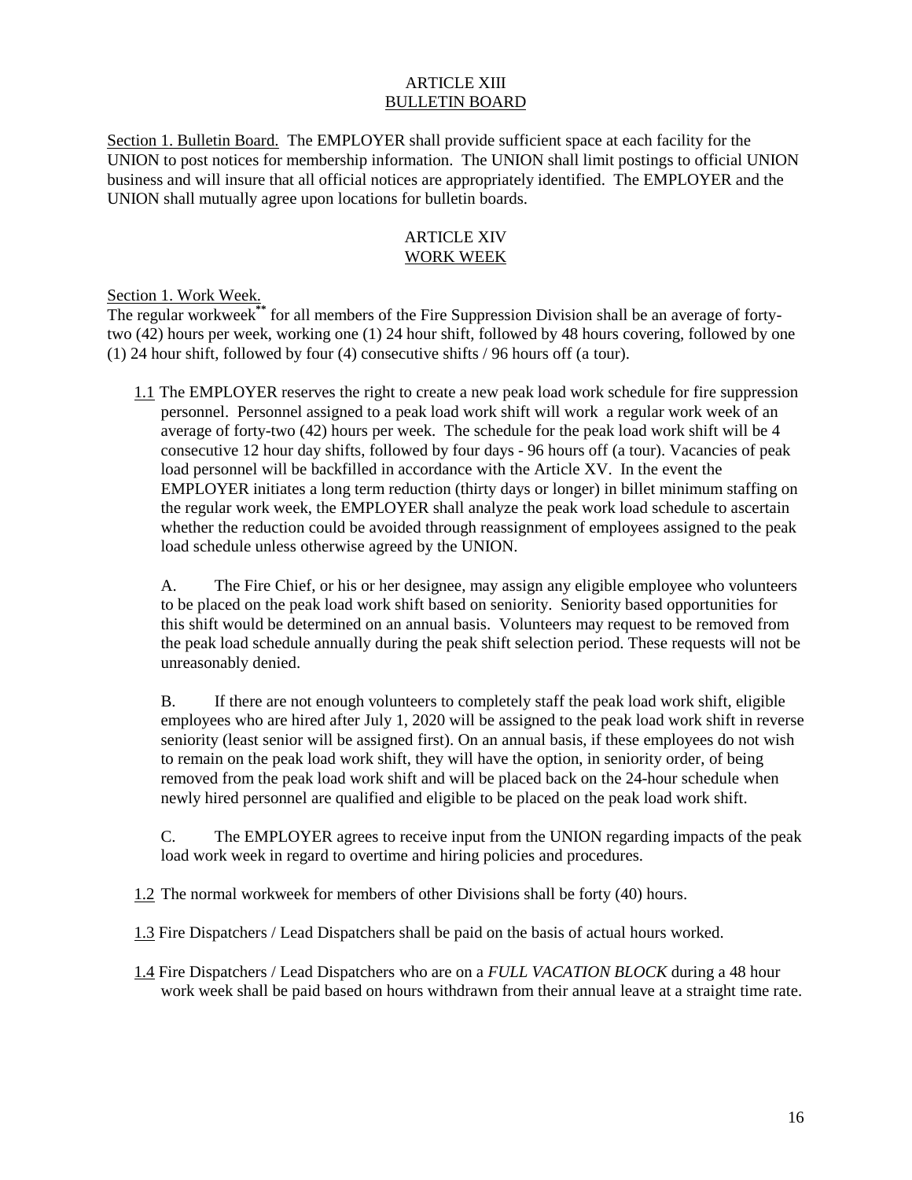#### ARTICLE XIII BULLETIN BOARD

Section 1. Bulletin Board. The EMPLOYER shall provide sufficient space at each facility for the UNION to post notices for membership information. The UNION shall limit postings to official UNION business and will insure that all official notices are appropriately identified. The EMPLOYER and the UNION shall mutually agree upon locations for bulletin boards.

## ARTICLE XIV WORK WEEK

## Section 1. Work Week.

The regular workweek**\*\*** for all members of the Fire Suppression Division shall be an average of fortytwo (42) hours per week, working one (1) 24 hour shift, followed by 48 hours covering, followed by one (1) 24 hour shift, followed by four (4) consecutive shifts / 96 hours off (a tour).

1.1 The EMPLOYER reserves the right to create a new peak load work schedule for fire suppression personnel. Personnel assigned to a peak load work shift will work a regular work week of an average of forty-two (42) hours per week. The schedule for the peak load work shift will be 4 consecutive 12 hour day shifts, followed by four days - 96 hours off (a tour). Vacancies of peak load personnel will be backfilled in accordance with the Article XV. In the event the EMPLOYER initiates a long term reduction (thirty days or longer) in billet minimum staffing on the regular work week, the EMPLOYER shall analyze the peak work load schedule to ascertain whether the reduction could be avoided through reassignment of employees assigned to the peak load schedule unless otherwise agreed by the UNION.

A. The Fire Chief, or his or her designee, may assign any eligible employee who volunteers to be placed on the peak load work shift based on seniority. Seniority based opportunities for this shift would be determined on an annual basis. Volunteers may request to be removed from the peak load schedule annually during the peak shift selection period. These requests will not be unreasonably denied.

B. If there are not enough volunteers to completely staff the peak load work shift, eligible employees who are hired after July 1, 2020 will be assigned to the peak load work shift in reverse seniority (least senior will be assigned first). On an annual basis, if these employees do not wish to remain on the peak load work shift, they will have the option, in seniority order, of being removed from the peak load work shift and will be placed back on the 24-hour schedule when newly hired personnel are qualified and eligible to be placed on the peak load work shift.

C. The EMPLOYER agrees to receive input from the UNION regarding impacts of the peak load work week in regard to overtime and hiring policies and procedures.

1.2 The normal workweek for members of other Divisions shall be forty (40) hours.

1.3 Fire Dispatchers / Lead Dispatchers shall be paid on the basis of actual hours worked.

1.4 Fire Dispatchers / Lead Dispatchers who are on a *FULL VACATION BLOCK* during a 48 hour work week shall be paid based on hours withdrawn from their annual leave at a straight time rate.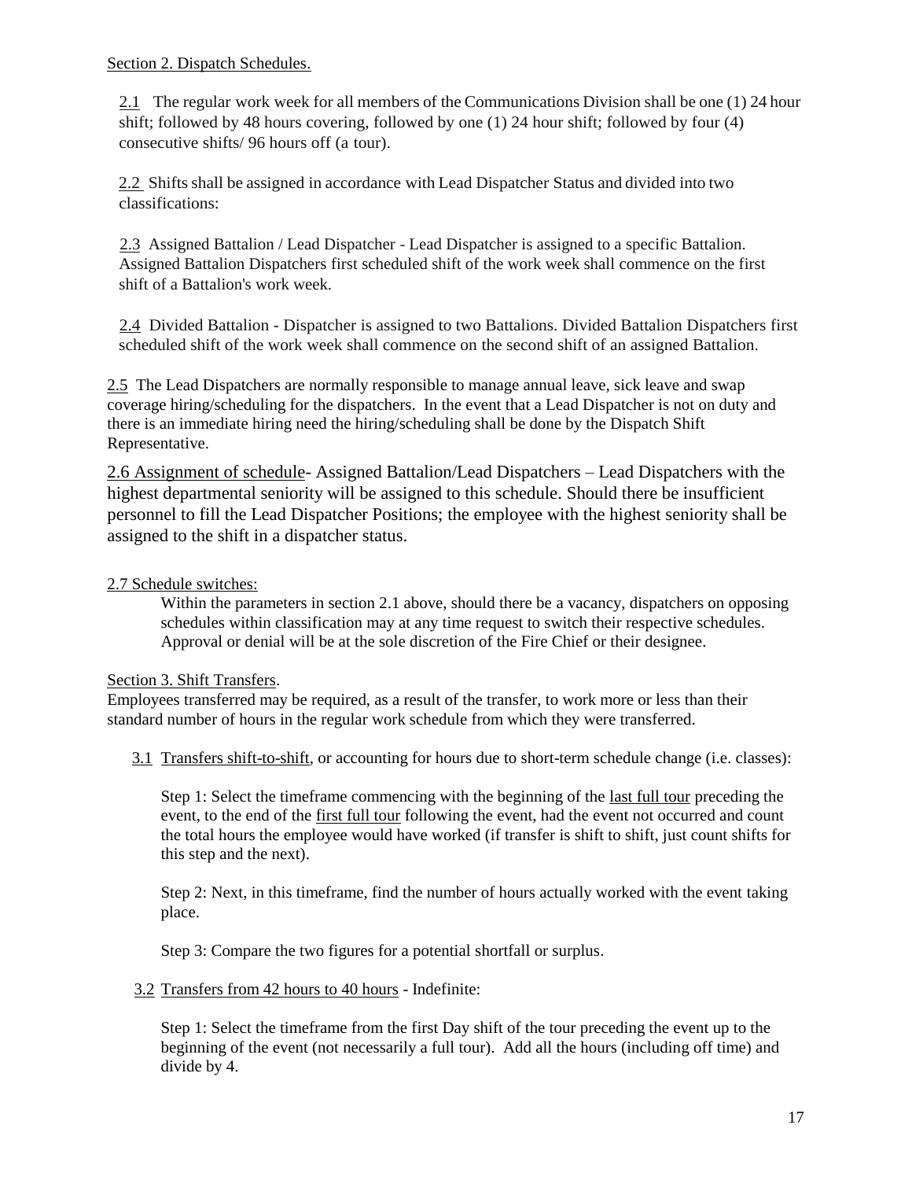2.1 The regular work week for all members of the Communications Division shall be one (1) 24 hour shift; followed by 48 hours covering, followed by one (1) 24 hour shift; followed by four (4) consecutive shifts/ 96 hours off (a tour).

2.2 Shifts shall be assigned in accordance with Lead Dispatcher Status and divided into two classifications:

2.3 Assigned Battalion / Lead Dispatcher - Lead Dispatcher is assigned to a specific Battalion. Assigned Battalion Dispatchers first scheduled shift of the work week shall commence on the first shift of a Battalion's work week.

2.4 Divided Battalion - Dispatcher is assigned to two Battalions. Divided Battalion Dispatchers first scheduled shift of the work week shall commence on the second shift of an assigned Battalion.

2.5 The Lead Dispatchers are normally responsible to manage annual leave, sick leave and swap coverage hiring/scheduling for the dispatchers. In the event that a Lead Dispatcher is not on duty and there is an immediate hiring need the hiring/scheduling shall be done by the Dispatch Shift Representative.

2.6 Assignment of schedule- Assigned Battalion/Lead Dispatchers – Lead Dispatchers with the highest departmental seniority will be assigned to this schedule. Should there be insufficient personnel to fill the Lead Dispatcher Positions; the employee with the highest seniority shall be assigned to the shift in a dispatcher status.

# 2.7 Schedule switches:

Within the parameters in section 2.1 above, should there be a vacancy, dispatchers on opposing schedules within classification may at any time request to switch their respective schedules. Approval or denial will be at the sole discretion of the Fire Chief or their designee.

## Section 3. Shift Transfers.

Employees transferred may be required, as a result of the transfer, to work more or less than their standard number of hours in the regular work schedule from which they were transferred.

3.1 Transfers shift-to-shift, or accounting for hours due to short-term schedule change (i.e. classes):

Step 1: Select the timeframe commencing with the beginning of the last full tour preceding the event, to the end of the first full tour following the event, had the event not occurred and count the total hours the employee would have worked (if transfer is shift to shift, just count shifts for this step and the next).

Step 2: Next, in this timeframe, find the number of hours actually worked with the event taking place.

Step 3: Compare the two figures for a potential shortfall or surplus.

3.2 Transfers from 42 hours to 40 hours - Indefinite:

Step 1: Select the timeframe from the first Day shift of the tour preceding the event up to the beginning of the event (not necessarily a full tour). Add all the hours (including off time) and divide by 4.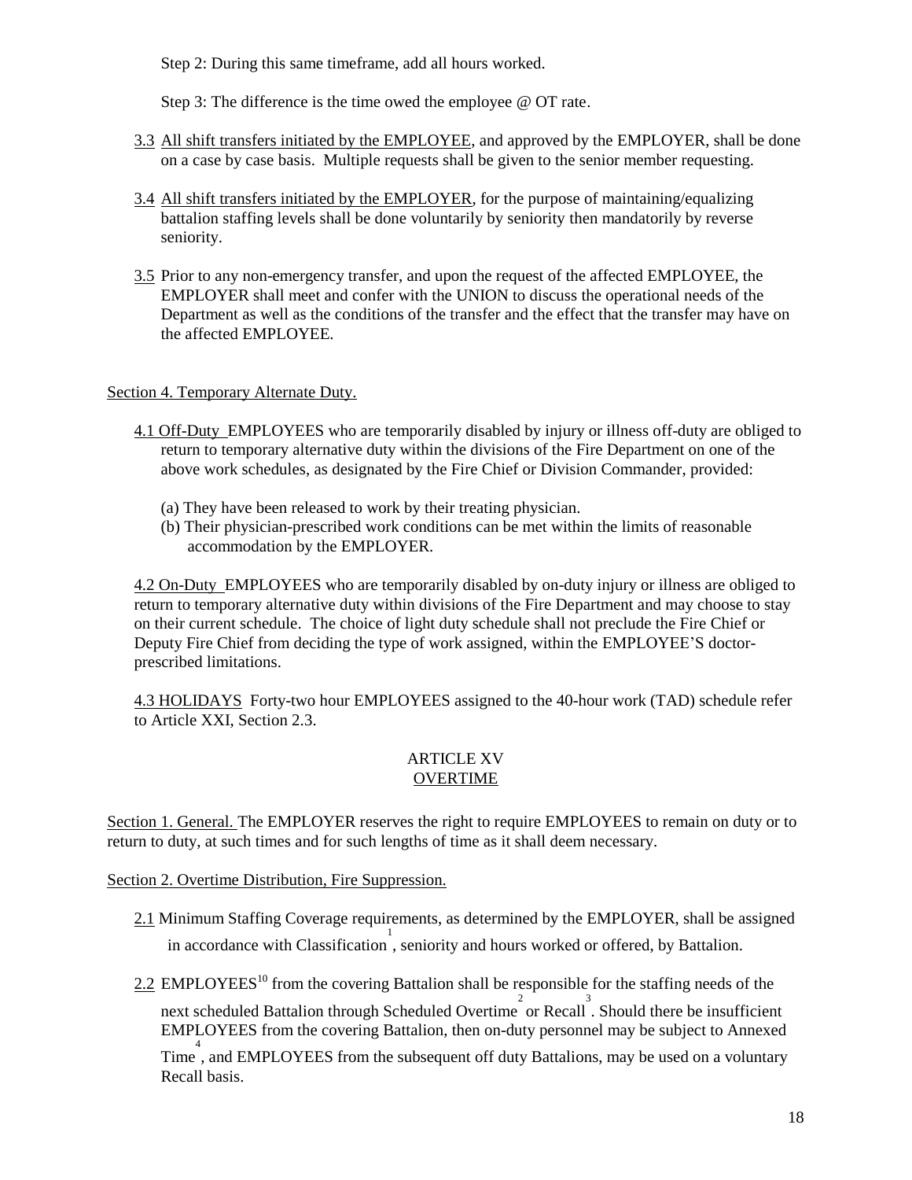Step 2: During this same timeframe, add all hours worked.

Step 3: The difference is the time owed the employee @ OT rate.

- 3.3 All shift transfers initiated by the EMPLOYEE, and approved by the EMPLOYER, shall be done on a case by case basis. Multiple requests shall be given to the senior member requesting.
- 3.4 All shift transfers initiated by the EMPLOYER, for the purpose of maintaining/equalizing battalion staffing levels shall be done voluntarily by seniority then mandatorily by reverse seniority.
- 3.5 Prior to any non-emergency transfer, and upon the request of the affected EMPLOYEE, the EMPLOYER shall meet and confer with the UNION to discuss the operational needs of the Department as well as the conditions of the transfer and the effect that the transfer may have on the affected EMPLOYEE.

## Section 4. Temporary Alternate Duty.

- 4.1 Off-Duty EMPLOYEES who are temporarily disabled by injury or illness off-duty are obliged to return to temporary alternative duty within the divisions of the Fire Department on one of the above work schedules, as designated by the Fire Chief or Division Commander, provided:
	- (a) They have been released to work by their treating physician.
	- (b) Their physician-prescribed work conditions can be met within the limits of reasonable accommodation by the EMPLOYER.

4.2 On-Duty EMPLOYEES who are temporarily disabled by on-duty injury or illness are obliged to return to temporary alternative duty within divisions of the Fire Department and may choose to stay on their current schedule. The choice of light duty schedule shall not preclude the Fire Chief or Deputy Fire Chief from deciding the type of work assigned, within the EMPLOYEE'S doctorprescribed limitations.

4.3 HOLIDAYS Forty-two hour EMPLOYEES assigned to the 40-hour work (TAD) schedule refer to Article XXI, Section 2.3.

## ARTICLE XV **OVERTIME**

Section 1. General. The EMPLOYER reserves the right to require EMPLOYEES to remain on duty or to return to duty, at such times and for such lengths of time as it shall deem necessary.

Section 2. Overtime Distribution, Fire Suppression.

- 2.1 Minimum Staffing Coverage requirements, as determined by the EMPLOYER, shall be assigned in accordance with Classification, seniority and hours worked or offered, by Battalion.
- $2.2$  EMPLOYEES<sup>10</sup> from the covering Battalion shall be responsible for the staffing needs of the next scheduled Battalion through Scheduled Overtime or Recall. Should there be insufficient EMPLOYEES from the covering Battalion, then on-duty personnel may be subject to Annexed

<sup>4</sup><br>Time, and EMPLOYEES from the subsequent off duty Battalions, may be used on a voluntary Recall basis.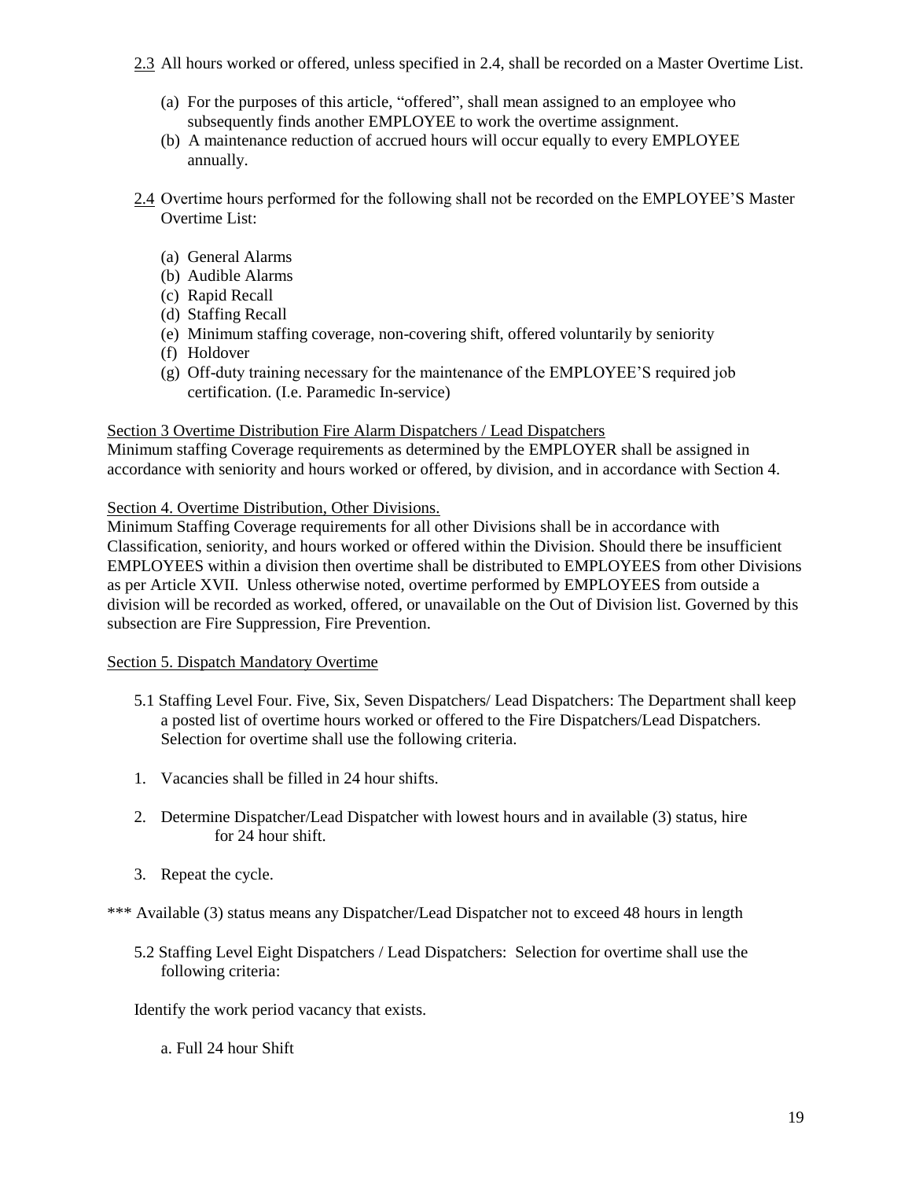- 2.3 All hours worked or offered, unless specified in 2.4, shall be recorded on a Master Overtime List.
	- (a) For the purposes of this article, "offered", shall mean assigned to an employee who subsequently finds another EMPLOYEE to work the overtime assignment.
	- (b) A maintenance reduction of accrued hours will occur equally to every EMPLOYEE annually.
- 2.4 Overtime hours performed for the following shall not be recorded on the EMPLOYEE'S Master Overtime List:
	- (a) General Alarms
	- (b) Audible Alarms
	- (c) Rapid Recall
	- (d) Staffing Recall
	- (e) Minimum staffing coverage, non-covering shift, offered voluntarily by seniority
	- (f) Holdover
	- (g) Off-duty training necessary for the maintenance of the EMPLOYEE'S required job certification. (I.e. Paramedic In-service)

### Section 3 Overtime Distribution Fire Alarm Dispatchers / Lead Dispatchers

Minimum staffing Coverage requirements as determined by the EMPLOYER shall be assigned in accordance with seniority and hours worked or offered, by division, and in accordance with Section 4.

### Section 4. Overtime Distribution, Other Divisions.

Minimum Staffing Coverage requirements for all other Divisions shall be in accordance with Classification, seniority, and hours worked or offered within the Division. Should there be insufficient EMPLOYEES within a division then overtime shall be distributed to EMPLOYEES from other Divisions as per Article XVII. Unless otherwise noted, overtime performed by EMPLOYEES from outside a division will be recorded as worked, offered, or unavailable on the Out of Division list. Governed by this subsection are Fire Suppression, Fire Prevention.

### Section 5. Dispatch Mandatory Overtime

- 5.1 Staffing Level Four. Five, Six, Seven Dispatchers/ Lead Dispatchers: The Department shall keep a posted list of overtime hours worked or offered to the Fire Dispatchers/Lead Dispatchers. Selection for overtime shall use the following criteria.
- 1. Vacancies shall be filled in 24 hour shifts.
- 2. Determine Dispatcher/Lead Dispatcher with lowest hours and in available (3) status, hire for 24 hour shift.
- 3. Repeat the cycle.

\*\*\* Available (3) status means any Dispatcher/Lead Dispatcher not to exceed 48 hours in length

5.2 Staffing Level Eight Dispatchers / Lead Dispatchers: Selection for overtime shall use the following criteria:

Identify the work period vacancy that exists.

a. Full 24 hour Shift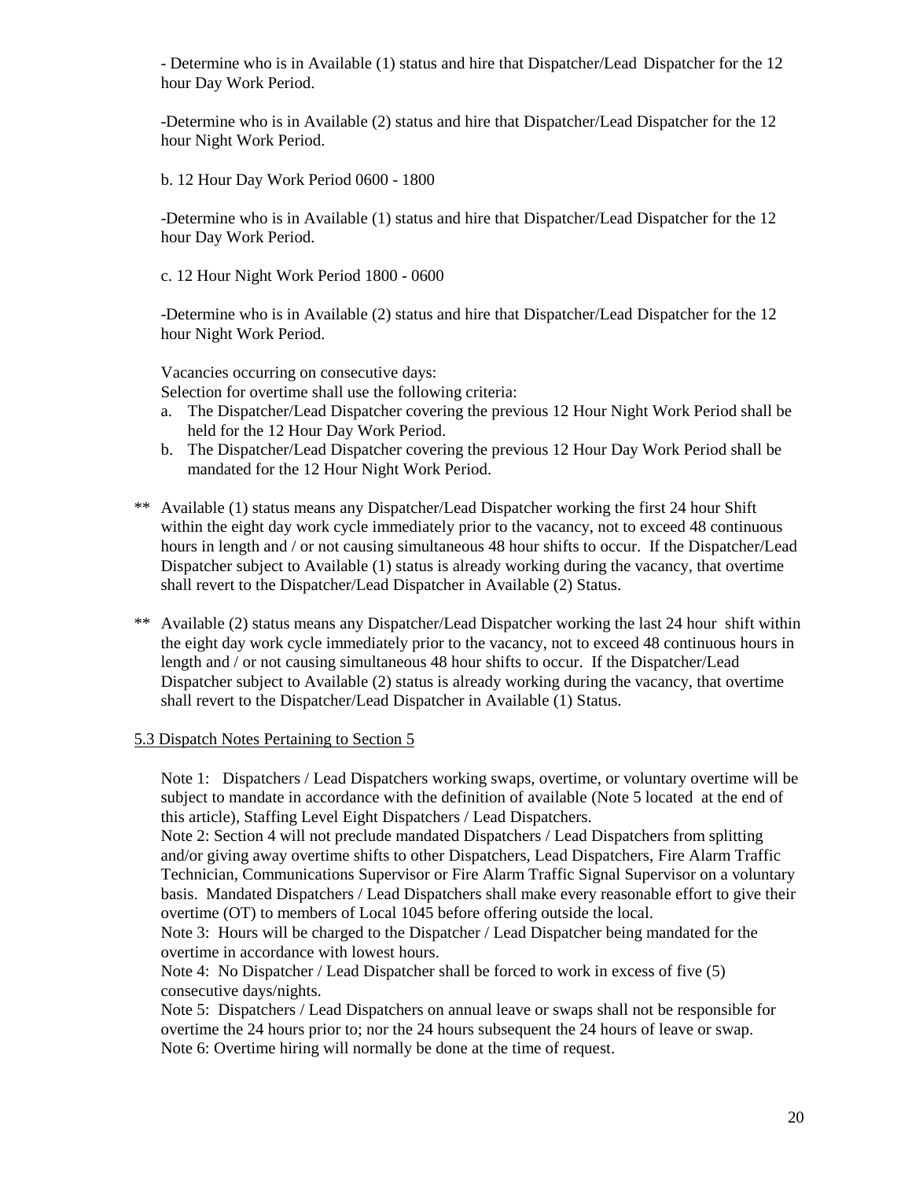- Determine who is in Available (1) status and hire that Dispatcher/Lead Dispatcher for the 12 hour Day Work Period.

-Determine who is in Available (2) status and hire that Dispatcher/Lead Dispatcher for the 12 hour Night Work Period.

b. 12 Hour Day Work Period 0600 - 1800

-Determine who is in Available (1) status and hire that Dispatcher/Lead Dispatcher for the 12 hour Day Work Period.

c. 12 Hour Night Work Period 1800 - 0600

-Determine who is in Available (2) status and hire that Dispatcher/Lead Dispatcher for the 12 hour Night Work Period.

Vacancies occurring on consecutive days:

Selection for overtime shall use the following criteria:

- a. The Dispatcher/Lead Dispatcher covering the previous 12 Hour Night Work Period shall be held for the 12 Hour Day Work Period.
- b. The Dispatcher/Lead Dispatcher covering the previous 12 Hour Day Work Period shall be mandated for the 12 Hour Night Work Period.
- \*\* Available (1) status means any Dispatcher/Lead Dispatcher working the first 24 hour Shift within the eight day work cycle immediately prior to the vacancy, not to exceed 48 continuous hours in length and / or not causing simultaneous 48 hour shifts to occur. If the Dispatcher/Lead Dispatcher subject to Available (1) status is already working during the vacancy, that overtime shall revert to the Dispatcher/Lead Dispatcher in Available (2) Status.
- \*\* Available (2) status means any Dispatcher/Lead Dispatcher working the last 24 hour shift within the eight day work cycle immediately prior to the vacancy, not to exceed 48 continuous hours in length and / or not causing simultaneous 48 hour shifts to occur. If the Dispatcher/Lead Dispatcher subject to Available (2) status is already working during the vacancy, that overtime shall revert to the Dispatcher/Lead Dispatcher in Available (1) Status.

#### 5.3 Dispatch Notes Pertaining to Section 5

Note 1: Dispatchers / Lead Dispatchers working swaps, overtime, or voluntary overtime will be subject to mandate in accordance with the definition of available (Note 5 located at the end of this article), Staffing Level Eight Dispatchers / Lead Dispatchers.

Note 2: Section 4 will not preclude mandated Dispatchers / Lead Dispatchers from splitting and/or giving away overtime shifts to other Dispatchers, Lead Dispatchers, Fire Alarm Traffic Technician, Communications Supervisor or Fire Alarm Traffic Signal Supervisor on a voluntary basis. Mandated Dispatchers / Lead Dispatchers shall make every reasonable effort to give their overtime (OT) to members of Local 1045 before offering outside the local.

Note 3: Hours will be charged to the Dispatcher / Lead Dispatcher being mandated for the overtime in accordance with lowest hours.

Note 4: No Dispatcher / Lead Dispatcher shall be forced to work in excess of five (5) consecutive days/nights.

Note 5: Dispatchers / Lead Dispatchers on annual leave or swaps shall not be responsible for overtime the 24 hours prior to; nor the 24 hours subsequent the 24 hours of leave or swap. Note 6: Overtime hiring will normally be done at the time of request.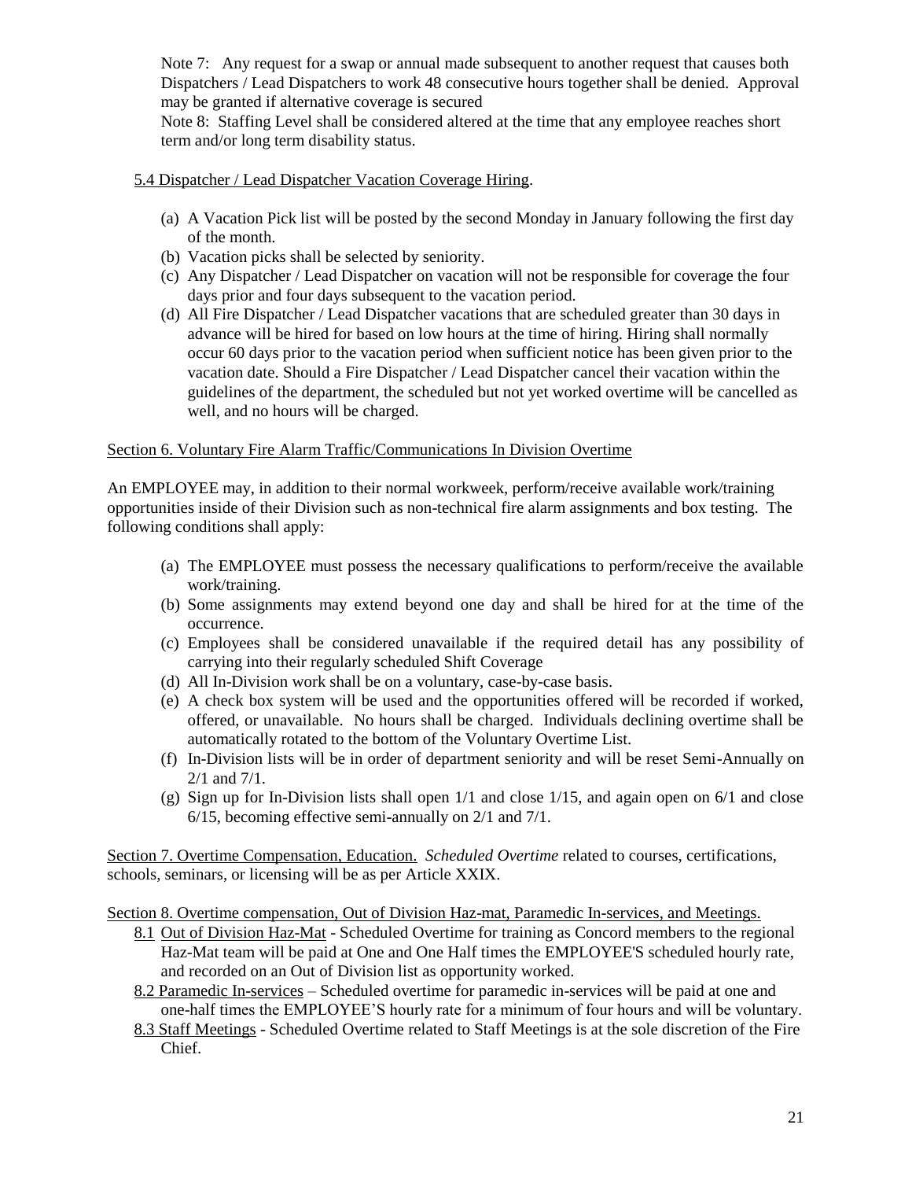Note 7: Any request for a swap or annual made subsequent to another request that causes both Dispatchers / Lead Dispatchers to work 48 consecutive hours together shall be denied. Approval may be granted if alternative coverage is secured

Note 8: Staffing Level shall be considered altered at the time that any employee reaches short term and/or long term disability status.

### 5.4 Dispatcher / Lead Dispatcher Vacation Coverage Hiring.

- (a) A Vacation Pick list will be posted by the second Monday in January following the first day of the month.
- (b) Vacation picks shall be selected by seniority.
- (c) Any Dispatcher / Lead Dispatcher on vacation will not be responsible for coverage the four days prior and four days subsequent to the vacation period.
- (d) All Fire Dispatcher / Lead Dispatcher vacations that are scheduled greater than 30 days in advance will be hired for based on low hours at the time of hiring. Hiring shall normally occur 60 days prior to the vacation period when sufficient notice has been given prior to the vacation date. Should a Fire Dispatcher / Lead Dispatcher cancel their vacation within the guidelines of the department, the scheduled but not yet worked overtime will be cancelled as well, and no hours will be charged.

## Section 6. Voluntary Fire Alarm Traffic/Communications In Division Overtime

An EMPLOYEE may, in addition to their normal workweek, perform/receive available work/training opportunities inside of their Division such as non-technical fire alarm assignments and box testing. The following conditions shall apply:

- (a) The EMPLOYEE must possess the necessary qualifications to perform/receive the available work/training.
- (b) Some assignments may extend beyond one day and shall be hired for at the time of the occurrence.
- (c) Employees shall be considered unavailable if the required detail has any possibility of carrying into their regularly scheduled Shift Coverage
- (d) All In-Division work shall be on a voluntary, case-by-case basis.
- (e) A check box system will be used and the opportunities offered will be recorded if worked, offered, or unavailable. No hours shall be charged. Individuals declining overtime shall be automatically rotated to the bottom of the Voluntary Overtime List.
- (f) In-Division lists will be in order of department seniority and will be reset Semi-Annually on 2/1 and 7/1.
- (g) Sign up for In-Division lists shall open 1/1 and close 1/15, and again open on 6/1 and close 6/15, becoming effective semi-annually on 2/1 and 7/1.

Section 7. Overtime Compensation, Education. *Scheduled Overtime* related to courses, certifications, schools, seminars, or licensing will be as per Article XXIX.

Section 8. Overtime compensation, Out of Division Haz-mat, Paramedic In-services, and Meetings.

- 8.1 Out of Division Haz-Mat Scheduled Overtime for training as Concord members to the regional Haz-Mat team will be paid at One and One Half times the EMPLOYEE'S scheduled hourly rate, and recorded on an Out of Division list as opportunity worked.
- 8.2 Paramedic In-services Scheduled overtime for paramedic in-services will be paid at one and one-half times the EMPLOYEE'S hourly rate for a minimum of four hours and will be voluntary.
- 8.3 Staff Meetings Scheduled Overtime related to Staff Meetings is at the sole discretion of the Fire Chief.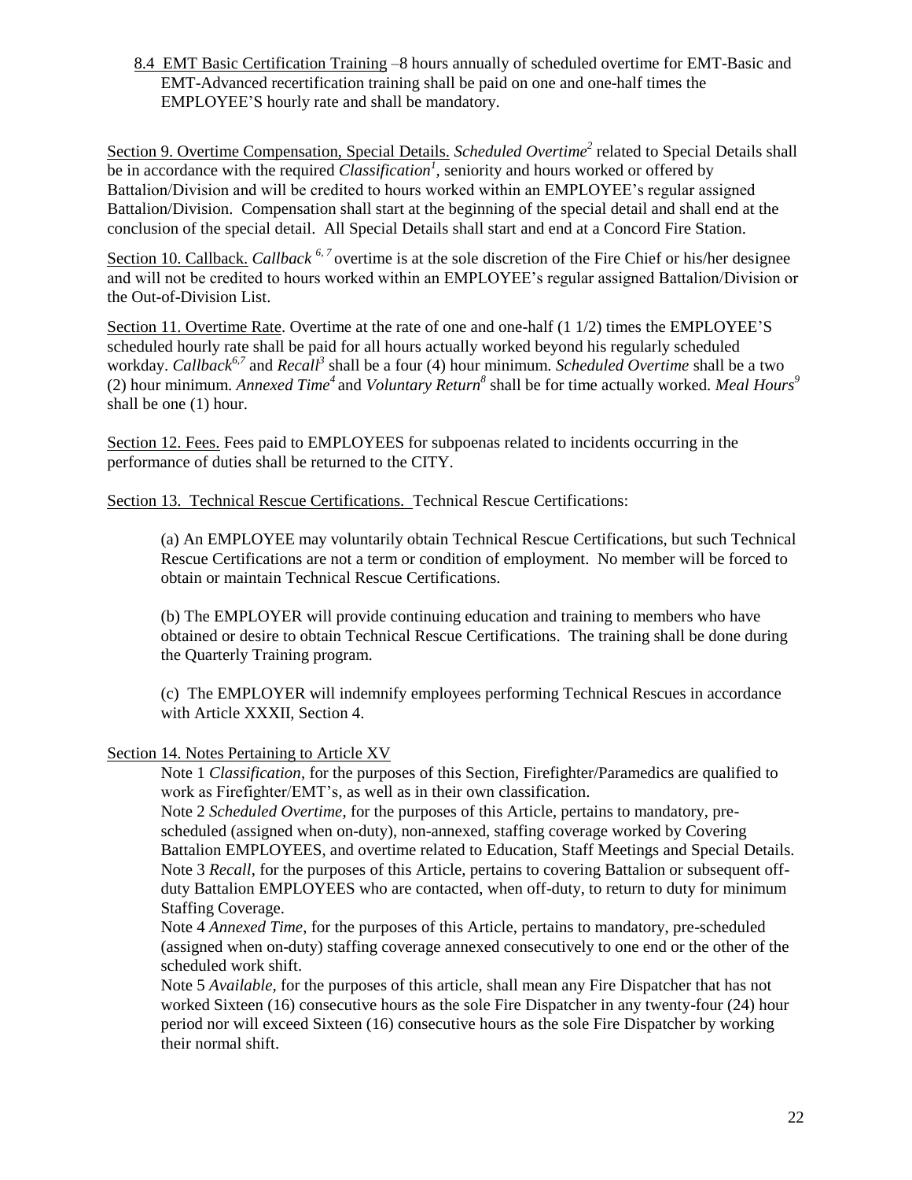8.4 EMT Basic Certification Training –8 hours annually of scheduled overtime for EMT-Basic and EMT-Advanced recertification training shall be paid on one and one-half times the EMPLOYEE'S hourly rate and shall be mandatory.

Section 9. Overtime Compensation, Special Details. *Scheduled Overtime*<sup>2</sup> related to Special Details shall be in accordance with the required *Classification<sup>1</sup> ,* seniority and hours worked or offered by Battalion/Division and will be credited to hours worked within an EMPLOYEE's regular assigned Battalion/Division. Compensation shall start at the beginning of the special detail and shall end at the conclusion of the special detail. All Special Details shall start and end at a Concord Fire Station.

Section 10. Callback. *Callback* <sup>6, 7</sup> overtime is at the sole discretion of the Fire Chief or his/her designee and will not be credited to hours worked within an EMPLOYEE's regular assigned Battalion/Division or the Out-of-Division List.

Section 11. Overtime Rate. Overtime at the rate of one and one-half (1 1/2) times the EMPLOYEE'S scheduled hourly rate shall be paid for all hours actually worked beyond his regularly scheduled workday. *Callback6,7* and *Recall<sup>3</sup>* shall be a four (4) hour minimum. *Scheduled Overtime* shall be a two (2) hour minimum. *Annexed Time<sup>4</sup>* and *Voluntary Return<sup>8</sup>* shall be for time actually worked*. Meal Hours 9* shall be one (1) hour.

Section 12. Fees. Fees paid to EMPLOYEES for subpoenas related to incidents occurring in the performance of duties shall be returned to the CITY.

Section 13. Technical Rescue Certifications. Technical Rescue Certifications:

(a) An EMPLOYEE may voluntarily obtain Technical Rescue Certifications, but such Technical Rescue Certifications are not a term or condition of employment. No member will be forced to obtain or maintain Technical Rescue Certifications.

(b) The EMPLOYER will provide continuing education and training to members who have obtained or desire to obtain Technical Rescue Certifications. The training shall be done during the Quarterly Training program.

(c) The EMPLOYER will indemnify employees performing Technical Rescues in accordance with Article XXXII, Section 4.

### Section 14. Notes Pertaining to Article XV

Note 1 *Classification*, for the purposes of this Section, Firefighter/Paramedics are qualified to work as Firefighter/EMT's, as well as in their own classification.

Note 2 *Scheduled Overtime*, for the purposes of this Article, pertains to mandatory, prescheduled (assigned when on-duty), non-annexed, staffing coverage worked by Covering Battalion EMPLOYEES, and overtime related to Education, Staff Meetings and Special Details. Note 3 *Recall*, for the purposes of this Article, pertains to covering Battalion or subsequent offduty Battalion EMPLOYEES who are contacted, when off-duty, to return to duty for minimum Staffing Coverage.

Note 4 *Annexed Time*, for the purposes of this Article, pertains to mandatory, pre-scheduled (assigned when on-duty) staffing coverage annexed consecutively to one end or the other of the scheduled work shift.

Note 5 *Available,* for the purposes of this article, shall mean any Fire Dispatcher that has not worked Sixteen (16) consecutive hours as the sole Fire Dispatcher in any twenty-four (24) hour period nor will exceed Sixteen (16) consecutive hours as the sole Fire Dispatcher by working their normal shift.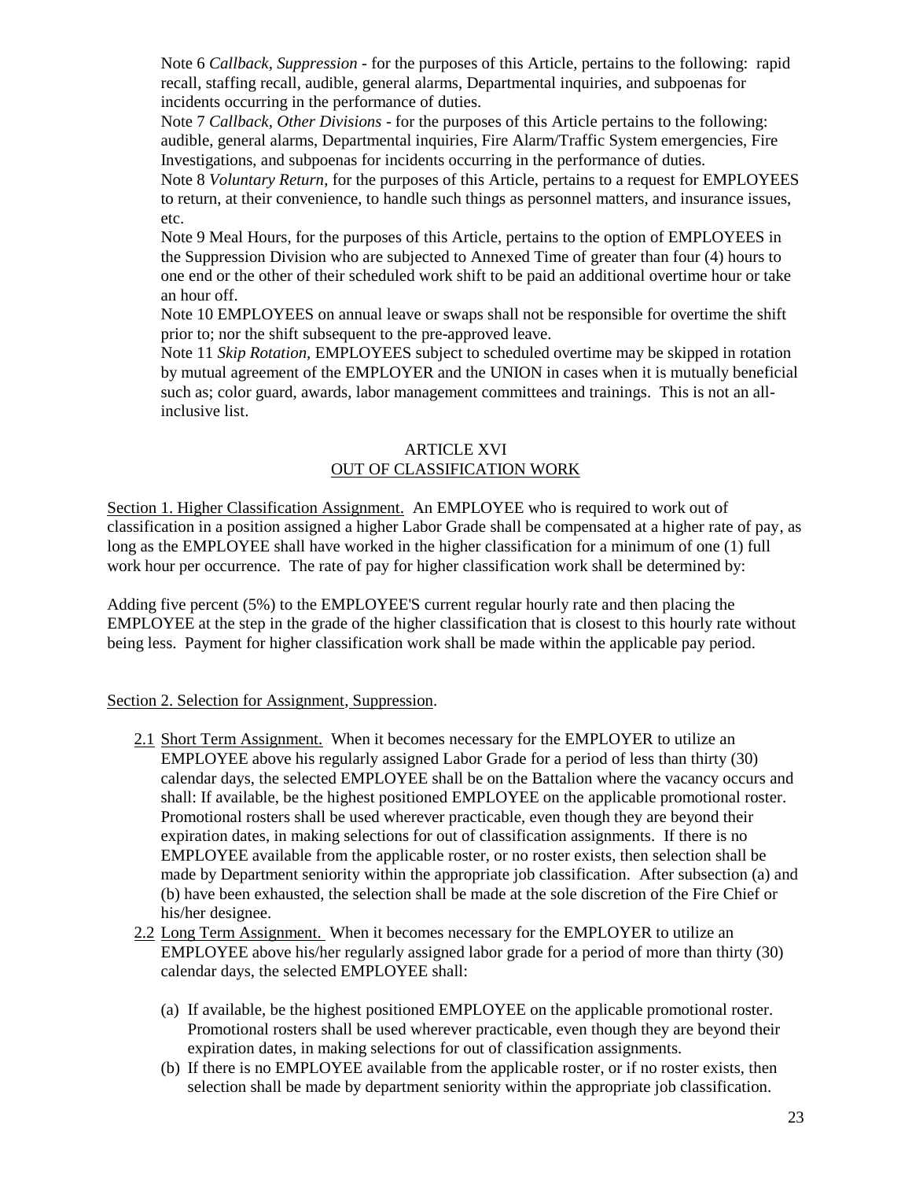Note 6 *Callback, Suppression -* for the purposes of this Article, pertains to the following: rapid recall, staffing recall, audible, general alarms, Departmental inquiries, and subpoenas for incidents occurring in the performance of duties.

Note 7 *Callback, Other Divisions* - for the purposes of this Article pertains to the following: audible, general alarms, Departmental inquiries, Fire Alarm/Traffic System emergencies, Fire Investigations, and subpoenas for incidents occurring in the performance of duties.

Note 8 *Voluntary Return*, for the purposes of this Article, pertains to a request for EMPLOYEES to return, at their convenience, to handle such things as personnel matters, and insurance issues, etc.

Note 9 Meal Hours, for the purposes of this Article, pertains to the option of EMPLOYEES in the Suppression Division who are subjected to Annexed Time of greater than four (4) hours to one end or the other of their scheduled work shift to be paid an additional overtime hour or take an hour off.

Note 10 EMPLOYEES on annual leave or swaps shall not be responsible for overtime the shift prior to; nor the shift subsequent to the pre-approved leave.

Note 11 *Skip Rotation,* EMPLOYEES subject to scheduled overtime may be skipped in rotation by mutual agreement of the EMPLOYER and the UNION in cases when it is mutually beneficial such as; color guard, awards, labor management committees and trainings. This is not an allinclusive list.

### ARTICLE XVI OUT OF CLASSIFICATION WORK

Section 1. Higher Classification Assignment. An EMPLOYEE who is required to work out of classification in a position assigned a higher Labor Grade shall be compensated at a higher rate of pay, as long as the EMPLOYEE shall have worked in the higher classification for a minimum of one (1) full work hour per occurrence. The rate of pay for higher classification work shall be determined by:

Adding five percent (5%) to the EMPLOYEE'S current regular hourly rate and then placing the EMPLOYEE at the step in the grade of the higher classification that is closest to this hourly rate without being less. Payment for higher classification work shall be made within the applicable pay period.

### Section 2. Selection for Assignment, Suppression.

- 2.1 Short Term Assignment. When it becomes necessary for the EMPLOYER to utilize an EMPLOYEE above his regularly assigned Labor Grade for a period of less than thirty (30) calendar days, the selected EMPLOYEE shall be on the Battalion where the vacancy occurs and shall: If available, be the highest positioned EMPLOYEE on the applicable promotional roster. Promotional rosters shall be used wherever practicable, even though they are beyond their expiration dates, in making selections for out of classification assignments. If there is no EMPLOYEE available from the applicable roster, or no roster exists, then selection shall be made by Department seniority within the appropriate job classification. After subsection (a) and (b) have been exhausted, the selection shall be made at the sole discretion of the Fire Chief or his/her designee.
- 2.2 Long Term Assignment. When it becomes necessary for the EMPLOYER to utilize an EMPLOYEE above his/her regularly assigned labor grade for a period of more than thirty (30) calendar days, the selected EMPLOYEE shall:
	- (a) If available, be the highest positioned EMPLOYEE on the applicable promotional roster. Promotional rosters shall be used wherever practicable, even though they are beyond their expiration dates, in making selections for out of classification assignments.
	- (b) If there is no EMPLOYEE available from the applicable roster, or if no roster exists, then selection shall be made by department seniority within the appropriate job classification.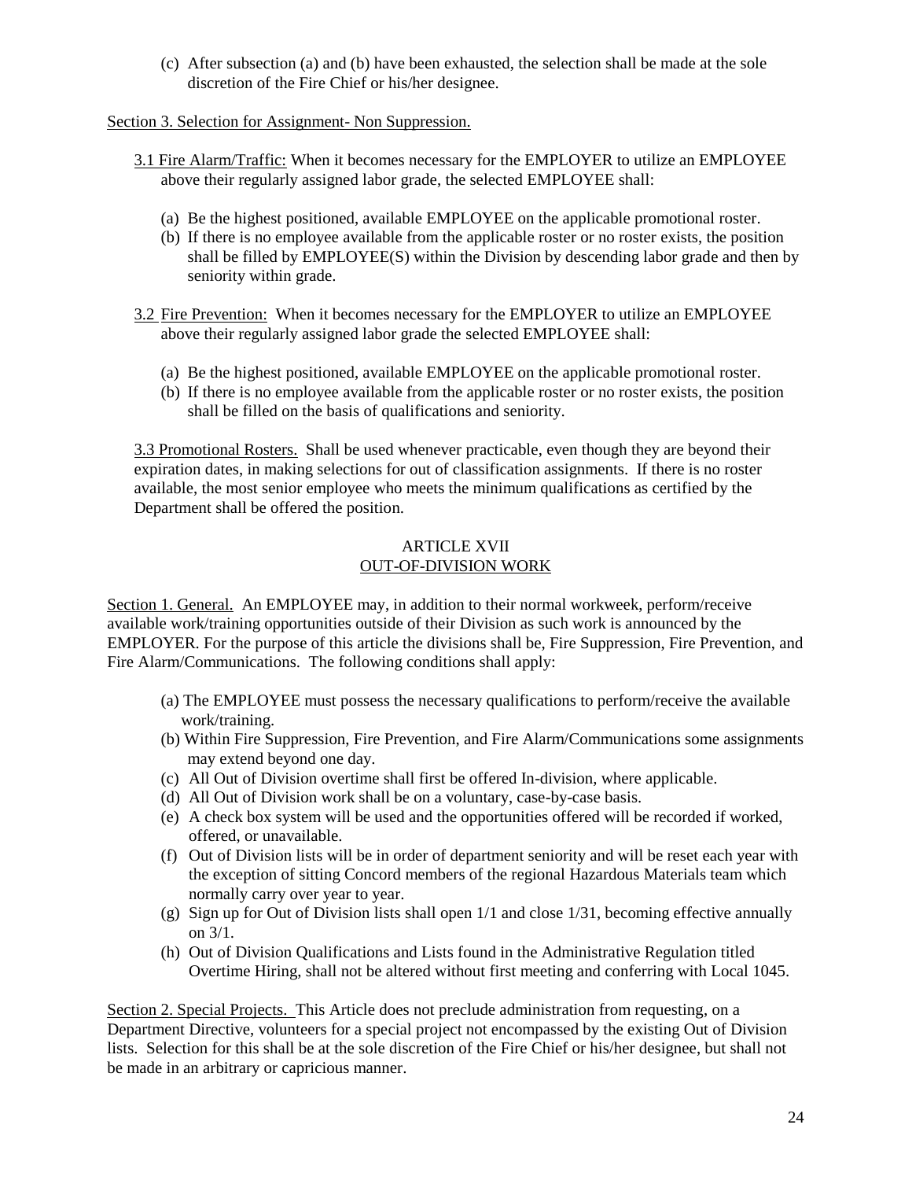(c) After subsection (a) and (b) have been exhausted, the selection shall be made at the sole discretion of the Fire Chief or his/her designee.

Section 3. Selection for Assignment- Non Suppression.

- 3.1 Fire Alarm/Traffic: When it becomes necessary for the EMPLOYER to utilize an EMPLOYEE above their regularly assigned labor grade, the selected EMPLOYEE shall:
	- (a) Be the highest positioned, available EMPLOYEE on the applicable promotional roster.
	- (b) If there is no employee available from the applicable roster or no roster exists, the position shall be filled by EMPLOYEE(S) within the Division by descending labor grade and then by seniority within grade.
- 3.2 Fire Prevention: When it becomes necessary for the EMPLOYER to utilize an EMPLOYEE above their regularly assigned labor grade the selected EMPLOYEE shall:
	- (a) Be the highest positioned, available EMPLOYEE on the applicable promotional roster.
	- (b) If there is no employee available from the applicable roster or no roster exists, the position shall be filled on the basis of qualifications and seniority.

3.3 Promotional Rosters. Shall be used whenever practicable, even though they are beyond their expiration dates, in making selections for out of classification assignments. If there is no roster available, the most senior employee who meets the minimum qualifications as certified by the Department shall be offered the position.

### ARTICLE XVII OUT-OF-DIVISION WORK

Section 1. General. An EMPLOYEE may, in addition to their normal workweek, perform/receive available work/training opportunities outside of their Division as such work is announced by the EMPLOYER. For the purpose of this article the divisions shall be, Fire Suppression, Fire Prevention, and Fire Alarm/Communications. The following conditions shall apply:

- (a) The EMPLOYEE must possess the necessary qualifications to perform/receive the available work/training.
- (b) Within Fire Suppression, Fire Prevention, and Fire Alarm/Communications some assignments may extend beyond one day.
- (c) All Out of Division overtime shall first be offered In-division, where applicable.
- (d) All Out of Division work shall be on a voluntary, case-by-case basis.
- (e) A check box system will be used and the opportunities offered will be recorded if worked, offered, or unavailable.
- (f) Out of Division lists will be in order of department seniority and will be reset each year with the exception of sitting Concord members of the regional Hazardous Materials team which normally carry over year to year.
- (g) Sign up for Out of Division lists shall open  $1/1$  and close  $1/31$ , becoming effective annually on 3/1.
- (h) Out of Division Qualifications and Lists found in the Administrative Regulation titled Overtime Hiring, shall not be altered without first meeting and conferring with Local 1045.

Section 2. Special Projects. This Article does not preclude administration from requesting, on a Department Directive, volunteers for a special project not encompassed by the existing Out of Division lists. Selection for this shall be at the sole discretion of the Fire Chief or his/her designee, but shall not be made in an arbitrary or capricious manner.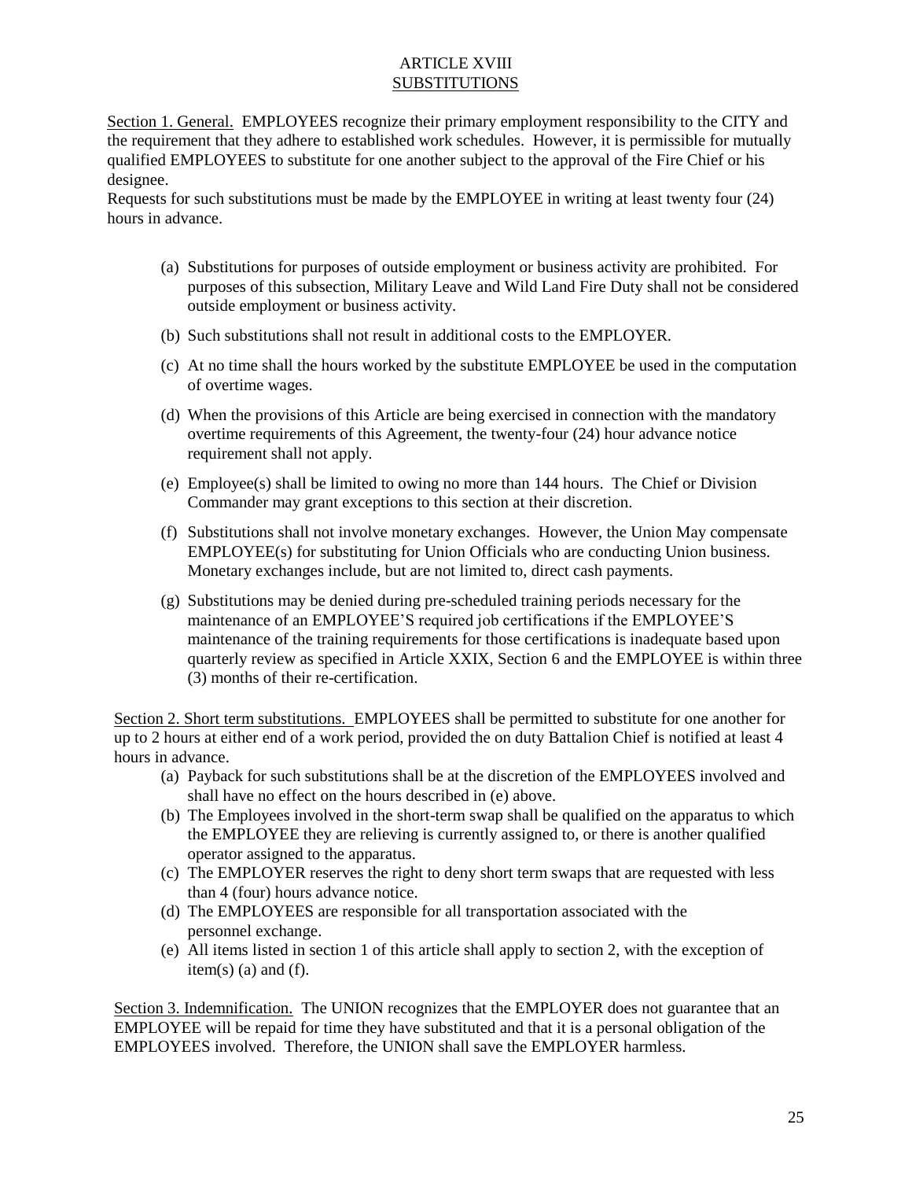## ARTICLE XVIII **SUBSTITUTIONS**

Section 1. General. EMPLOYEES recognize their primary employment responsibility to the CITY and the requirement that they adhere to established work schedules. However, it is permissible for mutually qualified EMPLOYEES to substitute for one another subject to the approval of the Fire Chief or his designee.

Requests for such substitutions must be made by the EMPLOYEE in writing at least twenty four (24) hours in advance.

- (a) Substitutions for purposes of outside employment or business activity are prohibited. For purposes of this subsection, Military Leave and Wild Land Fire Duty shall not be considered outside employment or business activity.
- (b) Such substitutions shall not result in additional costs to the EMPLOYER.
- (c) At no time shall the hours worked by the substitute EMPLOYEE be used in the computation of overtime wages.
- (d) When the provisions of this Article are being exercised in connection with the mandatory overtime requirements of this Agreement, the twenty-four (24) hour advance notice requirement shall not apply.
- (e) Employee(s) shall be limited to owing no more than 144 hours. The Chief or Division Commander may grant exceptions to this section at their discretion.
- (f) Substitutions shall not involve monetary exchanges. However, the Union May compensate EMPLOYEE(s) for substituting for Union Officials who are conducting Union business. Monetary exchanges include, but are not limited to, direct cash payments.
- (g) Substitutions may be denied during pre-scheduled training periods necessary for the maintenance of an EMPLOYEE'S required job certifications if the EMPLOYEE'S maintenance of the training requirements for those certifications is inadequate based upon quarterly review as specified in Article XXIX, Section 6 and the EMPLOYEE is within three (3) months of their re-certification.

Section 2. Short term substitutions. EMPLOYEES shall be permitted to substitute for one another for up to 2 hours at either end of a work period, provided the on duty Battalion Chief is notified at least 4 hours in advance.

- (a) Payback for such substitutions shall be at the discretion of the EMPLOYEES involved and shall have no effect on the hours described in (e) above.
- (b) The Employees involved in the short-term swap shall be qualified on the apparatus to which the EMPLOYEE they are relieving is currently assigned to, or there is another qualified operator assigned to the apparatus.
- (c) The EMPLOYER reserves the right to deny short term swaps that are requested with less than 4 (four) hours advance notice.
- (d) The EMPLOYEES are responsible for all transportation associated with the personnel exchange.
- (e) All items listed in section 1 of this article shall apply to section 2, with the exception of  $item(s)$  (a) and (f).

Section 3. Indemnification. The UNION recognizes that the EMPLOYER does not guarantee that an EMPLOYEE will be repaid for time they have substituted and that it is a personal obligation of the EMPLOYEES involved. Therefore, the UNION shall save the EMPLOYER harmless.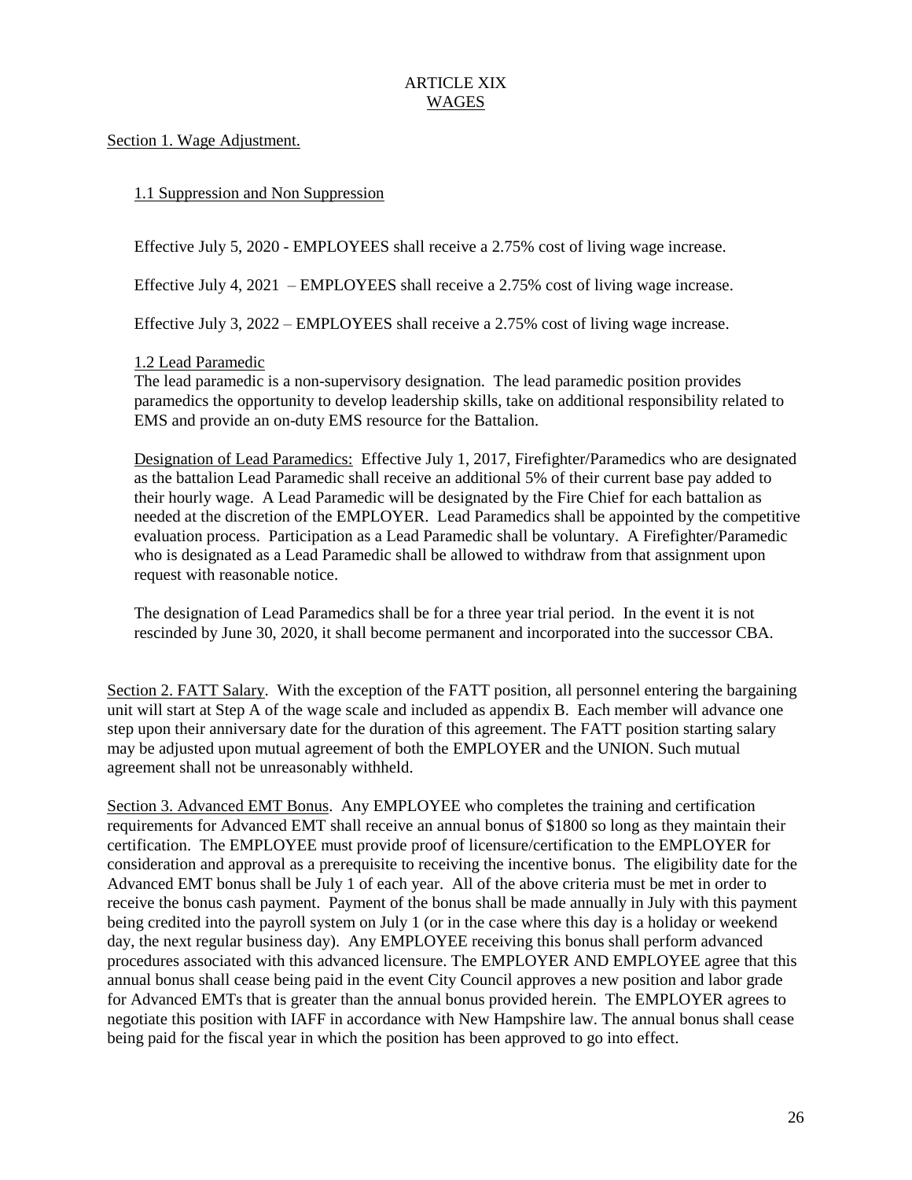## ARTICLE XIX WAGES

Section 1. Wage Adjustment.

### 1.1 Suppression and Non Suppression

Effective July 5, 2020 - EMPLOYEES shall receive a 2.75% cost of living wage increase.

Effective July 4, 2021 – EMPLOYEES shall receive a 2.75% cost of living wage increase.

Effective July 3, 2022 – EMPLOYEES shall receive a 2.75% cost of living wage increase.

### 1.2 Lead Paramedic

The lead paramedic is a non-supervisory designation. The lead paramedic position provides paramedics the opportunity to develop leadership skills, take on additional responsibility related to EMS and provide an on-duty EMS resource for the Battalion.

Designation of Lead Paramedics: Effective July 1, 2017, Firefighter/Paramedics who are designated as the battalion Lead Paramedic shall receive an additional 5% of their current base pay added to their hourly wage. A Lead Paramedic will be designated by the Fire Chief for each battalion as needed at the discretion of the EMPLOYER. Lead Paramedics shall be appointed by the competitive evaluation process. Participation as a Lead Paramedic shall be voluntary. A Firefighter/Paramedic who is designated as a Lead Paramedic shall be allowed to withdraw from that assignment upon request with reasonable notice.

The designation of Lead Paramedics shall be for a three year trial period. In the event it is not rescinded by June 30, 2020, it shall become permanent and incorporated into the successor CBA.

Section 2. FATT Salary. With the exception of the FATT position, all personnel entering the bargaining unit will start at Step A of the wage scale and included as appendix B. Each member will advance one step upon their anniversary date for the duration of this agreement. The FATT position starting salary may be adjusted upon mutual agreement of both the EMPLOYER and the UNION. Such mutual agreement shall not be unreasonably withheld.

Section 3. Advanced EMT Bonus. Any EMPLOYEE who completes the training and certification requirements for Advanced EMT shall receive an annual bonus of \$1800 so long as they maintain their certification. The EMPLOYEE must provide proof of licensure/certification to the EMPLOYER for consideration and approval as a prerequisite to receiving the incentive bonus. The eligibility date for the Advanced EMT bonus shall be July 1 of each year. All of the above criteria must be met in order to receive the bonus cash payment. Payment of the bonus shall be made annually in July with this payment being credited into the payroll system on July 1 (or in the case where this day is a holiday or weekend day, the next regular business day). Any EMPLOYEE receiving this bonus shall perform advanced procedures associated with this advanced licensure. The EMPLOYER AND EMPLOYEE agree that this annual bonus shall cease being paid in the event City Council approves a new position and labor grade for Advanced EMTs that is greater than the annual bonus provided herein. The EMPLOYER agrees to negotiate this position with IAFF in accordance with New Hampshire law. The annual bonus shall cease being paid for the fiscal year in which the position has been approved to go into effect.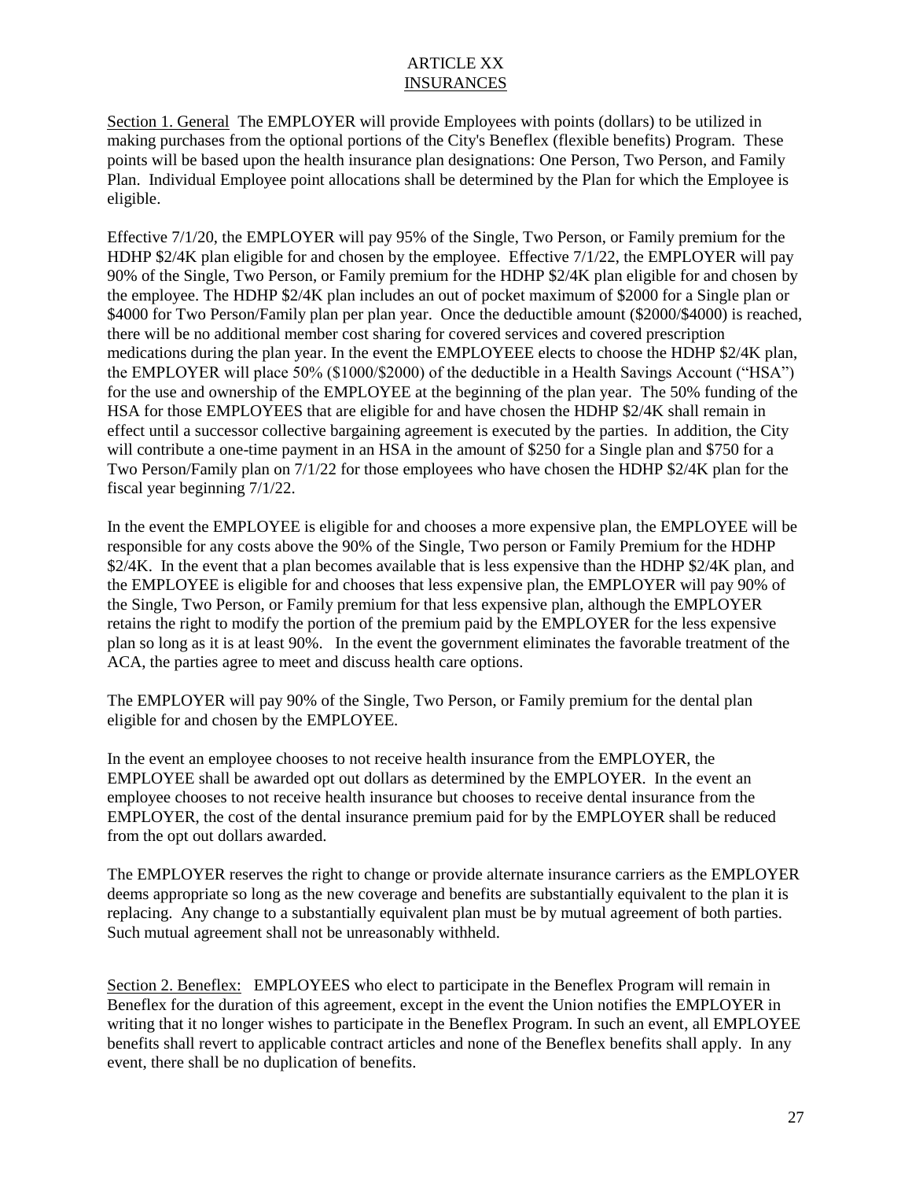## ARTICLE XX INSURANCES

Section 1. General The EMPLOYER will provide Employees with points (dollars) to be utilized in making purchases from the optional portions of the City's Beneflex (flexible benefits) Program. These points will be based upon the health insurance plan designations: One Person, Two Person, and Family Plan. Individual Employee point allocations shall be determined by the Plan for which the Employee is eligible.

Effective 7/1/20, the EMPLOYER will pay 95% of the Single, Two Person, or Family premium for the HDHP \$2/4K plan eligible for and chosen by the employee. Effective 7/1/22, the EMPLOYER will pay 90% of the Single, Two Person, or Family premium for the HDHP \$2/4K plan eligible for and chosen by the employee. The HDHP \$2/4K plan includes an out of pocket maximum of \$2000 for a Single plan or \$4000 for Two Person/Family plan per plan year. Once the deductible amount (\$2000/\$4000) is reached, there will be no additional member cost sharing for covered services and covered prescription medications during the plan year. In the event the EMPLOYEEE elects to choose the HDHP \$2/4K plan, the EMPLOYER will place 50% (\$1000/\$2000) of the deductible in a Health Savings Account ("HSA") for the use and ownership of the EMPLOYEE at the beginning of the plan year. The 50% funding of the HSA for those EMPLOYEES that are eligible for and have chosen the HDHP \$2/4K shall remain in effect until a successor collective bargaining agreement is executed by the parties. In addition, the City will contribute a one-time payment in an HSA in the amount of \$250 for a Single plan and \$750 for a Two Person/Family plan on 7/1/22 for those employees who have chosen the HDHP \$2/4K plan for the fiscal year beginning 7/1/22.

In the event the EMPLOYEE is eligible for and chooses a more expensive plan, the EMPLOYEE will be responsible for any costs above the 90% of the Single, Two person or Family Premium for the HDHP \$2/4K. In the event that a plan becomes available that is less expensive than the HDHP \$2/4K plan, and the EMPLOYEE is eligible for and chooses that less expensive plan, the EMPLOYER will pay 90% of the Single, Two Person, or Family premium for that less expensive plan, although the EMPLOYER retains the right to modify the portion of the premium paid by the EMPLOYER for the less expensive plan so long as it is at least 90%. In the event the government eliminates the favorable treatment of the ACA, the parties agree to meet and discuss health care options.

The EMPLOYER will pay 90% of the Single, Two Person, or Family premium for the dental plan eligible for and chosen by the EMPLOYEE.

In the event an employee chooses to not receive health insurance from the EMPLOYER, the EMPLOYEE shall be awarded opt out dollars as determined by the EMPLOYER. In the event an employee chooses to not receive health insurance but chooses to receive dental insurance from the EMPLOYER, the cost of the dental insurance premium paid for by the EMPLOYER shall be reduced from the opt out dollars awarded.

The EMPLOYER reserves the right to change or provide alternate insurance carriers as the EMPLOYER deems appropriate so long as the new coverage and benefits are substantially equivalent to the plan it is replacing. Any change to a substantially equivalent plan must be by mutual agreement of both parties. Such mutual agreement shall not be unreasonably withheld.

Section 2. Beneflex: EMPLOYEES who elect to participate in the Beneflex Program will remain in Beneflex for the duration of this agreement, except in the event the Union notifies the EMPLOYER in writing that it no longer wishes to participate in the Beneflex Program. In such an event, all EMPLOYEE benefits shall revert to applicable contract articles and none of the Beneflex benefits shall apply. In any event, there shall be no duplication of benefits.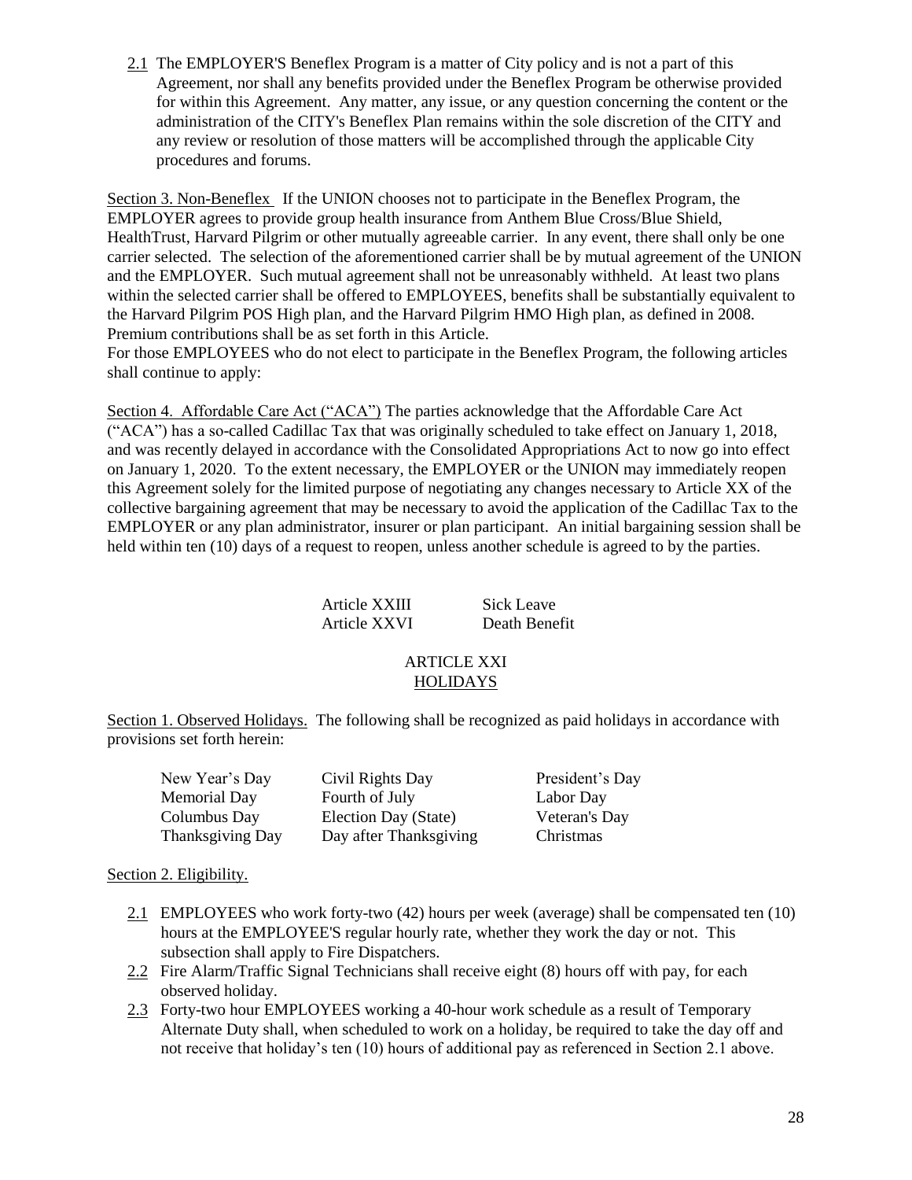2.1 The EMPLOYER'S Beneflex Program is a matter of City policy and is not a part of this Agreement, nor shall any benefits provided under the Beneflex Program be otherwise provided for within this Agreement. Any matter, any issue, or any question concerning the content or the administration of the CITY's Beneflex Plan remains within the sole discretion of the CITY and any review or resolution of those matters will be accomplished through the applicable City procedures and forums.

Section 3. Non-Beneflex If the UNION chooses not to participate in the Beneflex Program, the EMPLOYER agrees to provide group health insurance from Anthem Blue Cross/Blue Shield, HealthTrust, Harvard Pilgrim or other mutually agreeable carrier. In any event, there shall only be one carrier selected. The selection of the aforementioned carrier shall be by mutual agreement of the UNION and the EMPLOYER. Such mutual agreement shall not be unreasonably withheld. At least two plans within the selected carrier shall be offered to EMPLOYEES, benefits shall be substantially equivalent to the Harvard Pilgrim POS High plan, and the Harvard Pilgrim HMO High plan, as defined in 2008. Premium contributions shall be as set forth in this Article.

For those EMPLOYEES who do not elect to participate in the Beneflex Program, the following articles shall continue to apply:

Section 4. Affordable Care Act ("ACA") The parties acknowledge that the Affordable Care Act ("ACA") has a so-called Cadillac Tax that was originally scheduled to take effect on January 1, 2018, and was recently delayed in accordance with the Consolidated Appropriations Act to now go into effect on January 1, 2020. To the extent necessary, the EMPLOYER or the UNION may immediately reopen this Agreement solely for the limited purpose of negotiating any changes necessary to Article XX of the collective bargaining agreement that may be necessary to avoid the application of the Cadillac Tax to the EMPLOYER or any plan administrator, insurer or plan participant. An initial bargaining session shall be held within ten (10) days of a request to reopen, unless another schedule is agreed to by the parties.

> Article XXIII Sick Leave Article XXVI Death Benefit

### ARTICLE XXI HOLIDAYS

Section 1. Observed Holidays. The following shall be recognized as paid holidays in accordance with provisions set forth herein:

| New Year's Day   | Civil Rights Day       | President's Day |
|------------------|------------------------|-----------------|
| Memorial Day     | Fourth of July         | Labor Day       |
| Columbus Day     | Election Day (State)   | Veteran's Day   |
| Thanksgiving Day | Day after Thanksgiving | Christmas       |

### Section 2. Eligibility.

- 2.1 EMPLOYEES who work forty-two (42) hours per week (average) shall be compensated ten (10) hours at the EMPLOYEE'S regular hourly rate, whether they work the day or not. This subsection shall apply to Fire Dispatchers.
- 2.2 Fire Alarm/Traffic Signal Technicians shall receive eight (8) hours off with pay, for each observed holiday.
- 2.3 Forty-two hour EMPLOYEES working a 40-hour work schedule as a result of Temporary Alternate Duty shall, when scheduled to work on a holiday, be required to take the day off and not receive that holiday's ten (10) hours of additional pay as referenced in Section 2.1 above.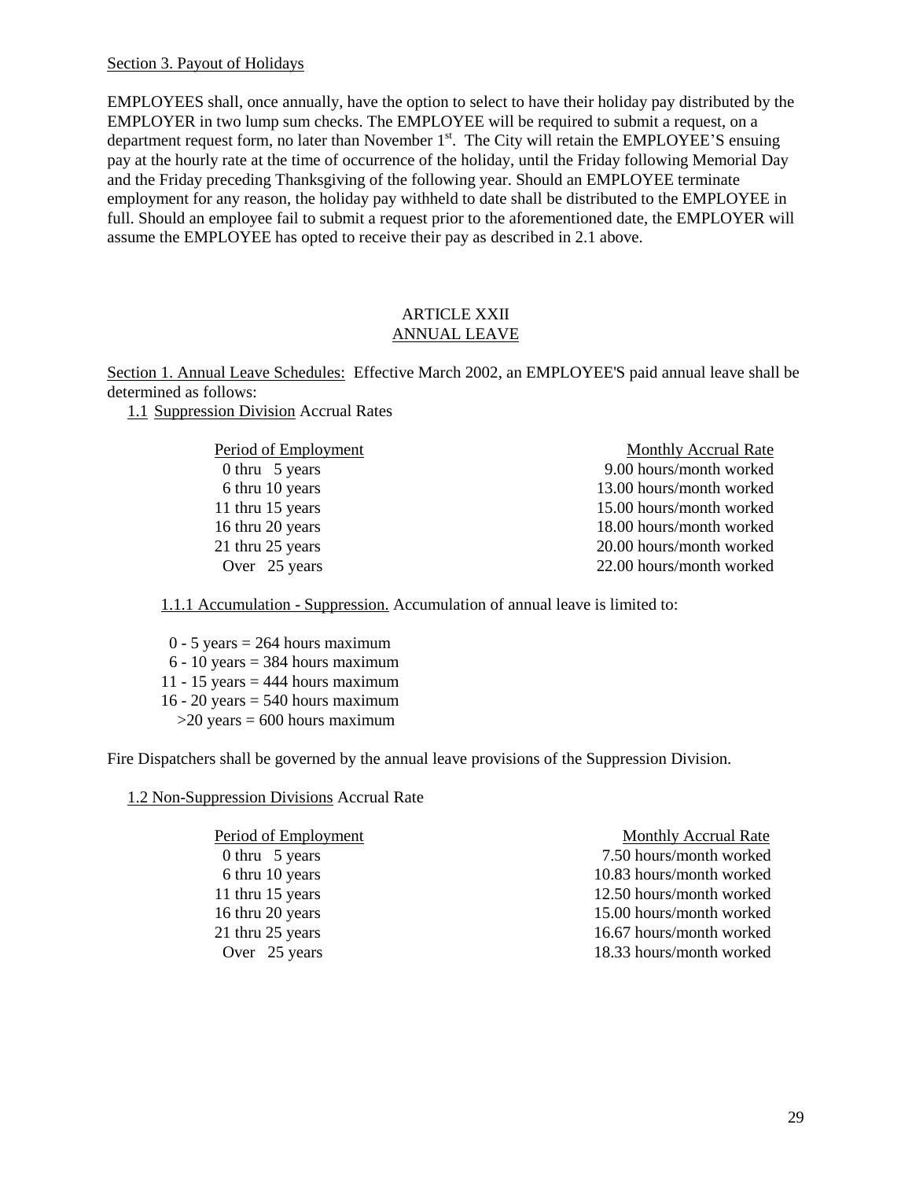#### Section 3. Payout of Holidays

EMPLOYEES shall, once annually, have the option to select to have their holiday pay distributed by the EMPLOYER in two lump sum checks. The EMPLOYEE will be required to submit a request, on a department request form, no later than November  $1<sup>st</sup>$ . The City will retain the EMPLOYEE'S ensuing pay at the hourly rate at the time of occurrence of the holiday, until the Friday following Memorial Day and the Friday preceding Thanksgiving of the following year. Should an EMPLOYEE terminate employment for any reason, the holiday pay withheld to date shall be distributed to the EMPLOYEE in full. Should an employee fail to submit a request prior to the aforementioned date, the EMPLOYER will assume the EMPLOYEE has opted to receive their pay as described in 2.1 above.

### ARTICLE XXII ANNUAL LEAVE

Section 1. Annual Leave Schedules: Effective March 2002, an EMPLOYEE'S paid annual leave shall be determined as follows:

1.1 Suppression Division Accrual Rates

| Period of Employment | Monthly Accrual Rate     |
|----------------------|--------------------------|
| 0 thru $\,$ 5 years  | 9.00 hours/month worked  |
| 6 thru 10 years      | 13.00 hours/month worked |
| 11 thru 15 years     | 15.00 hours/month worked |
| 16 thru 20 years     | 18.00 hours/month worked |
| 21 thru 25 years     | 20.00 hours/month worked |
| Over 25 years        | 22.00 hours/month worked |
|                      |                          |

1.1.1 Accumulation - Suppression. Accumulation of annual leave is limited to:

 $0 - 5$  years = 264 hours maximum  $6 - 10$  years = 384 hours maximum 11 - 15 years  $=$  444 hours maximum 16 - 20 years  $=$  540 hours maximum  $>20$  years = 600 hours maximum

Fire Dispatchers shall be governed by the annual leave provisions of the Suppression Division.

1.2 Non-Suppression Divisions Accrual Rate

| Period of Employment | <b>Monthly Accrual Rate</b> |
|----------------------|-----------------------------|
| 0 thru $\,$ 5 years  | 7.50 hours/month worked     |
| 6 thru 10 years      | 10.83 hours/month worked    |
| 11 thru 15 years     | 12.50 hours/month worked    |
| 16 thru 20 years     | 15.00 hours/month worked    |
| 21 thru 25 years     | 16.67 hours/month worked    |
| Over 25 years        | 18.33 hours/month worked    |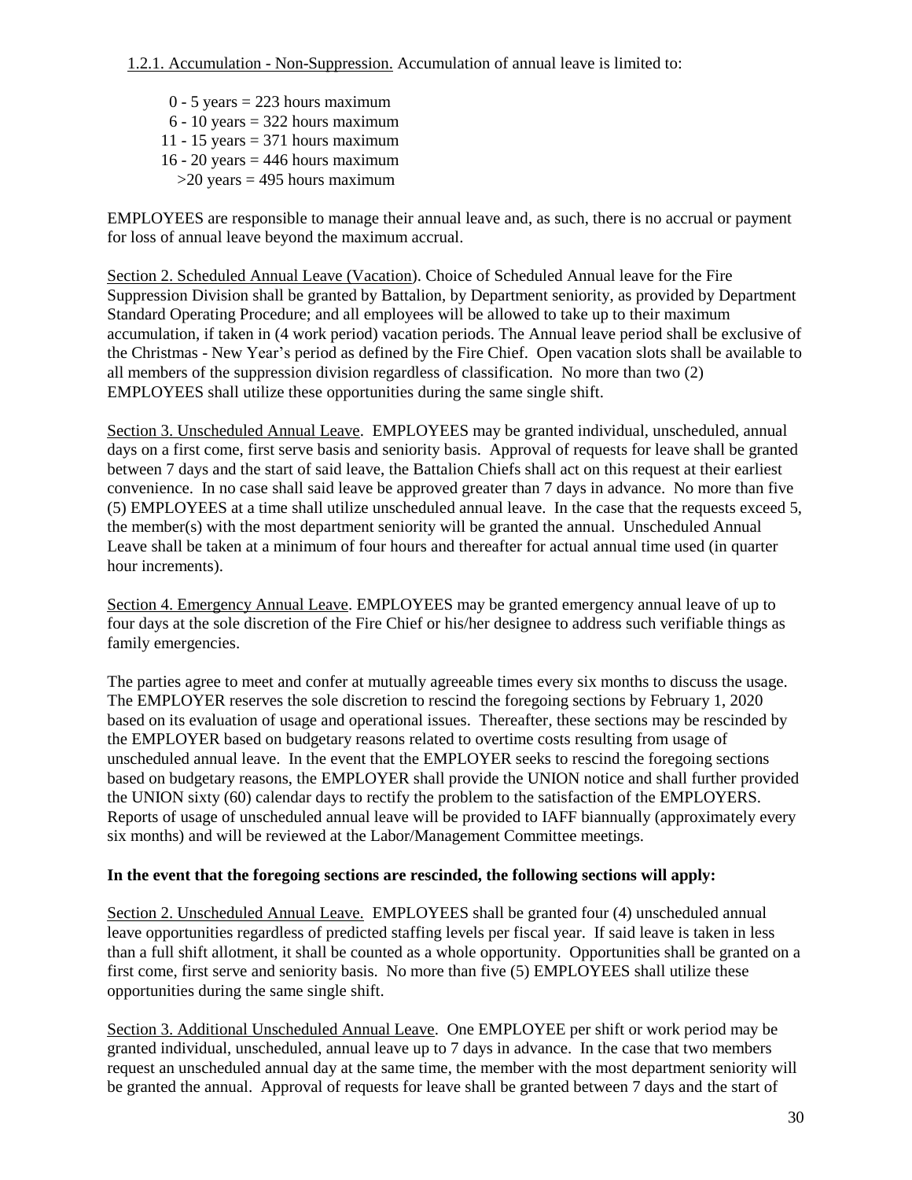1.2.1. Accumulation - Non-Suppression. Accumulation of annual leave is limited to:

 $0 - 5$  years = 223 hours maximum  $6 - 10$  years = 322 hours maximum 11 - 15 years  $= 371$  hours maximum 16 - 20 years  $=$  446 hours maximum  $>20$  years = 495 hours maximum

EMPLOYEES are responsible to manage their annual leave and, as such, there is no accrual or payment for loss of annual leave beyond the maximum accrual.

Section 2. Scheduled Annual Leave (Vacation). Choice of Scheduled Annual leave for the Fire Suppression Division shall be granted by Battalion, by Department seniority, as provided by Department Standard Operating Procedure; and all employees will be allowed to take up to their maximum accumulation, if taken in (4 work period) vacation periods. The Annual leave period shall be exclusive of the Christmas - New Year's period as defined by the Fire Chief. Open vacation slots shall be available to all members of the suppression division regardless of classification. No more than two (2) EMPLOYEES shall utilize these opportunities during the same single shift.

Section 3. Unscheduled Annual Leave. EMPLOYEES may be granted individual, unscheduled, annual days on a first come, first serve basis and seniority basis. Approval of requests for leave shall be granted between 7 days and the start of said leave, the Battalion Chiefs shall act on this request at their earliest convenience. In no case shall said leave be approved greater than 7 days in advance. No more than five (5) EMPLOYEES at a time shall utilize unscheduled annual leave. In the case that the requests exceed 5, the member(s) with the most department seniority will be granted the annual. Unscheduled Annual Leave shall be taken at a minimum of four hours and thereafter for actual annual time used (in quarter hour increments).

Section 4. Emergency Annual Leave. EMPLOYEES may be granted emergency annual leave of up to four days at the sole discretion of the Fire Chief or his/her designee to address such verifiable things as family emergencies.

The parties agree to meet and confer at mutually agreeable times every six months to discuss the usage. The EMPLOYER reserves the sole discretion to rescind the foregoing sections by February 1, 2020 based on its evaluation of usage and operational issues. Thereafter, these sections may be rescinded by the EMPLOYER based on budgetary reasons related to overtime costs resulting from usage of unscheduled annual leave. In the event that the EMPLOYER seeks to rescind the foregoing sections based on budgetary reasons, the EMPLOYER shall provide the UNION notice and shall further provided the UNION sixty (60) calendar days to rectify the problem to the satisfaction of the EMPLOYERS. Reports of usage of unscheduled annual leave will be provided to IAFF biannually (approximately every six months) and will be reviewed at the Labor/Management Committee meetings.

## **In the event that the foregoing sections are rescinded, the following sections will apply:**

Section 2. Unscheduled Annual Leave. EMPLOYEES shall be granted four (4) unscheduled annual leave opportunities regardless of predicted staffing levels per fiscal year. If said leave is taken in less than a full shift allotment, it shall be counted as a whole opportunity. Opportunities shall be granted on a first come, first serve and seniority basis. No more than five (5) EMPLOYEES shall utilize these opportunities during the same single shift.

Section 3. Additional Unscheduled Annual Leave. One EMPLOYEE per shift or work period may be granted individual, unscheduled, annual leave up to 7 days in advance. In the case that two members request an unscheduled annual day at the same time, the member with the most department seniority will be granted the annual. Approval of requests for leave shall be granted between 7 days and the start of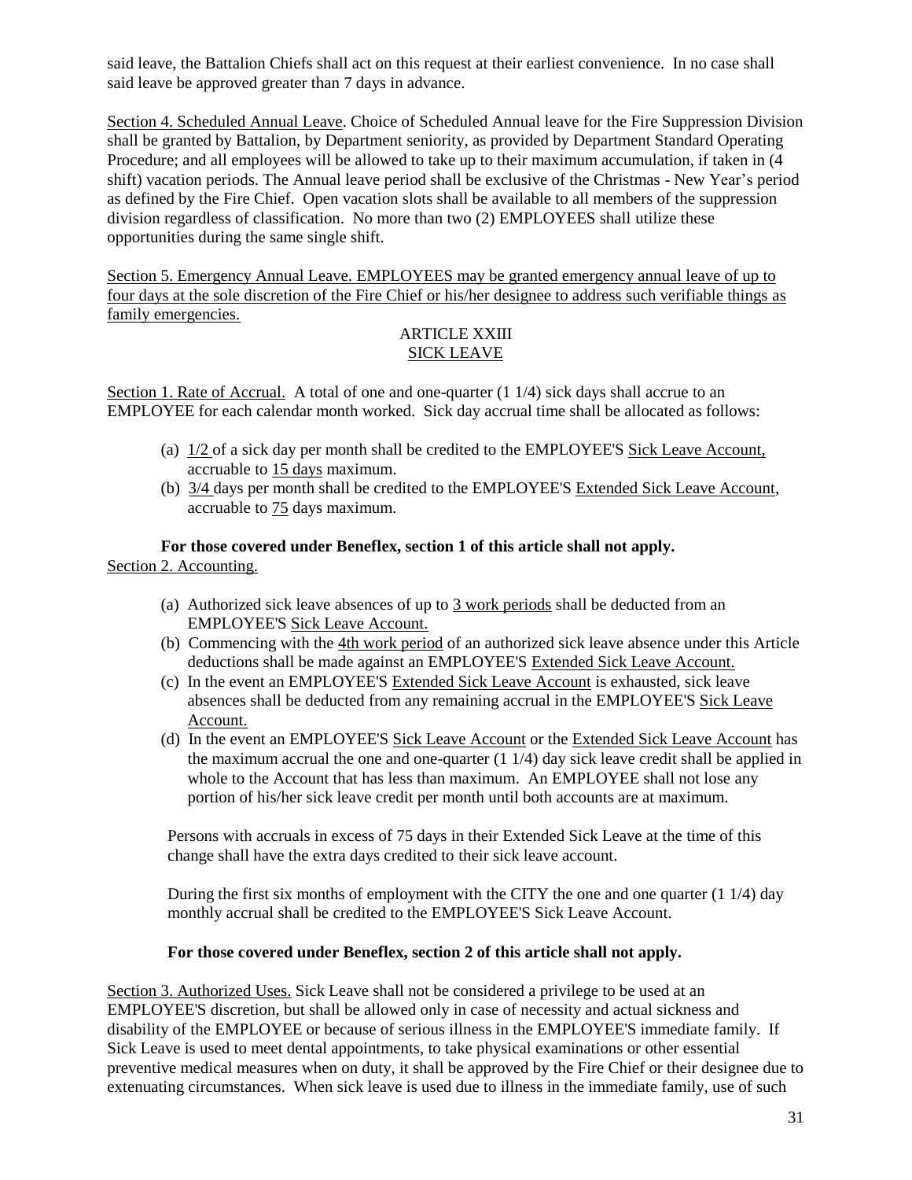said leave, the Battalion Chiefs shall act on this request at their earliest convenience. In no case shall said leave be approved greater than 7 days in advance.

Section 4. Scheduled Annual Leave. Choice of Scheduled Annual leave for the Fire Suppression Division shall be granted by Battalion, by Department seniority, as provided by Department Standard Operating Procedure; and all employees will be allowed to take up to their maximum accumulation, if taken in (4 shift) vacation periods. The Annual leave period shall be exclusive of the Christmas - New Year's period as defined by the Fire Chief. Open vacation slots shall be available to all members of the suppression division regardless of classification. No more than two (2) EMPLOYEES shall utilize these opportunities during the same single shift.

Section 5. Emergency Annual Leave. EMPLOYEES may be granted emergency annual leave of up to four days at the sole discretion of the Fire Chief or his/her designee to address such verifiable things as family emergencies.

## ARTICLE XXIII SICK LEAVE

Section 1. Rate of Accrual. A total of one and one-quarter  $(1 1/4)$  sick days shall accrue to an EMPLOYEE for each calendar month worked. Sick day accrual time shall be allocated as follows:

- (a) 1/2 of a sick day per month shall be credited to the EMPLOYEE'S Sick Leave Account, accruable to 15 days maximum.
- (b) 3/4 days per month shall be credited to the EMPLOYEE'S Extended Sick Leave Account, accruable to 75 days maximum.

**For those covered under Beneflex, section 1 of this article shall not apply.** Section 2. Accounting.

- (a) Authorized sick leave absences of up to  $\frac{3 \text{ work periods}}{2 \text{ inches}}$  shall be deducted from an EMPLOYEE'S Sick Leave Account.
- (b) Commencing with the 4th work period of an authorized sick leave absence under this Article deductions shall be made against an EMPLOYEE'S Extended Sick Leave Account.
- (c) In the event an EMPLOYEE'S Extended Sick Leave Account is exhausted, sick leave absences shall be deducted from any remaining accrual in the EMPLOYEE'S Sick Leave Account.
- (d) In the event an EMPLOYEE'S Sick Leave Account or the Extended Sick Leave Account has the maximum accrual the one and one-quarter  $(1 1/4)$  day sick leave credit shall be applied in whole to the Account that has less than maximum. An EMPLOYEE shall not lose any portion of his/her sick leave credit per month until both accounts are at maximum.

Persons with accruals in excess of 75 days in their Extended Sick Leave at the time of this change shall have the extra days credited to their sick leave account.

During the first six months of employment with the CITY the one and one quarter (1 1/4) day monthly accrual shall be credited to the EMPLOYEE'S Sick Leave Account.

### **For those covered under Beneflex, section 2 of this article shall not apply.**

Section 3. Authorized Uses. Sick Leave shall not be considered a privilege to be used at an EMPLOYEE'S discretion, but shall be allowed only in case of necessity and actual sickness and disability of the EMPLOYEE or because of serious illness in the EMPLOYEE'S immediate family. If Sick Leave is used to meet dental appointments, to take physical examinations or other essential preventive medical measures when on duty, it shall be approved by the Fire Chief or their designee due to extenuating circumstances. When sick leave is used due to illness in the immediate family, use of such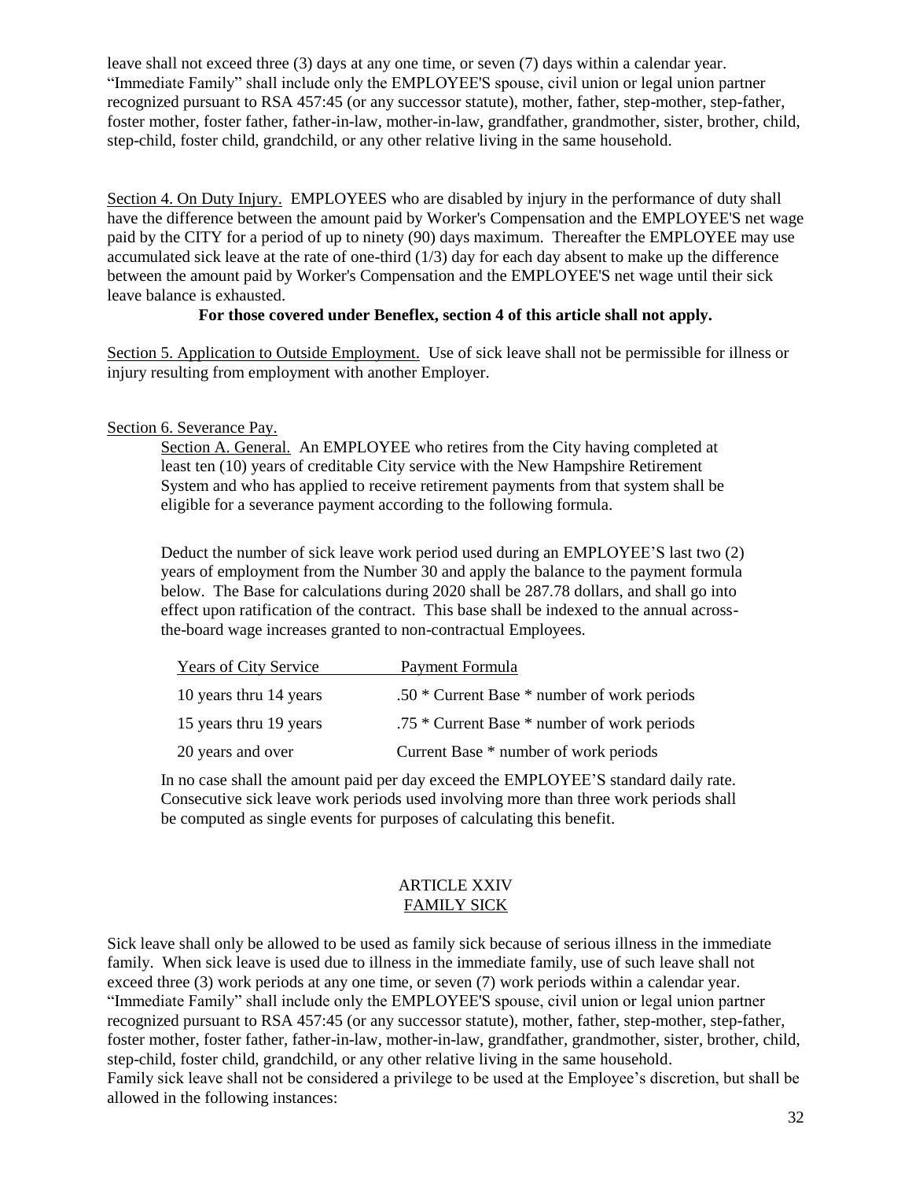leave shall not exceed three (3) days at any one time, or seven (7) days within a calendar year. "Immediate Family" shall include only the EMPLOYEE'S spouse, civil union or legal union partner recognized pursuant to RSA 457:45 (or any successor statute), mother, father, step-mother, step-father, foster mother, foster father, father-in-law, mother-in-law, grandfather, grandmother, sister, brother, child, step-child, foster child, grandchild, or any other relative living in the same household.

Section 4. On Duty Injury. EMPLOYEES who are disabled by injury in the performance of duty shall have the difference between the amount paid by Worker's Compensation and the EMPLOYEE'S net wage paid by the CITY for a period of up to ninety (90) days maximum. Thereafter the EMPLOYEE may use accumulated sick leave at the rate of one-third  $(1/3)$  day for each day absent to make up the difference between the amount paid by Worker's Compensation and the EMPLOYEE'S net wage until their sick leave balance is exhausted.

### **For those covered under Beneflex, section 4 of this article shall not apply.**

Section 5. Application to Outside Employment. Use of sick leave shall not be permissible for illness or injury resulting from employment with another Employer.

## Section 6. Severance Pay.

Section A. General. An EMPLOYEE who retires from the City having completed at least ten (10) years of creditable City service with the New Hampshire Retirement System and who has applied to receive retirement payments from that system shall be eligible for a severance payment according to the following formula.

Deduct the number of sick leave work period used during an EMPLOYEE'S last two (2) years of employment from the Number 30 and apply the balance to the payment formula below. The Base for calculations during 2020 shall be 287.78 dollars, and shall go into effect upon ratification of the contract. This base shall be indexed to the annual acrossthe-board wage increases granted to non-contractual Employees.

| <b>Years of City Service</b> | Payment Formula                             |
|------------------------------|---------------------------------------------|
| 10 years thru 14 years       | .50 * Current Base * number of work periods |
| 15 years thru 19 years       | .75 * Current Base * number of work periods |
| 20 years and over            | Current Base * number of work periods       |

In no case shall the amount paid per day exceed the EMPLOYEE'S standard daily rate. Consecutive sick leave work periods used involving more than three work periods shall be computed as single events for purposes of calculating this benefit.

### ARTICLE XXIV FAMILY SICK

Sick leave shall only be allowed to be used as family sick because of serious illness in the immediate family. When sick leave is used due to illness in the immediate family, use of such leave shall not exceed three (3) work periods at any one time, or seven (7) work periods within a calendar year. "Immediate Family" shall include only the EMPLOYEE'S spouse, civil union or legal union partner recognized pursuant to RSA 457:45 (or any successor statute), mother, father, step-mother, step-father, foster mother, foster father, father-in-law, mother-in-law, grandfather, grandmother, sister, brother, child, step-child, foster child, grandchild, or any other relative living in the same household. Family sick leave shall not be considered a privilege to be used at the Employee's discretion, but shall be allowed in the following instances: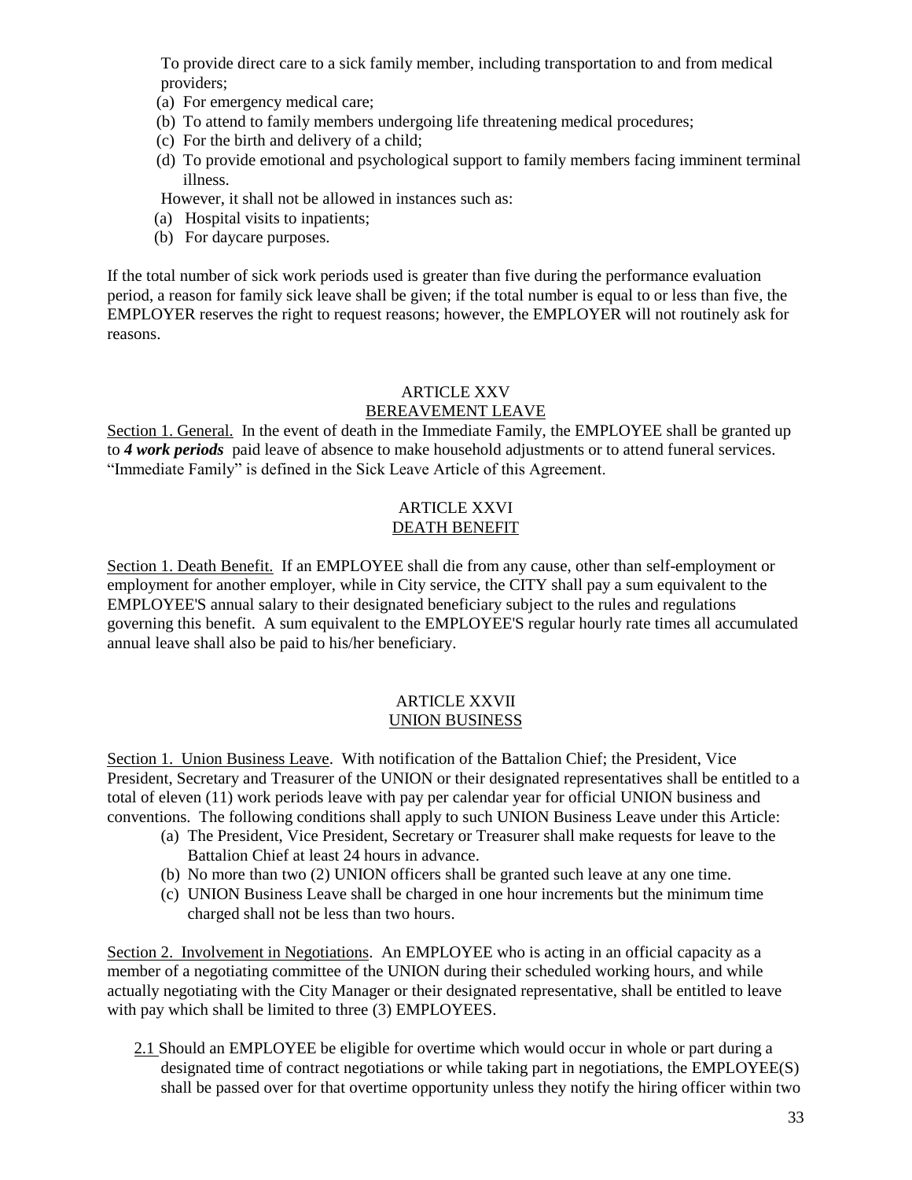To provide direct care to a sick family member, including transportation to and from medical providers;

- (a) For emergency medical care;
- (b) To attend to family members undergoing life threatening medical procedures;
- (c) For the birth and delivery of a child;
- (d) To provide emotional and psychological support to family members facing imminent terminal illness.

However, it shall not be allowed in instances such as:

- (a) Hospital visits to inpatients;
- (b) For daycare purposes.

If the total number of sick work periods used is greater than five during the performance evaluation period, a reason for family sick leave shall be given; if the total number is equal to or less than five, the EMPLOYER reserves the right to request reasons; however, the EMPLOYER will not routinely ask for reasons.

## ARTICLE XXV

## BEREAVEMENT LEAVE

Section 1. General. In the event of death in the Immediate Family, the EMPLOYEE shall be granted up to *4 work periods* paid leave of absence to make household adjustments or to attend funeral services. "Immediate Family" is defined in the Sick Leave Article of this Agreement.

## ARTICLE XXVI DEATH BENEFIT

Section 1. Death Benefit. If an EMPLOYEE shall die from any cause, other than self-employment or employment for another employer, while in City service, the CITY shall pay a sum equivalent to the EMPLOYEE'S annual salary to their designated beneficiary subject to the rules and regulations governing this benefit. A sum equivalent to the EMPLOYEE'S regular hourly rate times all accumulated annual leave shall also be paid to his/her beneficiary.

## ARTICLE XXVII UNION BUSINESS

Section 1. Union Business Leave. With notification of the Battalion Chief; the President, Vice President, Secretary and Treasurer of the UNION or their designated representatives shall be entitled to a total of eleven (11) work periods leave with pay per calendar year for official UNION business and conventions. The following conditions shall apply to such UNION Business Leave under this Article:

- (a) The President, Vice President, Secretary or Treasurer shall make requests for leave to the Battalion Chief at least 24 hours in advance.
- (b) No more than two (2) UNION officers shall be granted such leave at any one time.
- (c) UNION Business Leave shall be charged in one hour increments but the minimum time charged shall not be less than two hours.

Section 2. Involvement in Negotiations. An EMPLOYEE who is acting in an official capacity as a member of a negotiating committee of the UNION during their scheduled working hours, and while actually negotiating with the City Manager or their designated representative, shall be entitled to leave with pay which shall be limited to three (3) EMPLOYEES.

2.1 Should an EMPLOYEE be eligible for overtime which would occur in whole or part during a designated time of contract negotiations or while taking part in negotiations, the EMPLOYEE(S) shall be passed over for that overtime opportunity unless they notify the hiring officer within two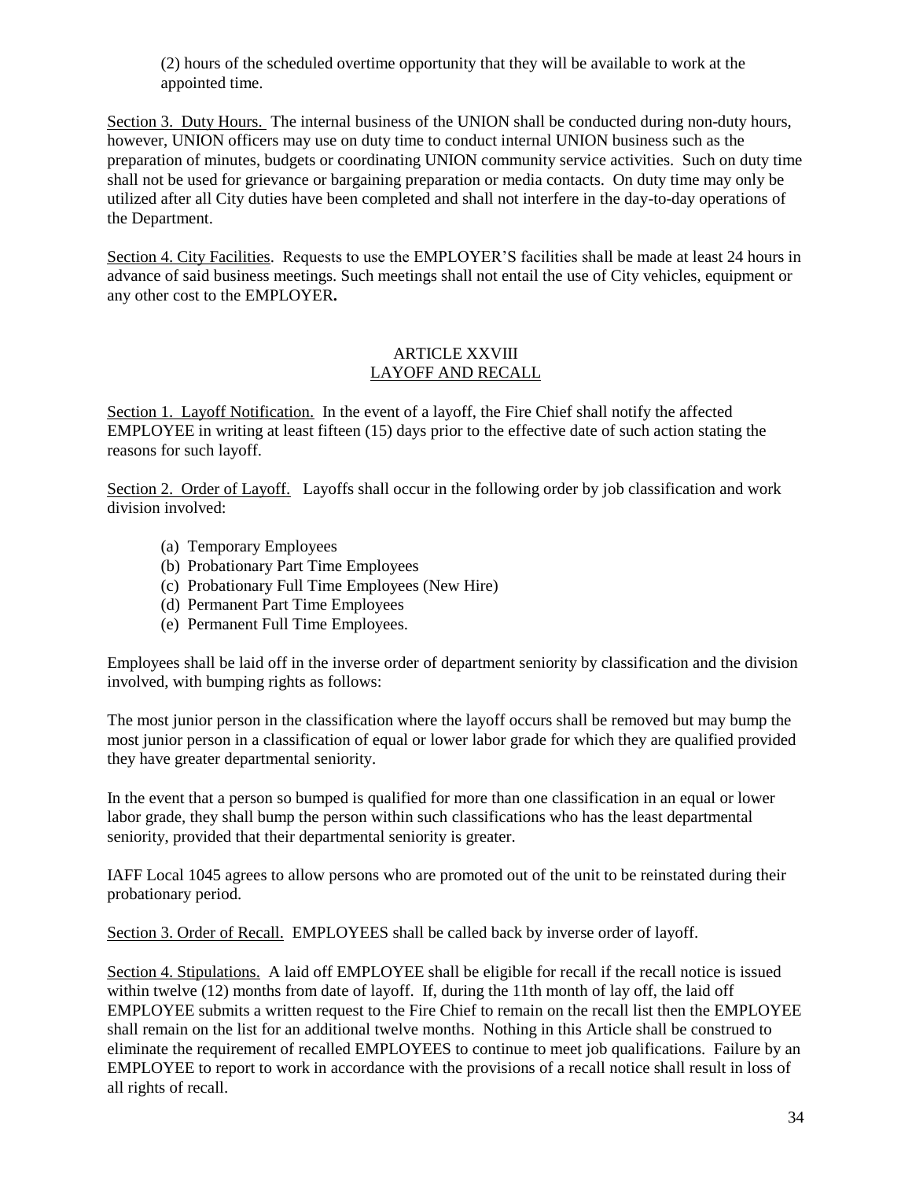(2) hours of the scheduled overtime opportunity that they will be available to work at the appointed time.

Section 3. Duty Hours. The internal business of the UNION shall be conducted during non-duty hours, however, UNION officers may use on duty time to conduct internal UNION business such as the preparation of minutes, budgets or coordinating UNION community service activities. Such on duty time shall not be used for grievance or bargaining preparation or media contacts. On duty time may only be utilized after all City duties have been completed and shall not interfere in the day-to-day operations of the Department.

Section 4. City Facilities.Requests to use the EMPLOYER'S facilities shall be made at least 24 hours in advance of said business meetings. Such meetings shall not entail the use of City vehicles, equipment or any other cost to the EMPLOYER**.** 

## ARTICLE XXVIII LAYOFF AND RECALL

Section 1. Layoff Notification. In the event of a layoff, the Fire Chief shall notify the affected EMPLOYEE in writing at least fifteen (15) days prior to the effective date of such action stating the reasons for such layoff.

Section 2. Order of Layoff. Layoffs shall occur in the following order by job classification and work division involved:

- (a) Temporary Employees
- (b) Probationary Part Time Employees
- (c) Probationary Full Time Employees (New Hire)
- (d) Permanent Part Time Employees
- (e) Permanent Full Time Employees.

Employees shall be laid off in the inverse order of department seniority by classification and the division involved, with bumping rights as follows:

The most junior person in the classification where the layoff occurs shall be removed but may bump the most junior person in a classification of equal or lower labor grade for which they are qualified provided they have greater departmental seniority.

In the event that a person so bumped is qualified for more than one classification in an equal or lower labor grade, they shall bump the person within such classifications who has the least departmental seniority, provided that their departmental seniority is greater.

IAFF Local 1045 agrees to allow persons who are promoted out of the unit to be reinstated during their probationary period.

Section 3. Order of Recall. EMPLOYEES shall be called back by inverse order of layoff.

Section 4. Stipulations. A laid off EMPLOYEE shall be eligible for recall if the recall notice is issued within twelve (12) months from date of layoff. If, during the 11th month of lay off, the laid off EMPLOYEE submits a written request to the Fire Chief to remain on the recall list then the EMPLOYEE shall remain on the list for an additional twelve months. Nothing in this Article shall be construed to eliminate the requirement of recalled EMPLOYEES to continue to meet job qualifications. Failure by an EMPLOYEE to report to work in accordance with the provisions of a recall notice shall result in loss of all rights of recall.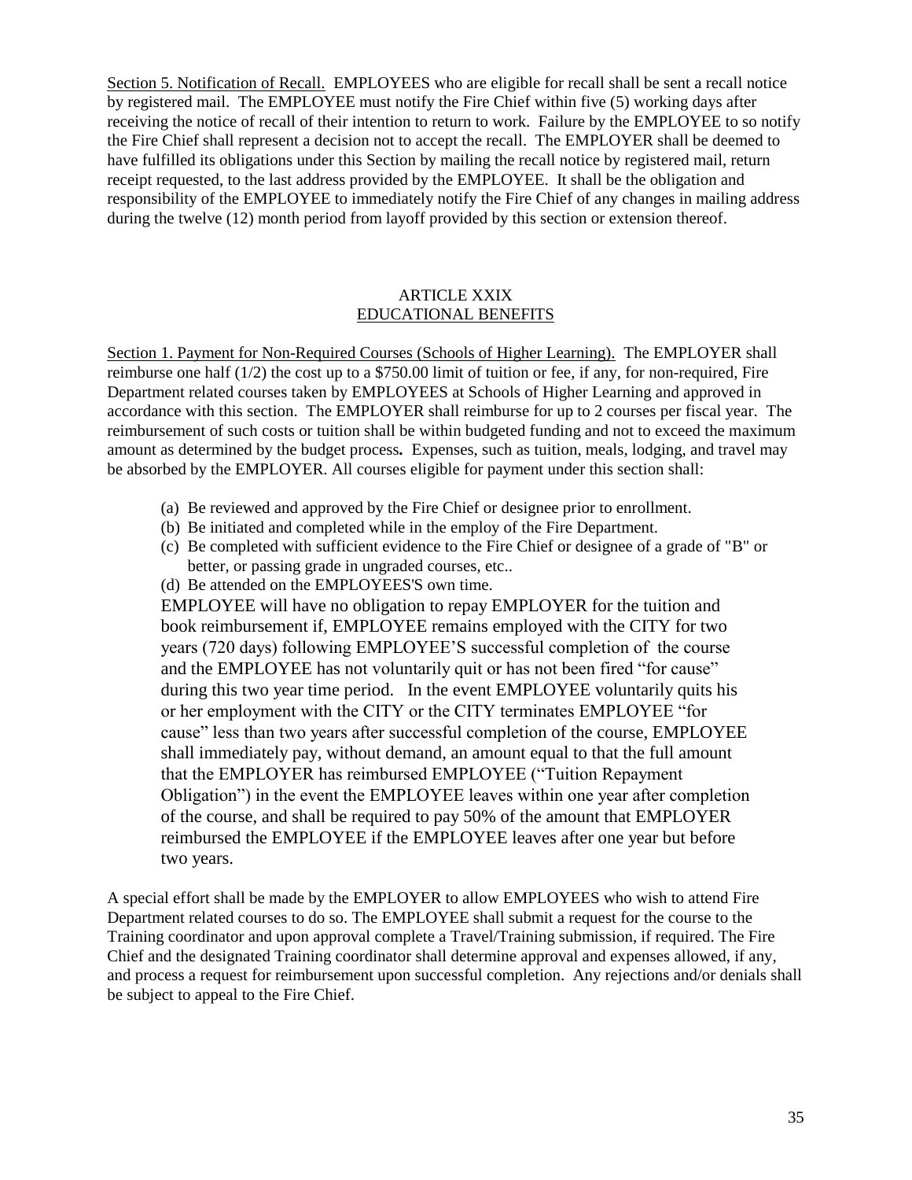Section 5. Notification of Recall. EMPLOYEES who are eligible for recall shall be sent a recall notice by registered mail. The EMPLOYEE must notify the Fire Chief within five (5) working days after receiving the notice of recall of their intention to return to work. Failure by the EMPLOYEE to so notify the Fire Chief shall represent a decision not to accept the recall. The EMPLOYER shall be deemed to have fulfilled its obligations under this Section by mailing the recall notice by registered mail, return receipt requested, to the last address provided by the EMPLOYEE. It shall be the obligation and responsibility of the EMPLOYEE to immediately notify the Fire Chief of any changes in mailing address during the twelve (12) month period from layoff provided by this section or extension thereof.

## ARTICLE XXIX EDUCATIONAL BENEFITS

Section 1. Payment for Non-Required Courses (Schools of Higher Learning). The EMPLOYER shall reimburse one half  $(1/2)$  the cost up to a \$750.00 limit of tuition or fee, if any, for non-required, Fire Department related courses taken by EMPLOYEES at Schools of Higher Learning and approved in accordance with this section. The EMPLOYER shall reimburse for up to 2 courses per fiscal year. The reimbursement of such costs or tuition shall be within budgeted funding and not to exceed the maximum amount as determined by the budget process*.* Expenses, such as tuition, meals, lodging, and travel may be absorbed by the EMPLOYER. All courses eligible for payment under this section shall:

- (a) Be reviewed and approved by the Fire Chief or designee prior to enrollment.
- (b) Be initiated and completed while in the employ of the Fire Department.
- (c) Be completed with sufficient evidence to the Fire Chief or designee of a grade of "B" or better, or passing grade in ungraded courses, etc..
- (d) Be attended on the EMPLOYEES'S own time.

EMPLOYEE will have no obligation to repay EMPLOYER for the tuition and book reimbursement if, EMPLOYEE remains employed with the CITY for two years (720 days) following EMPLOYEE'S successful completion of the course and the EMPLOYEE has not voluntarily quit or has not been fired "for cause" during this two year time period. In the event EMPLOYEE voluntarily quits his or her employment with the CITY or the CITY terminates EMPLOYEE "for cause" less than two years after successful completion of the course, EMPLOYEE shall immediately pay, without demand, an amount equal to that the full amount that the EMPLOYER has reimbursed EMPLOYEE ("Tuition Repayment Obligation") in the event the EMPLOYEE leaves within one year after completion of the course, and shall be required to pay 50% of the amount that EMPLOYER reimbursed the EMPLOYEE if the EMPLOYEE leaves after one year but before two years.

A special effort shall be made by the EMPLOYER to allow EMPLOYEES who wish to attend Fire Department related courses to do so. The EMPLOYEE shall submit a request for the course to the Training coordinator and upon approval complete a Travel/Training submission, if required. The Fire Chief and the designated Training coordinator shall determine approval and expenses allowed, if any, and process a request for reimbursement upon successful completion. Any rejections and/or denials shall be subject to appeal to the Fire Chief.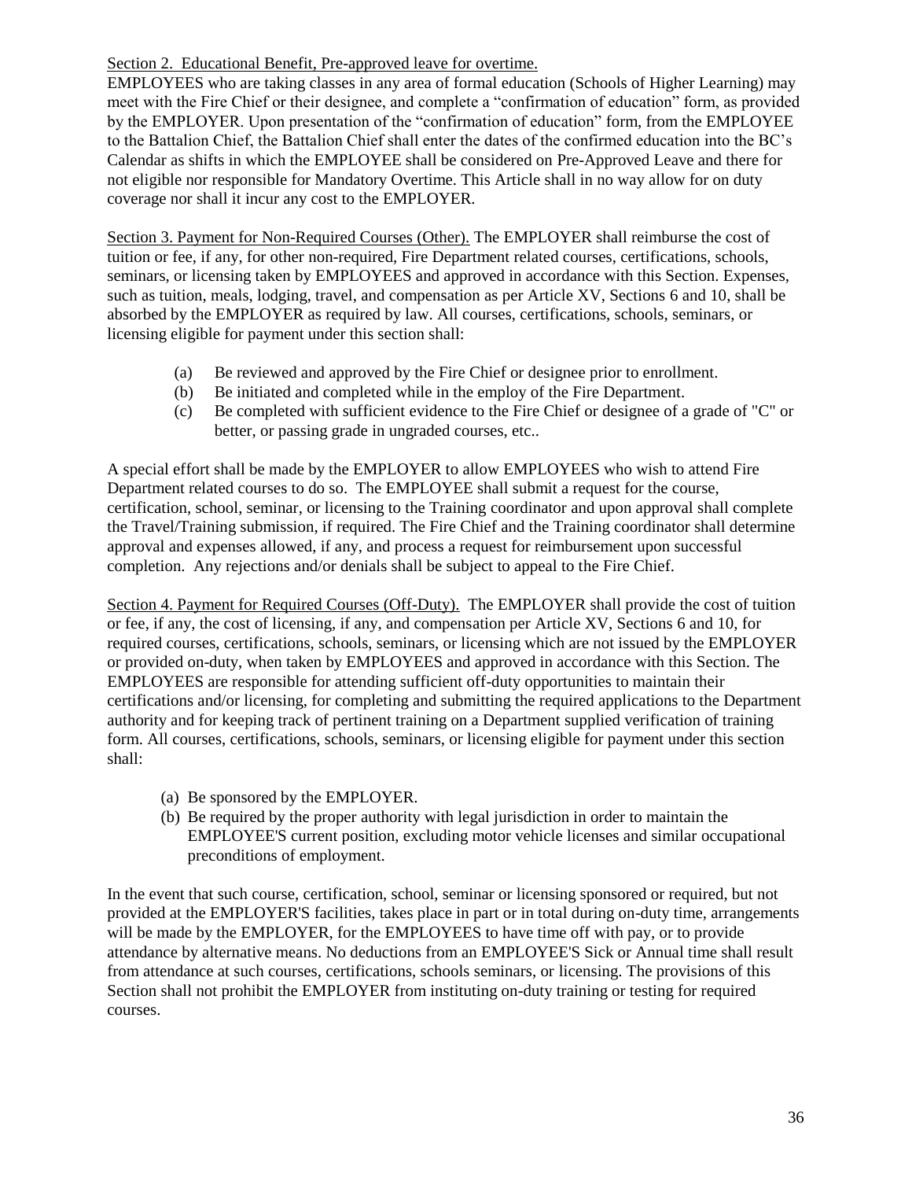## Section 2. Educational Benefit, Pre-approved leave for overtime.

EMPLOYEES who are taking classes in any area of formal education (Schools of Higher Learning) may meet with the Fire Chief or their designee, and complete a "confirmation of education" form, as provided by the EMPLOYER. Upon presentation of the "confirmation of education" form, from the EMPLOYEE to the Battalion Chief, the Battalion Chief shall enter the dates of the confirmed education into the BC's Calendar as shifts in which the EMPLOYEE shall be considered on Pre-Approved Leave and there for not eligible nor responsible for Mandatory Overtime. This Article shall in no way allow for on duty coverage nor shall it incur any cost to the EMPLOYER.

Section 3. Payment for Non-Required Courses (Other). The EMPLOYER shall reimburse the cost of tuition or fee, if any, for other non-required, Fire Department related courses, certifications, schools, seminars, or licensing taken by EMPLOYEES and approved in accordance with this Section. Expenses, such as tuition, meals, lodging, travel, and compensation as per Article XV, Sections 6 and 10, shall be absorbed by the EMPLOYER as required by law. All courses, certifications, schools, seminars, or licensing eligible for payment under this section shall:

- (a) Be reviewed and approved by the Fire Chief or designee prior to enrollment.
- (b) Be initiated and completed while in the employ of the Fire Department.
- (c) Be completed with sufficient evidence to the Fire Chief or designee of a grade of "C" or better, or passing grade in ungraded courses, etc..

A special effort shall be made by the EMPLOYER to allow EMPLOYEES who wish to attend Fire Department related courses to do so. The EMPLOYEE shall submit a request for the course, certification, school, seminar, or licensing to the Training coordinator and upon approval shall complete the Travel/Training submission, if required. The Fire Chief and the Training coordinator shall determine approval and expenses allowed, if any, and process a request for reimbursement upon successful completion. Any rejections and/or denials shall be subject to appeal to the Fire Chief.

Section 4. Payment for Required Courses (Off-Duty). The EMPLOYER shall provide the cost of tuition or fee, if any, the cost of licensing, if any, and compensation per Article XV, Sections 6 and 10, for required courses, certifications, schools, seminars, or licensing which are not issued by the EMPLOYER or provided on-duty, when taken by EMPLOYEES and approved in accordance with this Section. The EMPLOYEES are responsible for attending sufficient off-duty opportunities to maintain their certifications and/or licensing, for completing and submitting the required applications to the Department authority and for keeping track of pertinent training on a Department supplied verification of training form. All courses, certifications, schools, seminars, or licensing eligible for payment under this section shall:

- (a) Be sponsored by the EMPLOYER.
- (b) Be required by the proper authority with legal jurisdiction in order to maintain the EMPLOYEE'S current position, excluding motor vehicle licenses and similar occupational preconditions of employment.

In the event that such course, certification, school, seminar or licensing sponsored or required, but not provided at the EMPLOYER'S facilities, takes place in part or in total during on-duty time, arrangements will be made by the EMPLOYER, for the EMPLOYEES to have time off with pay, or to provide attendance by alternative means. No deductions from an EMPLOYEE'S Sick or Annual time shall result from attendance at such courses, certifications, schools seminars, or licensing. The provisions of this Section shall not prohibit the EMPLOYER from instituting on-duty training or testing for required courses.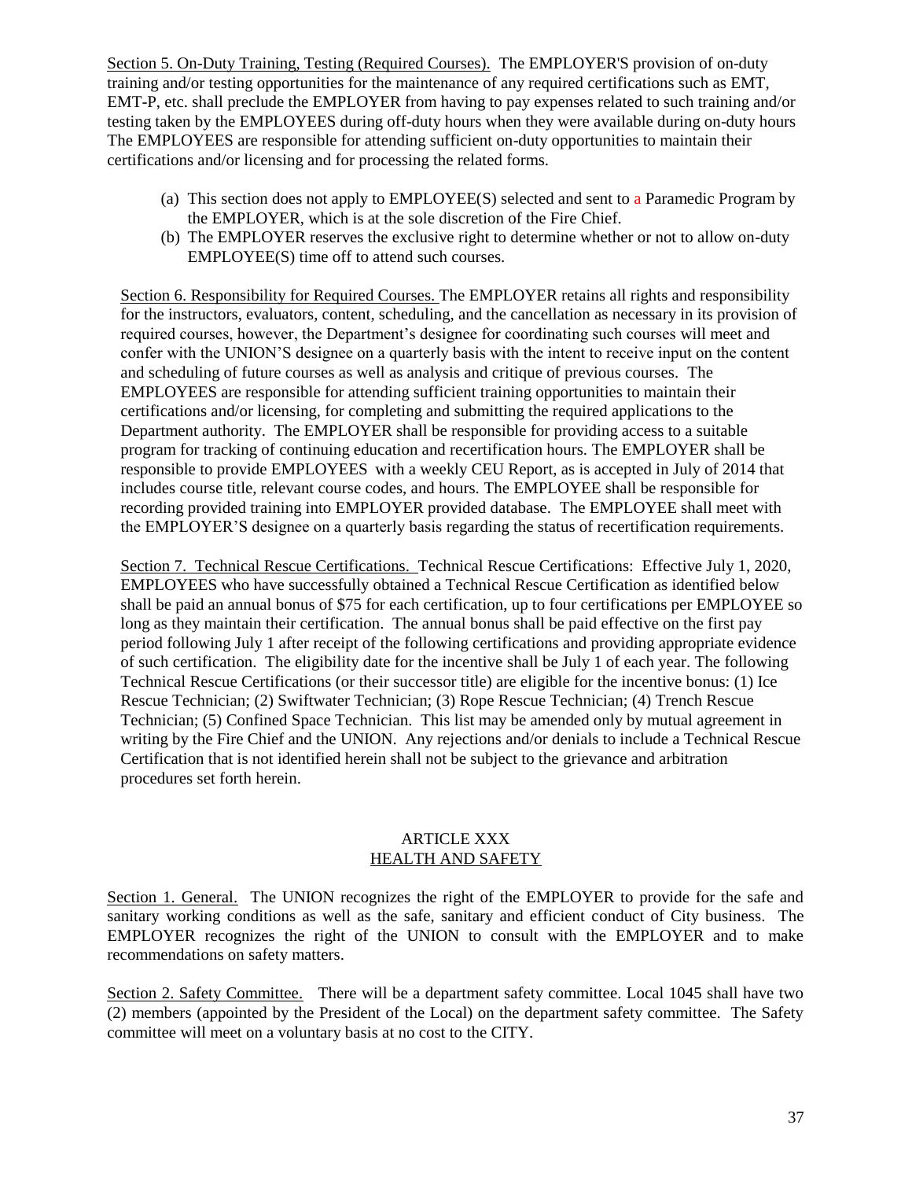Section 5. On-Duty Training, Testing (Required Courses). The EMPLOYER'S provision of on-duty training and/or testing opportunities for the maintenance of any required certifications such as EMT, EMT-P, etc. shall preclude the EMPLOYER from having to pay expenses related to such training and/or testing taken by the EMPLOYEES during off-duty hours when they were available during on-duty hours The EMPLOYEES are responsible for attending sufficient on-duty opportunities to maintain their certifications and/or licensing and for processing the related forms.

- (a) This section does not apply to EMPLOYEE(S) selected and sent to a Paramedic Program by the EMPLOYER, which is at the sole discretion of the Fire Chief.
- (b) The EMPLOYER reserves the exclusive right to determine whether or not to allow on-duty EMPLOYEE(S) time off to attend such courses.

Section 6. Responsibility for Required Courses. The EMPLOYER retains all rights and responsibility for the instructors, evaluators, content, scheduling, and the cancellation as necessary in its provision of required courses, however, the Department's designee for coordinating such courses will meet and confer with the UNION'S designee on a quarterly basis with the intent to receive input on the content and scheduling of future courses as well as analysis and critique of previous courses. The EMPLOYEES are responsible for attending sufficient training opportunities to maintain their certifications and/or licensing, for completing and submitting the required applications to the Department authority. The EMPLOYER shall be responsible for providing access to a suitable program for tracking of continuing education and recertification hours. The EMPLOYER shall be responsible to provide EMPLOYEES with a weekly CEU Report, as is accepted in July of 2014 that includes course title, relevant course codes, and hours. The EMPLOYEE shall be responsible for recording provided training into EMPLOYER provided database. The EMPLOYEE shall meet with the EMPLOYER'S designee on a quarterly basis regarding the status of recertification requirements.

Section 7. Technical Rescue Certifications. Technical Rescue Certifications: Effective July 1, 2020, EMPLOYEES who have successfully obtained a Technical Rescue Certification as identified below shall be paid an annual bonus of \$75 for each certification, up to four certifications per EMPLOYEE so long as they maintain their certification. The annual bonus shall be paid effective on the first pay period following July 1 after receipt of the following certifications and providing appropriate evidence of such certification. The eligibility date for the incentive shall be July 1 of each year. The following Technical Rescue Certifications (or their successor title) are eligible for the incentive bonus: (1) Ice Rescue Technician; (2) Swiftwater Technician; (3) Rope Rescue Technician; (4) Trench Rescue Technician; (5) Confined Space Technician. This list may be amended only by mutual agreement in writing by the Fire Chief and the UNION. Any rejections and/or denials to include a Technical Rescue Certification that is not identified herein shall not be subject to the grievance and arbitration procedures set forth herein.

## ARTICLE XXX HEALTH AND SAFETY

Section 1. General. The UNION recognizes the right of the EMPLOYER to provide for the safe and sanitary working conditions as well as the safe, sanitary and efficient conduct of City business. The EMPLOYER recognizes the right of the UNION to consult with the EMPLOYER and to make recommendations on safety matters.

Section 2. Safety Committee. There will be a department safety committee. Local 1045 shall have two (2) members (appointed by the President of the Local) on the department safety committee. The Safety committee will meet on a voluntary basis at no cost to the CITY.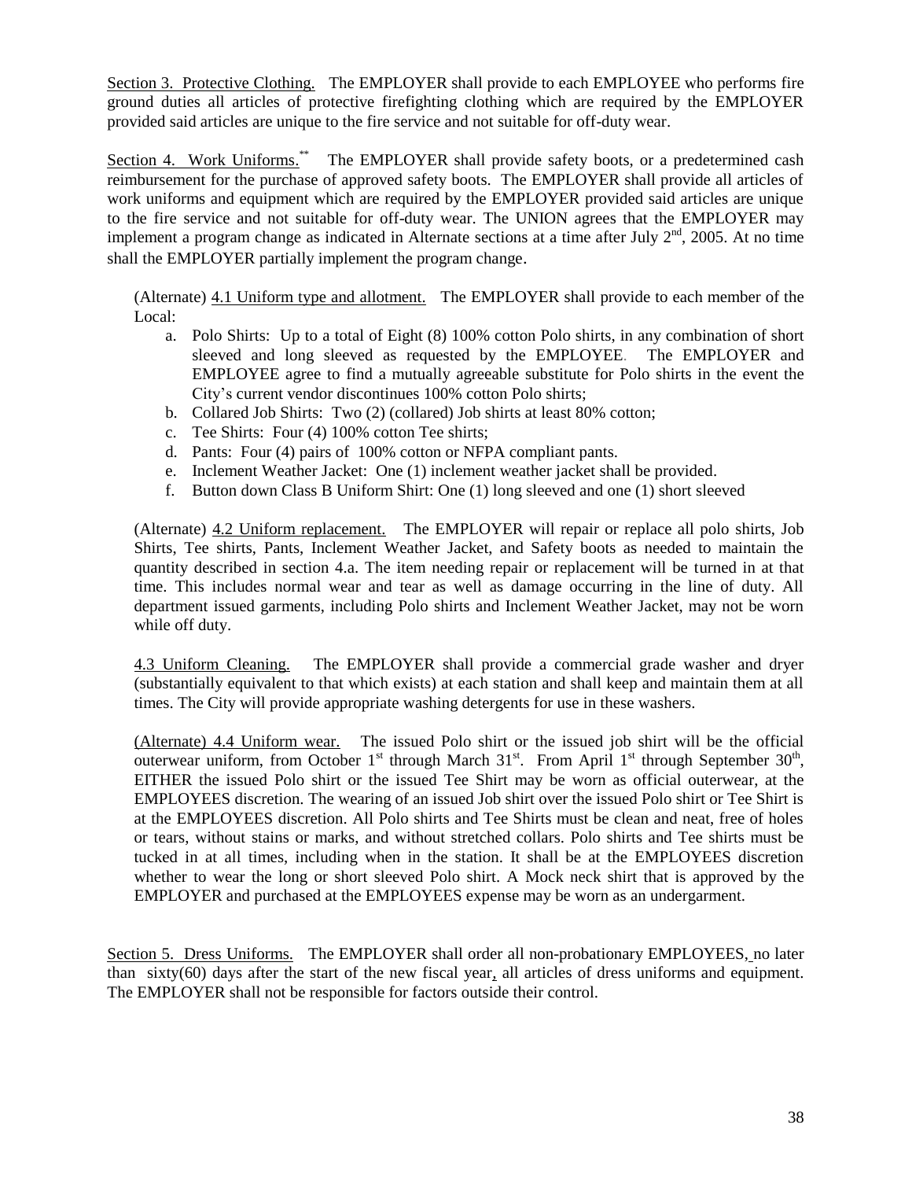Section 3. Protective Clothing. The EMPLOYER shall provide to each EMPLOYEE who performs fire ground duties all articles of protective firefighting clothing which are required by the EMPLOYER provided said articles are unique to the fire service and not suitable for off-duty wear.

Section 4. Work Uniforms.<sup>\*\*</sup> The EMPLOYER shall provide safety boots, or a predetermined cash reimbursement for the purchase of approved safety boots. The EMPLOYER shall provide all articles of work uniforms and equipment which are required by the EMPLOYER provided said articles are unique to the fire service and not suitable for off-duty wear. The UNION agrees that the EMPLOYER may implement a program change as indicated in Alternate sections at a time after July  $2<sup>nd</sup>$ , 2005. At no time shall the EMPLOYER partially implement the program change.

(Alternate) 4.1 Uniform type and allotment. The EMPLOYER shall provide to each member of the Local:

- a. Polo Shirts: Up to a total of Eight (8) 100% cotton Polo shirts, in any combination of short sleeved and long sleeved as requested by the EMPLOYEE. The EMPLOYER and EMPLOYEE agree to find a mutually agreeable substitute for Polo shirts in the event the City's current vendor discontinues 100% cotton Polo shirts;
- b. Collared Job Shirts: Two (2) (collared) Job shirts at least 80% cotton;
- c. Tee Shirts: Four (4) 100% cotton Tee shirts;
- d. Pants: Four (4) pairs of 100% cotton or NFPA compliant pants.
- e. Inclement Weather Jacket: One (1) inclement weather jacket shall be provided.
- f. Button down Class B Uniform Shirt: One (1) long sleeved and one (1) short sleeved

(Alternate) 4.2 Uniform replacement. The EMPLOYER will repair or replace all polo shirts, Job Shirts, Tee shirts, Pants, Inclement Weather Jacket, and Safety boots as needed to maintain the quantity described in section 4.a. The item needing repair or replacement will be turned in at that time. This includes normal wear and tear as well as damage occurring in the line of duty. All department issued garments, including Polo shirts and Inclement Weather Jacket, may not be worn while off duty.

4.3 Uniform Cleaning. The EMPLOYER shall provide a commercial grade washer and dryer (substantially equivalent to that which exists) at each station and shall keep and maintain them at all times. The City will provide appropriate washing detergents for use in these washers.

(Alternate) 4.4 Uniform wear. The issued Polo shirt or the issued job shirt will be the official outerwear uniform, from October 1<sup>st</sup> through March  $31<sup>st</sup>$ . From April 1<sup>st</sup> through September  $30<sup>th</sup>$ , EITHER the issued Polo shirt or the issued Tee Shirt may be worn as official outerwear, at the EMPLOYEES discretion. The wearing of an issued Job shirt over the issued Polo shirt or Tee Shirt is at the EMPLOYEES discretion. All Polo shirts and Tee Shirts must be clean and neat, free of holes or tears, without stains or marks, and without stretched collars. Polo shirts and Tee shirts must be tucked in at all times, including when in the station. It shall be at the EMPLOYEES discretion whether to wear the long or short sleeved Polo shirt. A Mock neck shirt that is approved by the EMPLOYER and purchased at the EMPLOYEES expense may be worn as an undergarment.

Section 5. Dress Uniforms. The EMPLOYER shall order all non-probationary EMPLOYEES, no later than sixty(60) days after the start of the new fiscal year*,* all articles of dress uniforms and equipment. The EMPLOYER shall not be responsible for factors outside their control.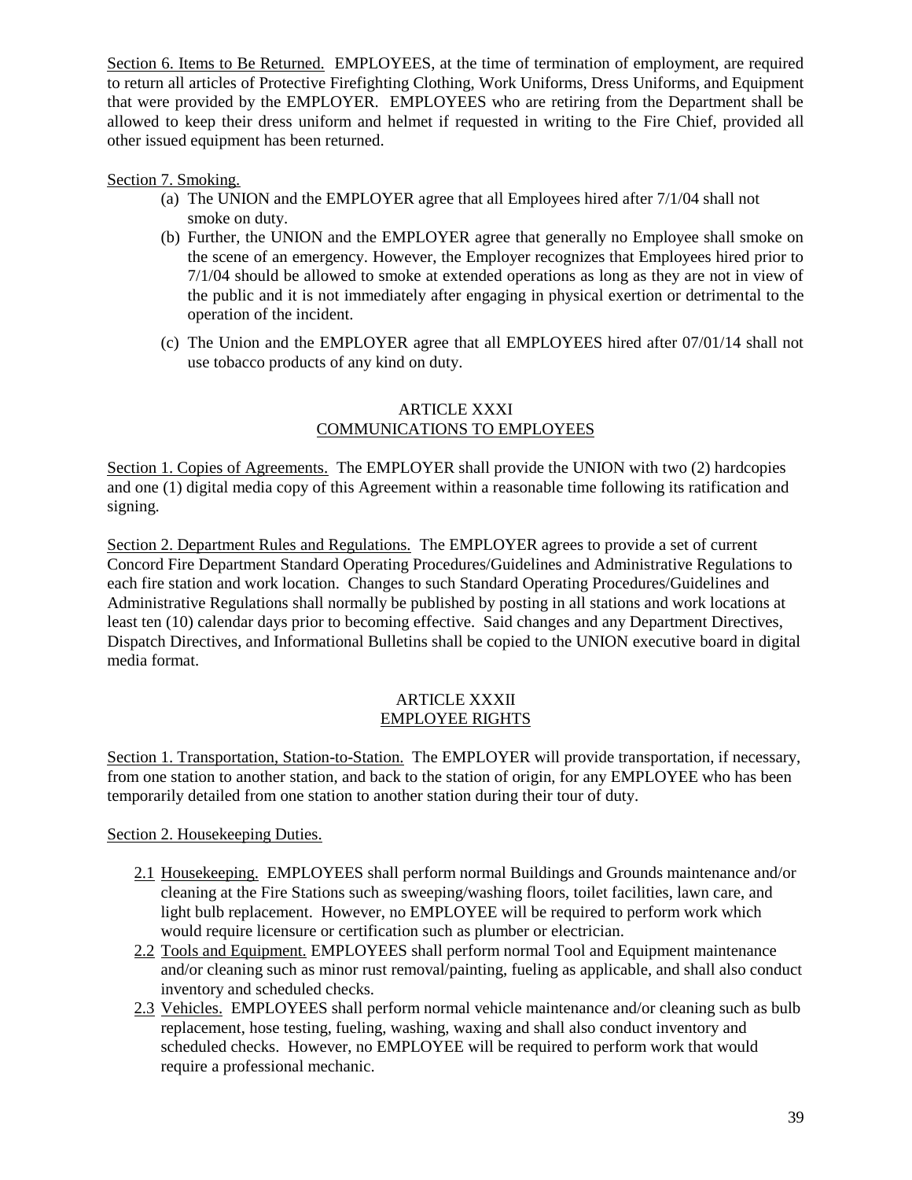Section 6. Items to Be Returned. EMPLOYEES, at the time of termination of employment, are required to return all articles of Protective Firefighting Clothing, Work Uniforms, Dress Uniforms, and Equipment that were provided by the EMPLOYER. EMPLOYEES who are retiring from the Department shall be allowed to keep their dress uniform and helmet if requested in writing to the Fire Chief, provided all other issued equipment has been returned.

## Section 7. Smoking.

- (a) The UNION and the EMPLOYER agree that all Employees hired after 7/1/04 shall not smoke on duty.
- (b) Further, the UNION and the EMPLOYER agree that generally no Employee shall smoke on the scene of an emergency. However, the Employer recognizes that Employees hired prior to 7/1/04 should be allowed to smoke at extended operations as long as they are not in view of the public and it is not immediately after engaging in physical exertion or detrimental to the operation of the incident.
- (c) The Union and the EMPLOYER agree that all EMPLOYEES hired after 07/01/14 shall not use tobacco products of any kind on duty.

## ARTICLE XXXI COMMUNICATIONS TO EMPLOYEES

Section 1. Copies of Agreements. The EMPLOYER shall provide the UNION with two (2) hardcopies and one (1) digital media copy of this Agreement within a reasonable time following its ratification and signing.

Section 2. Department Rules and Regulations. The EMPLOYER agrees to provide a set of current Concord Fire Department Standard Operating Procedures/Guidelines and Administrative Regulations to each fire station and work location. Changes to such Standard Operating Procedures/Guidelines and Administrative Regulations shall normally be published by posting in all stations and work locations at least ten (10) calendar days prior to becoming effective. Said changes and any Department Directives, Dispatch Directives, and Informational Bulletins shall be copied to the UNION executive board in digital media format.

## ARTICLE XXXII EMPLOYEE RIGHTS

Section 1. Transportation, Station-to-Station. The EMPLOYER will provide transportation, if necessary, from one station to another station, and back to the station of origin, for any EMPLOYEE who has been temporarily detailed from one station to another station during their tour of duty.

## Section 2. Housekeeping Duties.

- 2.1 Housekeeping. EMPLOYEES shall perform normal Buildings and Grounds maintenance and/or cleaning at the Fire Stations such as sweeping/washing floors, toilet facilities, lawn care, and light bulb replacement. However, no EMPLOYEE will be required to perform work which would require licensure or certification such as plumber or electrician.
- 2.2 Tools and Equipment. EMPLOYEES shall perform normal Tool and Equipment maintenance and/or cleaning such as minor rust removal/painting, fueling as applicable, and shall also conduct inventory and scheduled checks.
- 2.3 Vehicles. EMPLOYEES shall perform normal vehicle maintenance and/or cleaning such as bulb replacement, hose testing, fueling, washing, waxing and shall also conduct inventory and scheduled checks. However, no EMPLOYEE will be required to perform work that would require a professional mechanic.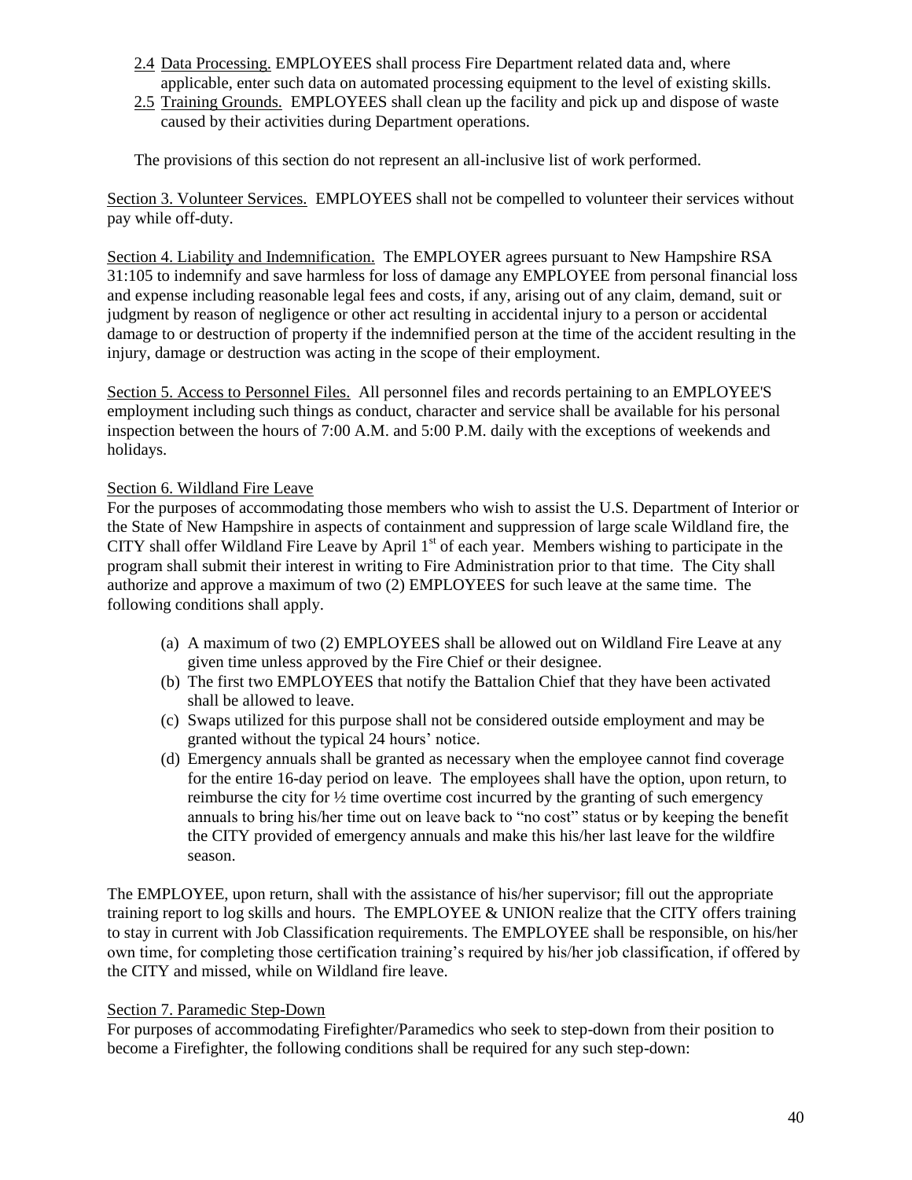- 2.4 Data Processing. EMPLOYEES shall process Fire Department related data and, where applicable, enter such data on automated processing equipment to the level of existing skills.
- 2.5 Training Grounds. EMPLOYEES shall clean up the facility and pick up and dispose of waste caused by their activities during Department operations.

The provisions of this section do not represent an all-inclusive list of work performed.

Section 3. Volunteer Services. EMPLOYEES shall not be compelled to volunteer their services without pay while off-duty.

Section 4. Liability and Indemnification. The EMPLOYER agrees pursuant to New Hampshire RSA 31:105 to indemnify and save harmless for loss of damage any EMPLOYEE from personal financial loss and expense including reasonable legal fees and costs, if any, arising out of any claim, demand, suit or judgment by reason of negligence or other act resulting in accidental injury to a person or accidental damage to or destruction of property if the indemnified person at the time of the accident resulting in the injury, damage or destruction was acting in the scope of their employment.

Section 5. Access to Personnel Files. All personnel files and records pertaining to an EMPLOYEE'S employment including such things as conduct, character and service shall be available for his personal inspection between the hours of 7:00 A.M. and 5:00 P.M. daily with the exceptions of weekends and holidays.

## Section 6. Wildland Fire Leave

For the purposes of accommodating those members who wish to assist the U.S. Department of Interior or the State of New Hampshire in aspects of containment and suppression of large scale Wildland fire, the CITY shall offer Wildland Fire Leave by April  $1<sup>st</sup>$  of each year. Members wishing to participate in the program shall submit their interest in writing to Fire Administration prior to that time. The City shall authorize and approve a maximum of two (2) EMPLOYEES for such leave at the same time. The following conditions shall apply.

- (a) A maximum of two (2) EMPLOYEES shall be allowed out on Wildland Fire Leave at any given time unless approved by the Fire Chief or their designee.
- (b) The first two EMPLOYEES that notify the Battalion Chief that they have been activated shall be allowed to leave.
- (c) Swaps utilized for this purpose shall not be considered outside employment and may be granted without the typical 24 hours' notice.
- (d) Emergency annuals shall be granted as necessary when the employee cannot find coverage for the entire 16-day period on leave. The employees shall have the option, upon return, to reimburse the city for  $\frac{1}{2}$  time overtime cost incurred by the granting of such emergency annuals to bring his/her time out on leave back to "no cost" status or by keeping the benefit the CITY provided of emergency annuals and make this his/her last leave for the wildfire season.

The EMPLOYEE, upon return, shall with the assistance of his/her supervisor; fill out the appropriate training report to log skills and hours. The EMPLOYEE & UNION realize that the CITY offers training to stay in current with Job Classification requirements. The EMPLOYEE shall be responsible, on his/her own time, for completing those certification training's required by his/her job classification, if offered by the CITY and missed, while on Wildland fire leave.

### Section 7. Paramedic Step-Down

For purposes of accommodating Firefighter/Paramedics who seek to step-down from their position to become a Firefighter, the following conditions shall be required for any such step-down: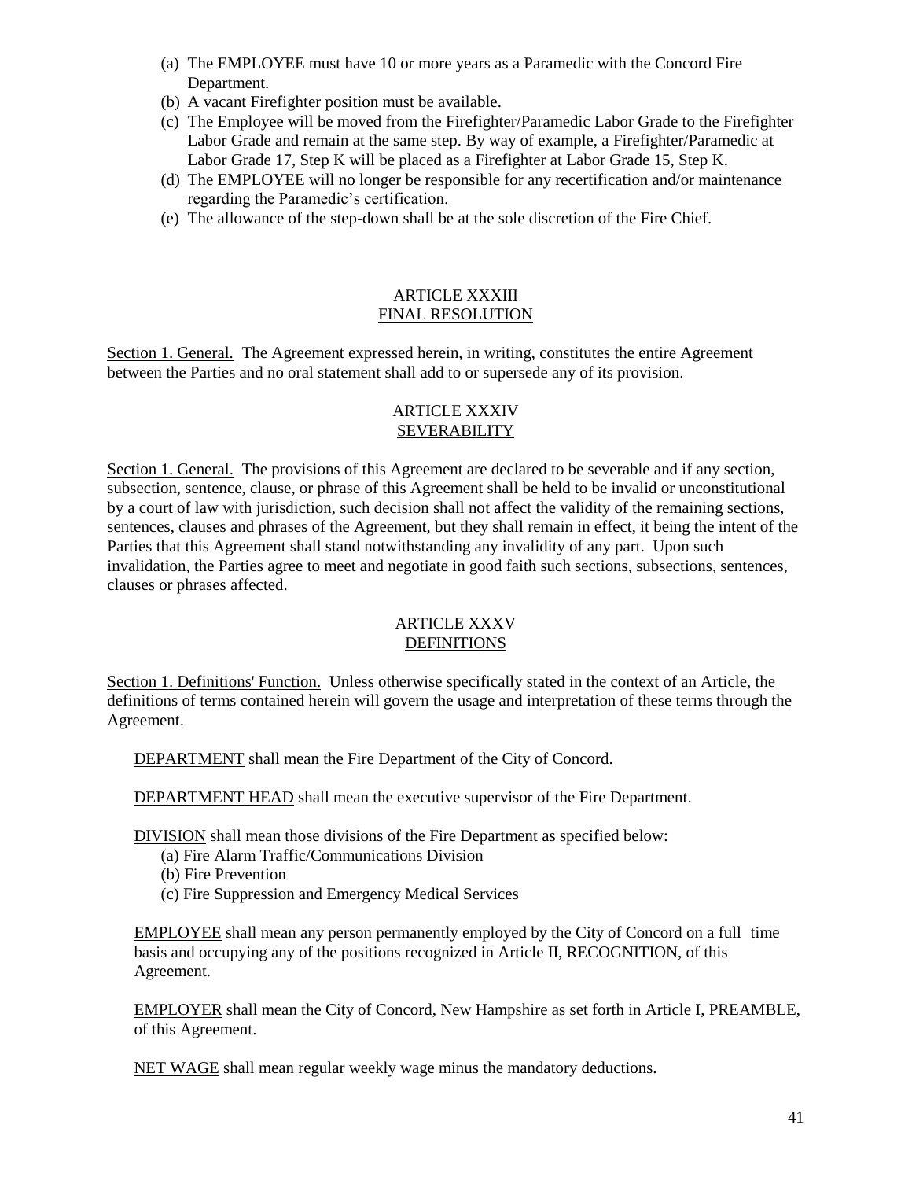- (a) The EMPLOYEE must have 10 or more years as a Paramedic with the Concord Fire Department.
- (b) A vacant Firefighter position must be available.
- (c) The Employee will be moved from the Firefighter/Paramedic Labor Grade to the Firefighter Labor Grade and remain at the same step. By way of example, a Firefighter/Paramedic at Labor Grade 17, Step K will be placed as a Firefighter at Labor Grade 15, Step K.
- (d) The EMPLOYEE will no longer be responsible for any recertification and/or maintenance regarding the Paramedic's certification.
- (e) The allowance of the step-down shall be at the sole discretion of the Fire Chief.

### ARTICLE XXXIII FINAL RESOLUTION

Section 1. General. The Agreement expressed herein, in writing, constitutes the entire Agreement between the Parties and no oral statement shall add to or supersede any of its provision.

### ARTICLE XXXIV SEVERABILITY

Section 1. General. The provisions of this Agreement are declared to be severable and if any section, subsection, sentence, clause, or phrase of this Agreement shall be held to be invalid or unconstitutional by a court of law with jurisdiction, such decision shall not affect the validity of the remaining sections, sentences, clauses and phrases of the Agreement, but they shall remain in effect, it being the intent of the Parties that this Agreement shall stand notwithstanding any invalidity of any part. Upon such invalidation, the Parties agree to meet and negotiate in good faith such sections, subsections, sentences, clauses or phrases affected.

## ARTICLE XXXV DEFINITIONS

Section 1. Definitions' Function. Unless otherwise specifically stated in the context of an Article, the definitions of terms contained herein will govern the usage and interpretation of these terms through the Agreement.

DEPARTMENT shall mean the Fire Department of the City of Concord.

DEPARTMENT HEAD shall mean the executive supervisor of the Fire Department.

DIVISION shall mean those divisions of the Fire Department as specified below:

- (a) Fire Alarm Traffic/Communications Division
- (b) Fire Prevention
- (c) Fire Suppression and Emergency Medical Services

EMPLOYEE shall mean any person permanently employed by the City of Concord on a full time basis and occupying any of the positions recognized in Article II, RECOGNITION, of this Agreement.

EMPLOYER shall mean the City of Concord, New Hampshire as set forth in Article I, PREAMBLE, of this Agreement.

NET WAGE shall mean regular weekly wage minus the mandatory deductions.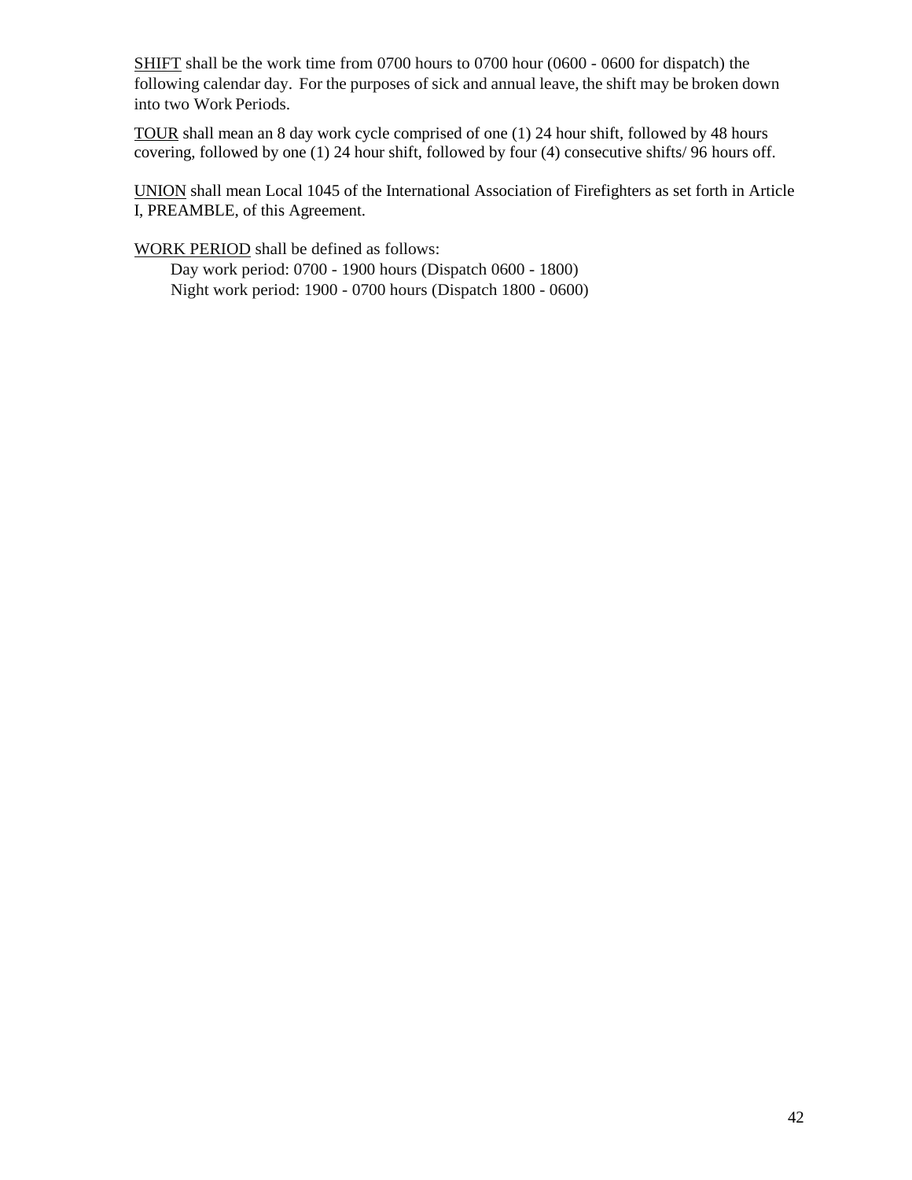SHIFT shall be the work time from 0700 hours to 0700 hour (0600 - 0600 for dispatch) the following calendar day. For the purposes of sick and annual leave, the shift may be broken down into two Work Periods.

TOUR shall mean an 8 day work cycle comprised of one (1) 24 hour shift, followed by 48 hours covering, followed by one (1) 24 hour shift, followed by four (4) consecutive shifts/ 96 hours off.

UNION shall mean Local 1045 of the International Association of Firefighters as set forth in Article I, PREAMBLE, of this Agreement.

WORK PERIOD shall be defined as follows:

Day work period: 0700 - 1900 hours (Dispatch 0600 - 1800) Night work period: 1900 - 0700 hours (Dispatch 1800 - 0600)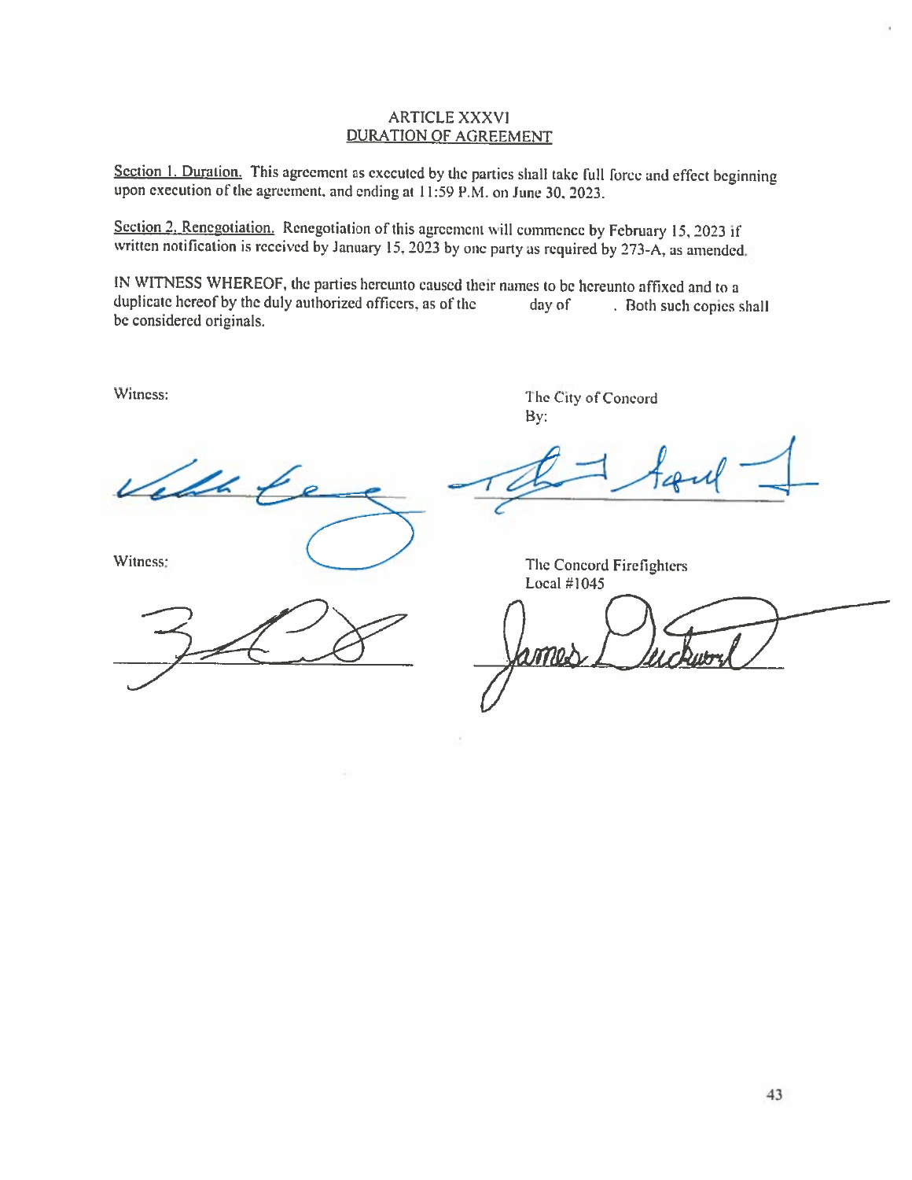#### **ARTICLE XXXVI DURATION OF AGREEMENT**

Section 1. Duration. This agreement as executed by the parties shall take full force and effect beginning upon execution of the agreement, and ending at 11:59 P.M. on June 30, 2023.

Section 2. Renegotiation. Renegotiation of this agreement will commence by February 15, 2023 if written notification is received by January 15, 2023 by one party as required by 273-A, as amended.

IN WITNESS WHEREOF, the parties hereunto caused their names to be hereunto affixed and to a duplicate hereof by the duly authorized officers, as of the day of . Both such copies shall be considered originals.

Witness:

The City of Concord By:

'ell

Witness:

The Concord Firefighters Local #1045

ገዐፈጉ

 $101$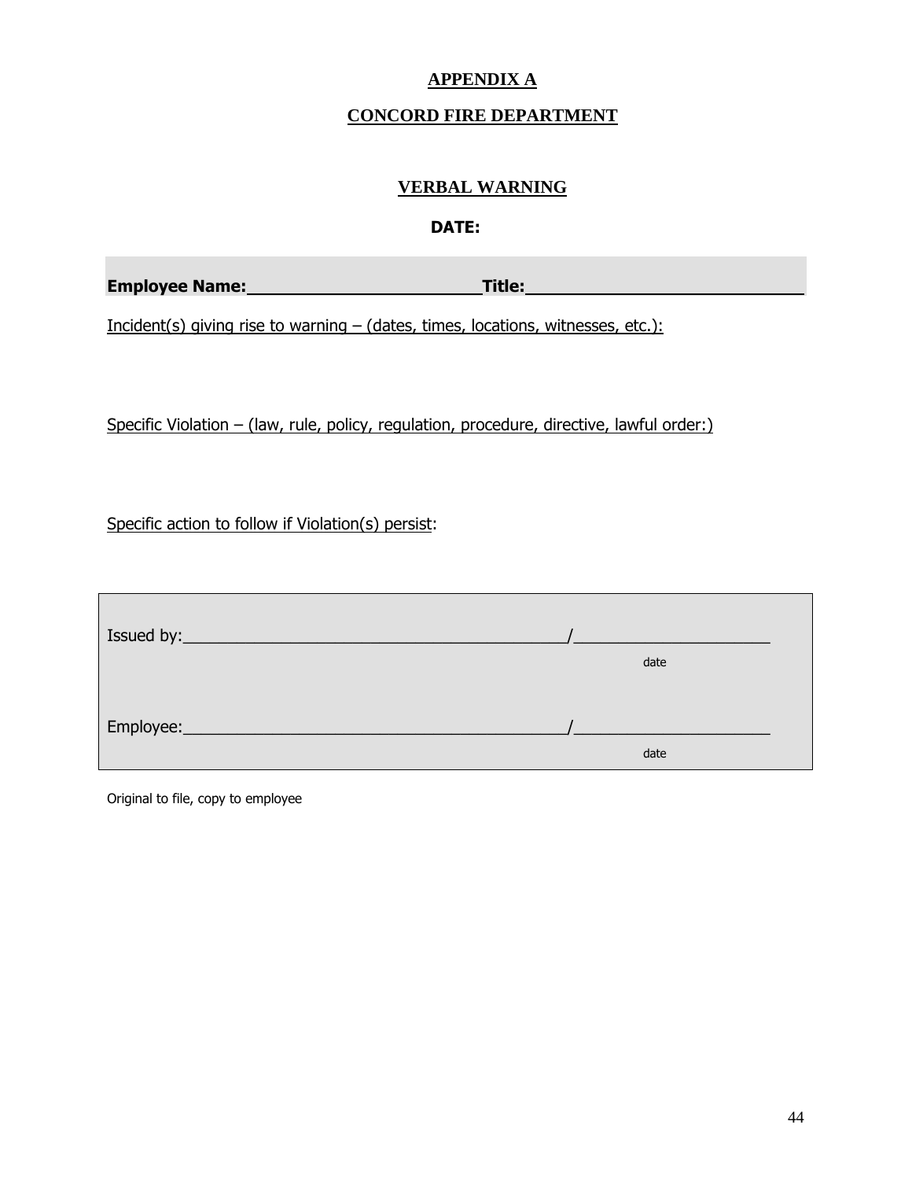# **APPENDIX A**

# **CONCORD FIRE DEPARTMENT**

# **VERBAL WARNING**

## **DATE:**

|  | <b>Employee Name:</b> | <b>Title:</b> |  |
|--|-----------------------|---------------|--|
|  |                       |               |  |

Incident(s) giving rise to warning – (dates, times, locations, witnesses, etc.):

Specific Violation – (law, rule, policy, regulation, procedure, directive, lawful order:)

Specific action to follow if Violation(s) persist:

| Issued by:      |      |  |
|-----------------|------|--|
|                 | date |  |
|                 |      |  |
| Employee:______ |      |  |
|                 | date |  |

Original to file, copy to employee